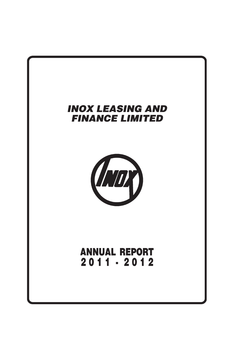

# **ANNUAL REPORT** 2011 - 2012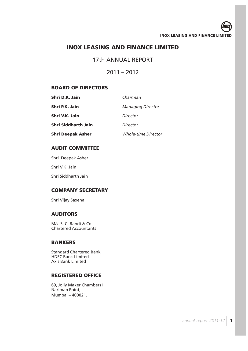## 17th ANNUAL REPORT

## $2011 - 2012$

## **BOARD OF DIRECTORS**

| Shri D.K. Jain           | Chairman                   |
|--------------------------|----------------------------|
| Shri P.K. Jain           | <b>Managing Director</b>   |
| Shri V.K. Jain           | Director                   |
| Shri Siddharth Jain      | Director                   |
| <b>Shri Deepak Asher</b> | <b>Whole-time Director</b> |

## **AUDIT COMMITTEE**

Shri Deepak Asher

Shri V.K. Jain

Shri Siddharth Jain

## **COMPANY SECRETARY**

Shri Vijay Saxena

## **AUDITORS**

M/s. S. C. Bandi & Co. Chartered Accountants

## **BANKERS**

Standard Chartered Bank HDFC Bank Limited Axis Bank Limited

## **REGISTERED OFFICE**

69, Jolly Maker Chambers II Nariman Point, Mumbai – 400021.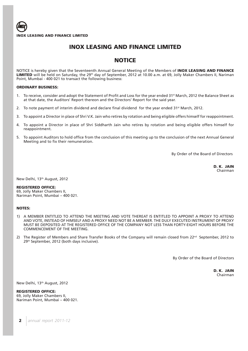

## **NOTICE**

NOTICE is hereby given that the Seventeenth Annual General Meeting of the Members of **INOX LEASING AND FINANCE** LIMITED will be held on Saturday, the 29<sup>th</sup> day of September, 2012 at 10.00 a.m. at 69, Jolly Maker Chambers II, Nariman Point, Mumbai - 400 021 to transact the following business:

### **ORDINARY BUSINESS:**

- 1. To receive, consider and adopt the Statement of Profit and Loss for the year ended 31<sup>st</sup> March, 2012 the Balance Sheet as at that date, the Auditors' Report thereon and the Directors' Report for the said year.
- 2. To note payment of interim dividend and declare final dividend for the year ended  $31^{st}$  March, 2012.
- 3. To appoint a Director in place of Shri V.K. Jain who retires by rotation and being eligible offers himself for reappointment.
- 4. To appoint a Director in place of Shri Siddharth Jain who retires by rotation and being eligible offers himself for reappointment.
- 5. To appoint Auditors to hold office from the conclusion of this meeting up to the conclusion of the next Annual General Meeting and to fix their remuneration.

By Order of the Board of Directors

 **D. K. JAIN** Chairman

New Delhi, 13th August, 2012

#### **REGISTERED OFFICE:**

69, Jolly Maker Chambers II, Nariman Point, Mumbai – 400 021.

## **NOTES:**

- 1) A MEMBER ENTITLED TO ATTEND THE MEETING AND VOTE THEREAT IS ENTITLED TO APPOINT A PROXY TO ATTEND AND VOTE, INSTEAD OF HIMSELF AND A PROXY NEED NOT BE A MEMBER. THE DULY EXECUTED INSTRUMENT OF PROXY MUST BE DEPOSITED AT THE REGISTERED OFFICE OF THE COMPANY NOT LESS THAN FORTY-EIGHT HOURS BEFORE THE COMMENCEMENT OF THE MEETING.
- 2) The Register of Members and Share Transfer Books of the Company will remain closed from  $22^{nd}$  September, 2012 to 29<sup>th</sup> September, 2012 (both days inclusive).

By Order of the Board of Directors

 **D. K. JAIN** Chairman

New Delhi, 13th August, 2012

**REGISTERED OFFICE:** 69, Jolly Maker Chambers II, Nariman Point, Mumbai – 400 021.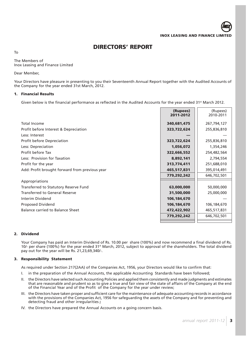**DIRECTORS' REPORT**

To

The Members of Inox Leasing and Finance Limited

Dear Member,

Your Directors have pleasure in presenting to you their Seventeenth Annual Report together with the Audited Accounts of the Company for the year ended 31st March, 2012.

## **1. Financial Results**

Given below is the financial performance as reflected in the Audited Accounts for the year ended 31<sup>st</sup> March 2012.

|                                                | (Rupees)<br>2011-2012 | (Rupees)<br>2010-2011 |
|------------------------------------------------|-----------------------|-----------------------|
| <b>Total Income</b>                            | 340,681,475           | 267,794,127           |
| Profit before Interest & Depreciation          | 323,722,624           | 255,836,810           |
| Less: Interest                                 |                       |                       |
| <b>Profit before Depreciation</b>              | 323,722,624           | 255,836,810           |
| Less: Depreciation                             | 1,056,072             | 1,354,246             |
| Profit before Tax                              | 322,666,552           | 254,482,564           |
| Less: Provision for Taxation                   | 8,892,141             | 2,794,554             |
| Profit for the year                            | 313,774,411           | 251,688,010           |
| Add: Profit brought forward from previous year | 465,517,831           | 395,014,491           |
|                                                | 779,292,242           | 646,702,501           |
| Appropriations                                 |                       |                       |
| Transferred to Statutory Reserve Fund          | 63,000,000            | 50,000,000            |
| <b>Transferred to General Reserve</b>          | 31,500,000            | 25,000,000            |
| Interim Dividend                               | 106,184,670           |                       |
| Proposed Dividend                              | 106,184,670           | 106,184,670           |
| Balance carried to Balance Sheet               | 472,422,902           | 465,517,831           |
|                                                | 779,292,242           | 646,702,501           |
|                                                |                       |                       |

## **2. Dividend**

Your Company has paid an Interim Dividend of Rs. 10.00 per share (100%) and now recommend a final dividend of Rs. 10/- per share (100%) for the year ended 31<sup>st</sup> March, 2012, subject to approval of the shareholders. The total dividend pay out for the year will be Rs. 21,23,69,340/-.

## **3. Responsibility Statement**

As required under Section 217(2AA) of the Companies Act, 1956, your Directors would like to confirm that:

- I. in the preparation of the Annual Accounts, the applicable Accounting Standards have been followed;
- II. the Directors have selected such Accounting Policies and applied them consistently and made judgments and estimates that are reasonable and prudent so as to give a true and fair view of the state of affairs of the Company at the end of the Financial Year and of the Profit of the Company for the year under review;
- III. the Directors have taken proper and sufficient care for the maintenance of adequate accounting records in accordance with the provisions of the Companies Act, 1956 for safeguarding the assets of the Company and for preventing and detecting fraud and other irregularities **;**
- IV. the Directors have prepared the Annual Accounts on a going concern basis.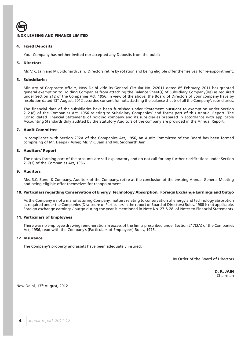

### **4. Fixed Deposits**

Your Company has neither invited nor accepted any Deposits from the public.

### **5. Directors**

Mr. V.K. Jain and Mr. Siddharth Jain, Directors retire by rotation and being eligible offer themselves for re-appointment.

#### **6. Subsidiaries**

Ministry of Corporate Affairs, New Delhi vide its General Circular No. 2/2011 dated 8th February, 2011 has granted general exemption to Holding Companies from attaching the Balance Sheet(s) of Subsidiary Company(ies) as required under Section 212 of the Companies Act, 1956. In view of the above, the Board of Directors of your company have by resolution dated 13th August, 2012 accorded consent for not attaching the balance sheets of all the Company's subsidiaries.

The financial data of the subsidiaries have been furnished under 'Statement pursuant to exemption under Section 212 (8) of the Companies Act, 1956 relating to Subsidiary Companies' and forms part of this Annual Report. The Consolidated Financial Statements of holding company and its subsidiaries prepared in accordance with applicable Accounting Standards duly audited by the Statutory Auditors of the company are provided in the Annual Report.

### **7. Audit Committee**

In compliance with Section 292A of the Companies Act, 1956, an Audit Committee of the Board has been formed comprising of Mr. Deepak Asher, Mr. V.K. Jain and Mr. Siddharth Jain.

### **8. Auditors' Report**

The notes forming part of the accounts are self explanatory and do not call for any further clarifications under Section 217(3) of the Companies Act, 1956.

#### **9. Auditors**

M/s. S.C. Bandi & Company, Auditors of the Company, retire at the conclusion of the ensuing Annual General Meeting and being eligible offer themselves for reappointment.

#### **10. Particulars regarding Conservation of Energy, Technology Absorption, Foreign Exchange Earnings and Outgo**

As the Company is not a manufacturing Company, matters relating to conservation of energy and technology absorption as required under the Companies (Disclosure of Particulars in the report of Board of Directors) Rules, 1988 is not applicable. Foreign exchange earnings / outgo during the year is mentioned in Note No. 27 & 28 of Notes to Financial Statements.

#### **11. Particulars of Employees**

There was no employee drawing remuneration in excess of the limits prescribed under Section 217(2A) of the Companies Act, 1956, read with the Company's (Particulars of Employees) Rules, 1975.

#### **12**. **Insurance**

The Company's property and assets have been adequately insured.

By Order of the Board of Directors

 **D. K. JAIN** Chairman

New Delhi, 13th August, 2012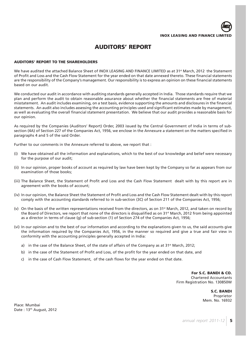

## **AUDITORS' REPORT**

### **AUDITORS' REPORT TO THE SHAREHOLDERS**

We have audited the attached Balance Sheet of INOX LEASING AND FINANCE LIMITED as at 31<sup>st</sup> March, 2012 the Statement of Profit and Loss and the Cash Flow Statement for the year ended on that date annexed thereto. These financial statements are the responsibility of the Company's management. Our responsibility is to express an opinion on these financial statements based on our audit.

We conducted our audit in accordance with auditing standards generally accepted in India. Those standards require that we plan and perform the audit to obtain reasonable assurance about whether the financial statements are free of material misstatement. An audit includes examining, on a test basis, evidence supporting the amounts and disclosures in the financial statements. An audit also includes assessing the accounting principles used and significant estimates made by management, as well as evaluating the overall financial statement presentation. We believe that our audit provides a reasonable basis for our opinion.

As required by the Companies (Auditors' Report) Order, 2003 issued by the Central Government of India in terms of subsection (4A) of Section 227 of the Companies Act, 1956, we enclose in the Annexure a statement on the matters specified in paragraphs 4 and 5 of the said Order.

Further to our comments in the Annexure referred to above, we report that :

- (i) We have obtained all the information and explanations, which to the best of our knowledge and belief were necessary for the purpose of our audit;
- (ii) In our opinion, proper books of account as required by law have been kept by the Company so far as appears from our examination of those books;
- (iii) The Balance Sheet, the Statement of Profit and Loss and the Cash Flow Statement dealt with by this report are in agreement with the books of account;
- (iv) In our opinion, the Balance Sheet the Statement of Profit and Loss and the Cash Flow Statement dealt with by this report comply with the accounting standards referred to in sub-section (3C) of Section 211 of the Companies Act, 1956;
- (v) On the basis of the written representations received from the directors, as on 31<sup>st</sup> March, 2012, and taken on record by the Board of Directors, we report that none of the directors is disqualified as on 31<sup>st</sup> March, 2012 from being appointed as a director in terms of clause (g) of sub-section (1) of Section 274 of the Companies Act, 1956;
- (vi) In our opinion and to the best of our information and according to the explanations given to us, the said accounts give the information required by the Companies Act, 1956, in the manner so required and give a true and fair view in conformity with the accounting principles generally accepted in India:
	- a) in the case of the Balance Sheet, of the state of affairs of the Company as at  $31^{st}$  March, 2012;
	- b) in the case of the Statement of Profit and Loss, of the profit for the year ended on that date, and
	- c) in the case of Cash Flow Statement, of the cash flows for the year ended on that date.

**For S.C. BANDI & CO.** Chartered Accountants Firm Registration No. 130850W

> **S.C. BANDI** Proprietor Mem. No. 16932

Place: Mumbai Date: 13<sup>th</sup> August, 2012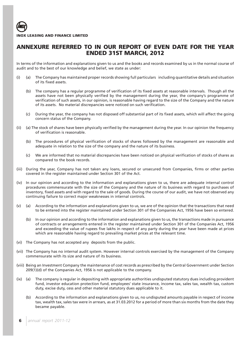## **ANNEXURE REFERRED TO IN OUR REPORT OF EVEN DATE FOR THE YEAR ENDED 31ST MARCH, 2012**

In terms of the information and explanations given to us and the books and records examined by us in the normal course of audit and to the best of our knowledge and belief, we state as under:

- (i) (a) The Company has maintained proper records showing full particulars including quantitative details and situation of its fixed assets.
	- (b) The company has a regular programme of verification of its fixed assets at reasonable intervals. Though all the assets have not been physically verified by the management during the year, the company's programme of verification of such assets, in our opinion, is reasonable having regard to the size of the Company and the nature of its assets. No material discrepancies were noticed on such verification.
	- (c) During the year, the company has not disposed off substantial part of its fixed assets, which will affect the going concern status of the Company.
- (ii) (a) The stock of shares have been physically verified by the management during the year. In our opinion the frequency of verification is reasonable.
	- (b) The procedures of physical verification of stocks of shares followed by the management are reasonable and adequate in relation to the size of the company and the nature of its business.
	- (c) We are informed that no material discrepancies have been noticed on physical verification of stocks of shares as compared to the book records.
- (iii) During the year, Company has not taken any loans, secured or unsecured from Companies, firms or other parties covered in the register maintained under Section 301 of the Act.
- (iv) In our opinion and according to the information and explanations given to us, there are adequate internal control procedures commensurate with the size of the Company and the nature of its business with regard to purchases of inventory, fixed assets and with regard to the sale of goods. During the course of our audit, we have not observed any continuing failure to correct major weaknesses in internal controls.
- (v) (a) According to the information and explanations given to us, we are of the opinion that the transactions that need to be entered into the register maintained under Section 301 of the Companies Act, 1956 have been so entered.
	- (b) In our opinion and according to the information and explanations given to us, the transactions made in pursuance of contracts or arrangements entered in the register maintained under Section 301 of the Companies Act, 1956 and exceeding the value of rupees five lakhs in respect of any party during the year have been made at prices which are reasonable having regard to prevailing market prices at the relevant time.
- (vi) The Company has not accepted any deposits from the public.
- (vii) The Company has no internal audit system. However internal controls exercised by the management of the Company commensurate with its size and nature of its business.
- (viii) Being an Investment Company the maintenance of cost records as prescribed by the Central Government under Section 209(1)(d) of the Companies Act, 1956 is not applicable to the company.
- (ix) (a) The company is regular in depositing with appropriate authorities undisputed statutory dues including provident fund, investor education protection fund, employees' state insurance, income tax, sales tax, wealth tax, custom duty, excise duty, cess and other material statutory dues applicable to it.
	- (b) According to the information and explanations given to us, no undisputed amounts payable in respect of income tax, wealth tax, sales tax were in arrears, as at 31.03.2012 for a period of more than six months from the date they became payable.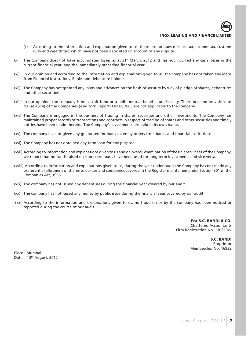

- 
- (c) According to the information and explanation given to us, there are no dues of sales tax, income tax, customs duty and wealth tax, which have not been deposited on account of any dispute.
- (x) The Company does not have accumulated losses as at  $31<sup>st</sup>$  March, 2012 and has not incurred any cash losses in the current financial year and the immediately preceding financial year.
- (xi) In our opinion and according to the information and explanations given to us, the company has not taken any loans from Financial Institutions, Banks and debenture holders.
- (xii) The Company has not granted any loans and advances on the basis of security by way of pledge of shares, debentures and other securities.
- (xiii) In our opinion, the company is not a chit fund or a nidhi mutual benefit fund/society. Therefore, the provisions of clause 4(xiii) of the Companies (Auditors' Report) Order, 2003 are not applicable to the company.
- (xiv) The Company is engaged in the business of trading in shares, securities and other investments. The Company has maintained proper records of transactions and contracts in respect of trading of shares and other securities and timely entries have been made therein. The Company's investments are held in its own name.
- (xv) The company has not given any guarantee for loans taken by others from banks and financial institutions.
- (xvi) The Company has not obtained any term loan for any purpose.
- (xvii) According to information and explanations given to us and on overall examination of the Balance Sheet of the Company, we report that no funds raised on short term basis have been used for long term investments and vice versa.
- (xviii) According to information and explanations given to us, during the year under audit the Company has not made any preferential allotment of shares to parties and companies covered in the Register maintained under Section 301 of the Companies Act, 1956.
- (xix) The company has not issued any debentures during the financial year covered by our audit.
- (xx) The company has not raised any money by public issue during the financial year covered by our audit.
- (xxi) According to the information and explanations given to us, no fraud on or by the company has been noticed or reported during the course of our audit.

**For S.C. BANDI & CO.** Chartered Accountants Firm Registration No. 130850W

> **S.C. BANDI** Proprietor Membership No. 16932

Place : Mumbai Date: 13<sup>th</sup> August, 2012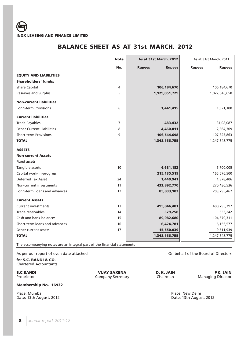# **BALANCE SHEET AS AT 31st MARCH, 2012**

|                                  | <b>Note</b> | As at 31st March, 2012         | As at 31st March, 2011         |
|----------------------------------|-------------|--------------------------------|--------------------------------|
|                                  | No.         | <b>Rupees</b><br><b>Rupees</b> | <b>Rupees</b><br><b>Rupees</b> |
| <b>EQUITY AND LIABILITIES</b>    |             |                                |                                |
| <b>Shareholders' funds:</b>      |             |                                |                                |
| <b>Share Capital</b>             | 4           | 106,184,670                    | 106, 184, 670                  |
| Reserves and Surplus             | 5           | 1,129,051,729                  | 1,027,646,658                  |
| <b>Non-current liabilities</b>   |             |                                |                                |
| <b>Long-term Provisions</b>      | 6           | 1,441,415                      | 10,21,188                      |
| <b>Current liabilities</b>       |             |                                |                                |
| <b>Trade Payables</b>            | 7           | 483,432                        | 31,08,087                      |
| <b>Other Current Liabilities</b> | 8           | 4,460,811                      | 2,364,309                      |
| <b>Short-term Provisions</b>     | 9           | 106,544,698                    | 107,323,863                    |
| <b>TOTAL</b>                     |             | 1,348,166,755                  | 1,247,648,775                  |
| <b>ASSETS</b>                    |             |                                |                                |
| <b>Non-current Assets</b>        |             |                                |                                |
| <b>Fixed assets</b>              |             |                                |                                |
| Tangible assets                  | 10          | 4,681,183                      | 5,700,005                      |
| Capital work-in-progress         |             | 215, 135, 519                  | 165,576,500                    |
| Deferred Tax Asset               | 24          | 1,440,941                      | 1,378,406                      |
| Non-current investments          | 11          | 432,892,770                    | 270,430,536                    |
| Long-term Loans and advances     | 12          | 85,833,103                     | 203,295,462                    |
| <b>Current Assets</b>            |             |                                |                                |
| <b>Current investments</b>       | 13          | 495,846,481                    | 480,295,797                    |
| Trade receivables                | 14          | 379,258                        | 633,242                        |
| Cash and bank balances           | 15          | 89,982,680                     | 104,670,311                    |
| Short-term loans and advances    | 16          | 6,424,781                      | 6,156,577                      |
| Other current assets             | 17          | 15,550,039                     | 9,511,939                      |
| <b>TOTAL</b>                     |             | 1,348,166,755                  | 1,247,648,775                  |

The accompanying notes are an integral part of the financial statements

As per our report of even date attached and of the Board of Directors on behalf of the Board of Directors

for **S.C. BANDI & CO.** Chartered Accountants

Proprietor Company Secretary

**S.C.BANDI PRESECTE D. R. A. P. R. A. P. R. A. P. R. A. Proprietor <b>P. R. A. P. R. A. P. R. A. P. R. A. P. R. A. P. R. A. P. R. A. P. R. A. P. R. A. P. R. A. P. R. A. P. R. A. P. R. A. P. R. A. P. R. A. P. R. A. P. R. A.** 

**Membership No. 16932**

Place: Mumbai Place: Mumbai Place: New Delhi<br>
Date: 13th August, 2012<br>
Place: 13th August, 2012 Date: 13th August, 2012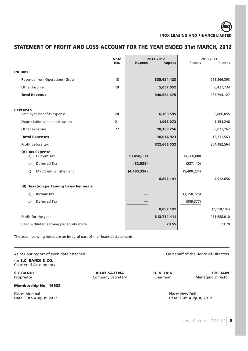# **STATEMENT OF PROFIT AND LOSS ACCOUNT FOR THE YEAR ENDED 31st MARCH, 2012**

|                                              | <b>Note</b><br>No. | <b>Rupees</b> | 2011-2012<br><b>Rupees</b> | Rupees        | 2010-2011<br><b>Rupees</b> |
|----------------------------------------------|--------------------|---------------|----------------------------|---------------|----------------------------|
| <b>INCOME</b>                                |                    |               |                            |               |                            |
| Revenue from Operations (Gross)              | 18                 |               | 335,624,423                |               | 261,366,393                |
| Other Income                                 | 19                 |               | 5,057,052                  |               | 6,427,734                  |
| <b>Total Revenue</b>                         |                    |               | 340,681,475                |               | 267,794,127                |
|                                              |                    |               |                            |               |                            |
| <b>EXPENSES</b><br>Employee benefits expense | 20                 |               | 6,789,595                  |               | 5,886,055                  |
| Depreciation and amortization                | 21                 |               | 1,056,072                  |               | 1,354,246                  |
| Other expenses                               | 22                 |               | 10,169,256                 |               | 6,071,262                  |
| <b>Total Expenses</b>                        |                    |               | 18,014,923                 |               | 13,311,563                 |
| Profit before tax                            |                    |               | 322,666,552                |               | 254,482,564                |
| (A) Tax Expense<br><b>Current Tax</b><br>a)  |                    | 13,450,000    |                            | 14,600,000    |                            |
| Deferred Tax<br>b)                           |                    | (62, 535)     |                            | (287, 110)    |                            |
| Mat Credit entitlement<br>$\mathsf{c}$       |                    | (4, 495, 324) |                            | (9,400,234)   |                            |
|                                              |                    |               | 8,892,141                  |               | 4,912,656                  |
| (B) Taxation pertaining to earlier years     |                    |               |                            |               |                            |
| Income tax<br>a)                             |                    |               |                            | (1, 158, 725) |                            |
| Deferred Tax<br>b)                           |                    |               |                            | (959, 377)    |                            |
|                                              |                    |               | 8,892,141                  |               | (2, 118, 102)              |
| Profit for the year                          |                    |               | 313,774,411                |               | 251,688,010                |
| Basic & diluted earning per equity share     |                    |               | 29.55                      |               | 23.70                      |

The accompanying notes are an integral part of the financial statements

As per our report of even date attached On behalf of the Board of Directors

for **S.C. BANDI & CO.** Chartered Accountants

Company Secretary

**S.C.BANDI P.K. JAIN P.K. JAIN P.K. JAIN P.K. JAIN Proprietor D. K. JAIN Proprietor P.K. JAIN Proprietor Company Secretary Chairman Chairman Managing Director** 

## **Membership No. 16932**

Place: Mumbai Place: Mumbai Place: New Delhi<br>
Date: 13th August, 2012<br>
Place: 13th August, 2012 Date: 13th August, 2012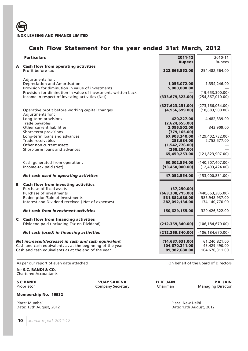

# **Cash Flow Statement for the year ended 31st March, 2012**

|   | <b>Particulars</b>                                                                                                                                                                                                                 | 2011-12<br><b>Rupees</b>                                                                                                                           | 2010-11<br>Rupees                                                                      |
|---|------------------------------------------------------------------------------------------------------------------------------------------------------------------------------------------------------------------------------------|----------------------------------------------------------------------------------------------------------------------------------------------------|----------------------------------------------------------------------------------------|
| A | <b>Cash flow from operating activities</b><br>Profit before tax                                                                                                                                                                    | 322,666,552.00                                                                                                                                     | 254,482,564.00                                                                         |
|   | Adjustments for:<br>Depreciation and Amortisation<br>Provision for diminution in value of investments<br>Provision for diminution in value of investments written back<br>Income in respect of investing activities (Net)          | 1,056,072.00<br>5,000,000.00<br>(333, 679, 323.00)                                                                                                 | 1,354,246.00<br>(19,653,300.00)<br>(254, 867, 010.00)                                  |
|   | Operative profit before working capital changes                                                                                                                                                                                    | (327, 623, 251.00)<br>(4,956,699.00)                                                                                                               | (273, 166, 064.00)<br>(18,683,500.00)                                                  |
|   | Adjustments for:<br>Long-term provisions<br>Trade payables<br>Other current liabilities<br>Short-term provisions<br>Long-term loans and advances<br>Trade receivables<br>Other non current assets<br>Short-term loans and advances | 420,227.00<br>(2,624,655.00)<br>2,096,502.00<br>(779, 165.00)<br>67,903,340.00<br>253,984.00<br>(1, 542, 776.00)<br>(268, 204.00)<br>65,459,253.00 | 4,482,339.00<br>343,909.00<br>(129, 402, 732.00)<br>2,752,577.00<br>(121, 823, 907.00) |
|   | Cash generated from operations<br>Income-tax paid (Net)                                                                                                                                                                            | 60,502,554.00<br>(13, 450, 000.00)                                                                                                                 | (140, 507, 407.00)<br>(12, 493, 424.00)                                                |
|   | Net cash used in operating activities                                                                                                                                                                                              | 47,052,554.00                                                                                                                                      | (153,000,831.00)                                                                       |
| В | <b>Cash flow from investing activities</b><br>Purchase of fixed assets<br>Purchase of investments<br>Redemption/Sale of Investments<br>Interest and Dividend received (Net of expenses)                                            | (37, 250.00)<br>(663, 308, 715.00)<br>531,882,986.00<br>282,092,134.00                                                                             | (440, 663, 385.00)<br>586,948,937.00<br>174,140,770.00                                 |
|   | Net cash from investment activities                                                                                                                                                                                                | 150,629,155.00                                                                                                                                     | 320,426,322.00                                                                         |
| C | <b>Cash flow from financing activities</b><br>Dividend paid (Including Tax on Dividend)                                                                                                                                            | (212, 369, 340.00)                                                                                                                                 | (106, 184, 670.00)                                                                     |
|   | Net cash (used) in financing activities                                                                                                                                                                                            | (212, 369, 340.00)                                                                                                                                 | (106, 184, 670.00)                                                                     |
|   | Net increase/(decrease) in cash and cash equivalent<br>Cash and cash equivalents as at the beginning of the year<br>Cash and cash equivalents as at the end of the year                                                            | (14,687,631.00)<br>104,670,311.00<br>89,982,680.00                                                                                                 | 61,240,821.00<br>43,429,490.00<br>104,670,311.00                                       |

As per our report of even date attached **On behalf of the Board of Directors** On behalf of the Board of Directors

for **S.C. BANDI & CO.** Chartered Accountants

Company Secretary

### **Membership No. 16932**

Date: 13th August, 2012

**S.C.BANDI P.K. JAIN P.K. JAIN P.R. JAIN P.R. JAIN Proprietor Company Secretary D. K. JAIN Proprietor Managing Director** 

Place: Mumbai Place: Mumbai Place: New Delhi<br>
Date: 13th August, 2012<br>
Place: 13th August, 2012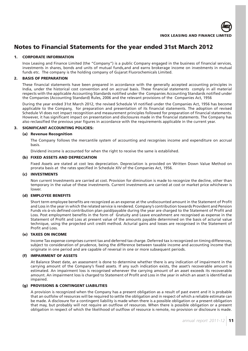# **Notes to Financial Statements for the year ended 31st March 2012**

## **1. CORPORATE INFORMATION**

Inox Leasing and Finance Limited (the "Company") is a public Company engaged in the business of financial services, investments in shares, bonds and units of mutual funds,and and earns brokerage income on investments in mutual funds etc. The company is the holding company of Gujarat Fluorochemicals Limited.

## **2. BASIS OF PREPARATION**

These financial statements have been prepared in accordance with the generally accepted accounting principles in India, under the historical cost convention and on accrual basis. These financial statements comply in all material respects with the applicable Accounting Standards notified under the Companies Accounting Standards notified under the Companies (Accounting Standard) Rules, 2006 and the relevant provisions of the Companies Act, 1956

During the year ended 31st March 2012, the revised Schedule VI notified under the Companies Act, 1956 has become applicable to the Company, for preparation and presentation of its financial statements. The adoption of revised Schedule VI does not impact recognition and measurement principles followed for preparation of financial statements. However, it has significant impact on presentation and disclosures made in the financial statements. The Company has also reclassified the previous year figures in accordance with the requirements applicable in the current year.

## **3. SIGNIFICANT ACCOUNTING POLICIES:**

## **(a) Revenue Recognition**

The Company follows the mercantile system of accounting and recognises income and expenditure on accrual basis.

Dividend income is accounted for when the right to receive the same is established.

## **(b) FIXED ASSETS AND DEPRECIATION**

Fixed Assets are stated at cost less depreciation. Depreciation is provided on Written Down Value Method on prorata basis at the rates specified in Schedule XIV of the Companies Act, 1956.

## **(c) INVESTMENTS**

Non current Investments are carried at cost. Provision for diminution is made to recognize the decline, other than temporary in the value of these investments. Current investments are carried at cost or market price whichever is lower.

## **(d) EMPLOYEE BENEFITS**

Short term employee benefits are recognized as an expense at the undiscounted amount in the Statement of Profit and Loss in the year in which the related service is rendered. Company's contribution towards Provident and Pension Funds vis-à-vis defined contribution plan paid/payable during the year are charged to the Statement of Profit and Loss. Post employment benefits in the form of Gratuity and Leave encashment are recognised as expense in the Statement of Profit and Loss at present value of the amounts payable determined on the basis of acturial value technique, using the projected unit credit method. Acturial gains and losses are recognised in the Statement of Profit and Loss.

## **(e) TAXES ON INCOME**

Income Tax expense comprises current tax and deferred tax charge. Deferred tax is recognized on timing differences, subject to consideration of prudence, being the difference between taxable income and accounting income that originate in one period and are capable of reversal in one or more subsequent periods.

## **(f) IMPAIRMENT OF ASSETS**

At Balance Sheet date, an assessment is done to determine whether there is any indication of impairment in the carrying amount of the Company's fixed assets. If any such indication exists, the asset's recoverable amount is estimated. An impairment loss is recognised whenever the carrying amount of an asset exceeds its recoverable amount. An impairment loss is charged to Statement of Profit and Loss in the year in which an asset is identified as impaired.

## **(g) PROVISIONS & CONTINGENT LIABILITIES**

A provision is recognized when the Company has a present obligation as a result of past event and it is probable that an outfolw of resources will be required to settle the obligation and in respect of which a reliable estimate can be made. A disclosure for a contingent liability is made when there is a possible obligation or a present obligation that may, but probably will not require an outflow of resources. When there is possible obligation or a present obligation in respect of which the likelihood of outflow of resource is remote, no provision or disclosure is made.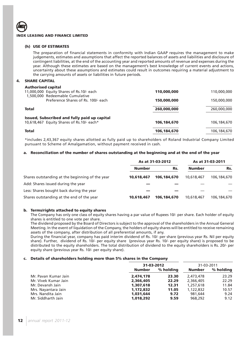### **(h) USE OF ESTIMATES**

The preparation of financial statements in conformity with Indian GAAP requires the management to make judgements, estimates and assumptions that affect the reported balances of assets and liabilities and disclosure of contingent liabilities, at the end of the accounting year and reported amounts of revenue and expenses during the year. Although these estimates are based on the management's best knowledge of current events and actions, uncertainty about these assumptions and estimates could result in outcomes requiring a material adjustment to the carrying amounts of assets or liabilities in future periods.

## **4. SHARE CAPITAL**

## **Authorised capital**

| Authorised capital<br>11,000,000 Equity Shares of Rs.10/- each                            | 110,000,000 | 110,000,000 |
|-------------------------------------------------------------------------------------------|-------------|-------------|
| 1,500,000 Redeemable Cumulative<br>Preference Shares of Rs. 100/- each                    | 150,000,000 | 150,000,000 |
| <b>Total</b>                                                                              | 260,000,000 | 260,000,000 |
| Issued, Subscribed and fully paid up capital<br>10,618,467 Equity Shares of Rs.10/- each* | 106,184,670 | 106,184,670 |
| <b>Total</b>                                                                              | 106,184,670 | 106,184,670 |

\*includes 2,43,367 equity shares allotted as fully paid up to shareholders of Roland Industrial Company Limited pursuant to Scheme of Amalgamation, without payment received in cash.

#### **a. Reconciliation of the number of shares outstanding at the beginning and at the end of the year**

|                                                 | As at 31-03-2012 |             |               | As at 31-03-2011   |  |
|-------------------------------------------------|------------------|-------------|---------------|--------------------|--|
|                                                 | <b>Number</b>    | Rs.         | <b>Number</b> | Rs.<br>106,184,670 |  |
| Shares outstanding at the beginning of the year | 10,618,467       | 106,184,670 | 10,618,467    |                    |  |
| Add: Shares issued during the year              |                  |             |               |                    |  |
| Less: Shares bought back during the year        |                  |             |               |                    |  |
| Shares outstanding at the end of the year       | 10,618,467       | 106,184,670 | 10,618,467    | 106,184,670        |  |

#### **b. Terms/rights attached to equity shares**

The Company has only one class of equity shares having a par value of Rupees 10/- per share. Each holder of equity shares is entitled to one vote per share.

The dividend proposed by the Board of Directors is subject to the approval of the shareholders in the Annual General Meeting. In the event of liquidation of the Company, the holders of equity shares will be entitled to receive remaining assets of the company, after distribution of all preferential amounts, if any.

During the financial year, company has paid interim dividend of Rs. 10/- per share (previous year Rs. Nil per equity share). Further, dividend of Rs. 10/- per equity share (previous year Rs. 10/- per equity share) is proposed to be distributed to the equity shareholders. The total distribution of dividend to the equity shareholders is Rs. 20/- per equity share (previous year Rs. 10/- per equity share).

#### **c. Details of shareholders holding more than 5% shares in the Company**

|                      | 31-03-2012    |           | 31-03-2011    |           |
|----------------------|---------------|-----------|---------------|-----------|
|                      | <b>Number</b> | % holding | <b>Number</b> | % holding |
| Mr. Pavan Kumar Jain | 2,474,178     | 23.30     | 2,473,478     | 23.29     |
| Mr. Vivek Kumar Jain | 2,366,405     | 22.29     | 2,366,405     | 22.29     |
| Mr. Devansh Jain     | 1,307,618     | 12.31     | 1,257,618     | 11.84     |
| Mrs. Nayantara Jain  | 1,172,832     | 11.05     | 1,122,832     | 10.57     |
| Mrs. Nandita Jain    | 1.031.644     | 9.72      | 981.644       | 9.24      |
| Mr. Siddharth Jain   | 1,018,292     | 9.59      | 968,292       | 9.12      |
|                      |               |           |               |           |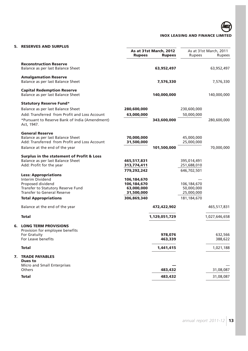## **5. RESERVES AND SURPLUS**

|    | As at 31st March, 2012<br><b>Rupees</b>                                |             | <b>Rupees</b> | <b>Rupees</b> | As at 31st March, 2011<br>Rupees |
|----|------------------------------------------------------------------------|-------------|---------------|---------------|----------------------------------|
|    | <b>Reconstruction Reserve</b><br>Balance as per last Balance Sheet     |             | 63,952,497    |               | 63,952,497                       |
|    | <b>Amalgamation Reserve</b>                                            |             |               |               |                                  |
|    | Balance as per last Balance Sheet                                      |             | 7,576,330     |               | 7,576,330                        |
|    | <b>Capital Redemption Reserve</b><br>Balance as per last Balance Sheet |             | 140,000,000   |               | 140,000,000                      |
|    | <b>Statutory Reserve Fund*</b>                                         |             |               |               |                                  |
|    | Balance as per last Balance Sheet                                      | 280,600,000 |               | 230,600,000   |                                  |
|    | Add: Transferred from Profit and Loss Account                          | 63,000,000  |               | 50,000,000    |                                  |
|    | *Pursuant to Reserve Bank of India (Amendment)<br>Act, 1947.           |             | 343,600,000   |               | 280,600,000                      |
|    | <b>General Reserve</b><br>Balance as per last Balance Sheet            | 70,000,000  |               | 45,000,000    |                                  |
|    | Add: Transferred from Profit and Loss Account                          | 31,500,000  |               | 25,000,000    |                                  |
|    | Balance at the end of the year                                         |             | 101,500,000   |               | 70,000,000                       |
|    | <b>Surplus in the statement of Profit &amp; Loss</b>                   |             |               |               |                                  |
|    | Balance as per last Balance Sheet                                      | 465,517,831 |               | 395,014,491   |                                  |
|    | Add: Profit for the year                                               | 313,774,411 |               | 251,688,010   |                                  |
|    | <b>Less: Appropriations</b>                                            | 779,292,242 |               | 646,702,501   |                                  |
|    | Interim Dividend                                                       | 106,184,670 |               |               |                                  |
|    | Proposed dividend                                                      | 106,184,670 |               | 106, 184, 670 |                                  |
|    | Transfer to Statutory Reserve Fund                                     | 63,000,000  |               | 50,000,000    |                                  |
|    | <b>Transfer to General Reserve</b>                                     | 31,500,000  |               | 25,000,000    |                                  |
|    | <b>Total Appropriations</b>                                            | 306,869,340 |               | 181, 184, 670 |                                  |
|    | Balance at the end of the year                                         |             | 472,422,902   |               | 465,517,831                      |
|    | <b>Total</b>                                                           |             | 1,129,051,729 |               | 1,027,646,658                    |
| 6. | <b>LONG TERM PROVISIONS</b><br>Provision for employee benefits         |             |               |               |                                  |
|    | For Gratuity                                                           |             | 978,076       |               | 632,566                          |
|    | For Leave benefits                                                     |             | 463,339       |               | 388,622                          |
|    | <b>Total</b>                                                           |             | 1,441,415     |               | 1,021,188                        |
| 7. | <b>TRADE PAYABLES</b><br><b>Dues to</b>                                |             |               |               |                                  |
|    | Micro and Small Enterprises                                            |             |               |               |                                  |
|    | Others                                                                 |             | 483,432       |               | 31,08,087                        |
|    | <b>Total</b>                                                           |             | 483,432       |               | 31,08,087                        |
|    |                                                                        |             |               |               |                                  |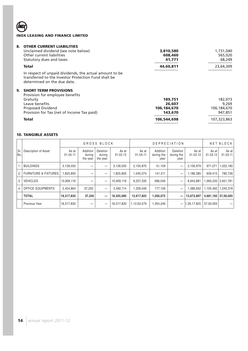**AD** 

## **8. OTHER CURRENT LIABILITIES**

| _______________________________<br>Unclaimed dividend (see note below)<br>Other current liabilities<br>Statutory dues and taxes                | 3,810,580<br>608,460<br>41,771 | 1,731,040<br>565,020<br>68,249 |
|------------------------------------------------------------------------------------------------------------------------------------------------|--------------------------------|--------------------------------|
| Total                                                                                                                                          | 44,60,811                      | 23,64,309                      |
| In respect of unpaid dividends, the actual amount to be<br>transferred to the Investor Protection Fund shall be<br>determined on the due date. |                                |                                |
| 9. SHORT TERM PROVISIONS                                                                                                                       |                                |                                |
| Provision for employee benefits                                                                                                                |                                |                                |
| Gratuity                                                                                                                                       | 189,751                        | 182,073                        |
| Leave benefits                                                                                                                                 | 26,607                         | 9.269                          |
| <b>Proposed Dividend</b>                                                                                                                       | 106,184,670                    | 106,184,670                    |
| Provision for Tax (net of Income Tax paid)                                                                                                     | 143,670                        | 947,851                        |
| <b>Total</b>                                                                                                                                   | 106,544,698                    | 107,323,863                    |
|                                                                                                                                                |                                |                                |

## **10. TANGIBLE ASSETS**

|             |                                 | GROSS BLOCK       |                                |                                       | <b>DEPRECIATION</b> |                   |                                |                                | NET BLOCK         |                   |                   |
|-------------|---------------------------------|-------------------|--------------------------------|---------------------------------------|---------------------|-------------------|--------------------------------|--------------------------------|-------------------|-------------------|-------------------|
| Sr.<br>INo. | Description of Asset            | As at<br>01.04.11 | Addition<br>during<br>the year | <b>Deletion</b><br>during<br>the year | As at<br>31.03.12   | As at<br>01.04.11 | Addition<br>during the<br>year | Deletion<br>during the<br>year | As at<br>31.03.12 | As at<br>31.03.12 | As at<br>31.03.11 |
|             | <b>BUILDINGS</b>                | 3,128,050         |                                | -                                     | 3,128,050           | 2,105,870         | 51,109                         |                                | 2,156,979         | 971,071           | ا 180,22,180.     |
| 2.          | <b>FURNITURE &amp; FIXTURES</b> | 1,825,800         |                                | -                                     | 825,800             | 1,045,074         | 141.311                        | $\overline{\phantom{0}}$       | 1,186,385         | 639.415           | 780.726           |
| 3.          | <b>VEHICLES</b>                 | 10,909,116        |                                |                                       | 10,909,116          | 8,257,335         | 686,546                        |                                | 8,943,881         | 1,965,235         | 2,651,781         |
| 4.          | <b>OFFICE EQUIPMENTS</b>        | 2,454,864         | 37,250                         | $\overline{\phantom{m}}$              | 2,492,114           | 1,209,546         | 177.106                        | -                              | 1,386,652         | 1,105,462         | ا 245.318.        |
|             | <b>TOTAL</b>                    | 18,317,830        | 37,250                         |                                       | 18,355,080          | 12,617,825        | 1,056,072                      | $\qquad \qquad$                | 13,673,897        | 4,681,183         | 57,00,005         |
|             | <b>Previous Year</b>            | 18,317,830        | –                              |                                       | 18,317,830          | 1,12,63,579       | 1,354,246                      | $\qquad \qquad -$              | .26,17,825        | 57,00,005         |                   |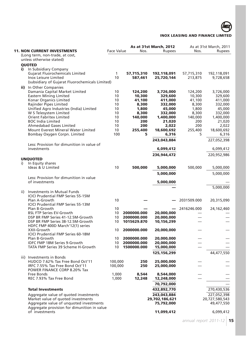

|     |                                                                                        |                    |                 | <b>As at 31st March, 2012</b> |                 | As at 31st March, 2011 |
|-----|----------------------------------------------------------------------------------------|--------------------|-----------------|-------------------------------|-----------------|------------------------|
|     | <b>11. NON CURRENT INVESTMENTS</b>                                                     | Face Value         | Nos.            | <b>Rupees</b>                 | Nos.            | Rupees                 |
|     | (Long term, non-trade, at cost,                                                        |                    |                 |                               |                 |                        |
|     | unless otherwise stated)                                                               |                    |                 |                               |                 |                        |
|     | <b>QUOTED</b>                                                                          |                    |                 |                               |                 |                        |
| i)  | In Subsidiary Company                                                                  |                    |                 |                               |                 |                        |
|     | <b>Gujarat Fluorochemicals Limited</b>                                                 | $\mathbf{1}$       | 57,715,310      | 192,118,091                   | 57,715,310      | 192,118,091            |
|     | Inox Leisure Limited                                                                   | 10                 | 587,461         | 25,720,144                    | 213,875         | 9,728,658              |
|     | (subsidiary of Gujarat Fluorochemicals Limited)                                        |                    |                 |                               |                 |                        |
|     | ii) In Other Companies                                                                 |                    |                 |                               |                 |                        |
|     | Damania Capital Market Limited                                                         | 10                 | 124,200         | 3,726,000                     | 124,200         | 3,726,000              |
|     | <b>Eastern Mining Limited</b>                                                          | 10                 | 10,300          | 329,600                       | 10,300          | 329,600                |
|     | Konar Organics Limited<br>Rajinder Pipes Limited                                       | 10<br>10           | 41,100<br>8,300 | 411,000<br>332,000            | 41,100<br>8,300 | 411,000<br>332,000     |
|     | Unified Agro Industries (India) Limited                                                | 10                 | 1,800           | 45,000                        | 1,800           | 45,000                 |
|     | W S Telesystem Limited                                                                 | 10                 | 8,300           | 332,000                       | 8,300           | 332,000                |
|     | <b>Orient Fabritex Limited</b>                                                         | 10                 | 140,000         | 1,400,000                     | 140,000         | 1,400,000              |
|     | <b>BOC India Limited</b>                                                               | 10                 | 200             | 21,020                        | 200             | 21,020                 |
|     | <b>Ahmedabad Gases Limited</b>                                                         | 10                 | 200             | 2,022                         | 200             | 2,022                  |
|     | Mount Everest Mineral Water Limited                                                    | 10                 | 255,400         | 18,600,692                    | 255,400         | 18,600,692             |
|     | Bombay Oxygen Corpn. Limited                                                           | 100                | 5               | 6,316                         | 5               | 6,316                  |
|     |                                                                                        |                    |                 | 243,043,884                   |                 | 227,052,398            |
|     | Less: Provision for dimunition in value of                                             |                    |                 |                               |                 |                        |
|     | investments                                                                            |                    |                 | 6,099,412                     |                 | 6,099,412              |
|     |                                                                                        |                    |                 | 236,944,472                   |                 | 220,952,986            |
|     | <b>UNQUOTED</b>                                                                        |                    |                 |                               |                 |                        |
| i)  | In Equity shares                                                                       | 10                 |                 |                               |                 |                        |
|     | Ideas & U Limited                                                                      |                    | 500,000         | 5,000,000                     | 500,000         | 5,000,000              |
|     |                                                                                        |                    |                 | 5,000,000                     |                 | 5,000,000              |
|     | Less: Provision for dimunition in value                                                |                    |                 |                               |                 |                        |
|     | of investments                                                                         |                    |                 | 5,000,000                     |                 |                        |
|     |                                                                                        |                    |                 |                               |                 | 5,000,000              |
| ii) | Investments in Mutual Funds                                                            |                    |                 |                               |                 |                        |
|     | <b>ICICI Prudential FMP Series 55-15M</b>                                              |                    |                 |                               |                 |                        |
|     | Plan A-Growth<br><b>ICICI Prudential FMP Series 55-13M</b>                             | 10                 |                 |                               | 2031509.000     | 20,315,090             |
|     | Plan B-Growth                                                                          | 10                 |                 |                               | 2416246.000     | 24,162,460             |
|     | <b>BSL FTP Series EV-Growth</b>                                                        | 10                 | 2000000.000     | 20,000,000                    |                 |                        |
|     | DSP BR FMP Series 41-12.5M-Growth                                                      | 10                 | 2000000.000     | 20,000,000                    |                 |                        |
|     | DSP BR FMP Series 38-12.5M-Growth                                                      | 10                 | 1015629.870     | 10,156,299                    |                 |                        |
|     | HDFC FMP 400D March'12(1) series                                                       |                    |                 |                               |                 |                        |
|     | XXII-Growth                                                                            | 10                 | 2000000.000     | 20,000,000                    |                 |                        |
|     | <b>ICICI Prudential FMP Series 60-18M</b>                                              |                    |                 |                               |                 |                        |
|     | Plan B-Growth                                                                          | 10                 | 2000000.000     | 20,000,000                    |                 |                        |
|     | IDFC FMP 18M Series 9-Growth                                                           | 10                 | 2000000.000     | 20,000,000                    |                 |                        |
|     | TATA FMP Series 39 Scheme H-Growth                                                     | 10                 | 1500000.000     | 15,000,000                    |                 |                        |
|     |                                                                                        |                    |                 | 125, 156, 299                 |                 | 44,477,550             |
|     | iii) Investments in Bonds                                                              |                    |                 |                               |                 |                        |
|     | HUDCO 7.62% Tax Free Bond Oct'11<br>IRFC 7.55% Tax Free Bond Oct'11                    | 100,000<br>100,000 | 250<br>250      | 25,000,000                    |                 |                        |
|     | POWER FINANCE CORP 8.20% Tax                                                           |                    |                 | 25,000,000                    |                 |                        |
|     | Free Bonds                                                                             | 1,000              | 8,544           | 8,544,000                     |                 |                        |
|     | REC 7.93% Tax Free Bond                                                                | 1,000              | 12,248          | 12,248,000                    |                 |                        |
|     |                                                                                        |                    |                 | 70,792,000                    |                 |                        |
|     |                                                                                        |                    |                 |                               |                 |                        |
|     | <b>Total Investments</b>                                                               |                    |                 | 432,892,770                   |                 | 270,430,536            |
|     | Aggregate value of quoted investments                                                  |                    |                 | 243,043,884                   |                 | 227,052,398            |
|     | Market value of quoted investments                                                     |                    |                 | 29,702,186,621                |                 | 20,727,580,543         |
|     | Aggregate value of unquoted investments<br>Aggregate provision for dimunition in value |                    |                 | 75,792,000                    |                 | 49,477,550             |
|     | of investments                                                                         |                    |                 | 11,099,412                    |                 | 6,099,412              |
|     |                                                                                        |                    |                 |                               |                 |                        |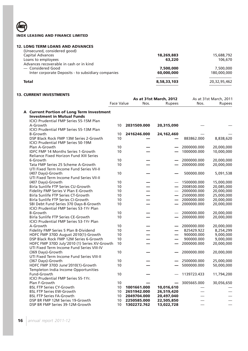## **12. LONG TERM LOANS AND ADVANCES**

| (Unsecured, considered good)                       |             |              |
|----------------------------------------------------|-------------|--------------|
| Capital Advances                                   | 18,269,883  | 15,688,792   |
| Loans to employees                                 | 63,220      | 106,670      |
| Advances recoverable in cash or in kind            |             |              |
| - Considered Good                                  | 7,500,000   | 7,500,000    |
| Inter corporate Deposits - to subsidiary companies | 60,000,000  | 180,000,000  |
| <b>Total</b>                                       | 8,58,33,103 | 20,32,95,462 |
|                                                    |             |              |

## **13. CURRENT INVESTMENTS**

| A Current Portion of Long Term Investment<br><b>Investment in Mutual Funds</b><br><b>ICICI Prudential FMP Series 55-15M Plan</b><br>A-Growth<br>10<br>2031509.000<br>20,315,090<br>ICICI Prudential FMP Series 55-13M Plan<br><b>B-Growth</b><br>10<br>2416246.000<br>24, 162, 460<br>DSP Black Rock FMP 13M Series 2-Growth<br>10<br>883862.000<br>8,838,620<br><b>ICICI Prudential FMP Series 50-19M</b><br>10<br>2000000.000<br>Plan A-Growth<br>20,000,000<br><b>IDFC FMP 14 Months Series 1-Growth</b><br>10<br>1000000.000<br>10,000,000<br><b>Reliance Fixed Horizon Fund XIII Series</b><br>6-Growth<br>10<br>2000000.000<br>20,000,000<br>Tata FMP Series 25 Scheme A-Growth<br>2000000.000<br>10<br>20,000,000<br>UTI Fixed Term Income Fund Series VII-II<br>10<br>(407 Days)-Growth<br>500000.000<br>5,091,538<br>UTI Fixed Term Income Fund Series VII-II<br>(407 Days)-Growth<br>1500000.000<br>15,000,000<br>10<br>Birla Sunlife FTP Series CU-Growth<br>10<br>2008500.000<br>20,085,000<br>Fidelity FMP Series V Plan E-Growth<br>20,000,000<br>10<br>2000000.000<br>Birla Sunlife FTP Series CT-Growth<br>10<br>2500000.000<br>25,000,000<br>$\qquad \qquad$<br>Birla Sunlife FTP Series CI-Growth<br>10<br>2000000.000<br>20,000,000<br>SBI Debt Fund Series 370 Days-8-Growth<br>10<br>2000000.000<br>20,000,000<br>$\overline{\phantom{0}}$<br>ICICI Prudential FMP Series 53-1Yr Plan<br>10<br>20,000,000<br><b>B-Growth</b><br>2000000.000<br>Birla Sunlife FTP Series CE-Growth<br>10<br>2000000.000<br>20,000,000<br>ICICI Prudential FMP Series 53-1Yr Plan<br>10<br>2000000.000<br>20,000,000<br>A-Growth<br>Fidelity FMP Series 5 Plan B-Dividend<br>10<br>825429.922<br>8,254,299<br>HDFC FMP 370D August 2010(1)-Growth<br>10<br>900000.000<br>9,000,000<br>DSP Black Rock FMP 12M Series 6-Growth<br>10<br>900000.000<br>9,000,000<br>10<br>HDFC FMP 370D July'2010 (1) Series XV-Growth<br>2000000.000<br>20,000,000<br>$\overline{\phantom{0}}$<br>UTI Fixed Term Income Fund Series VIII-IV<br>10<br>20,000,000<br>(369 Days)-Growth<br>2000000.000<br>UTI Fixed Term Income Fund Series VIII-II<br>(367 Days)-Growth<br>10<br>2500000.000<br>25,000,000<br>HDFC FMP 370D June'2010(1)-Growth<br>10<br>5000000.000<br>50,000,000<br>Templeton India Income Opportunities<br>Fund-Growth<br>10<br>11,794,200<br>1139723.433<br>ICICI Prudential FMP Series 55-1Yr.<br>Plan F-Growth<br>10<br>3005665.000<br>30,056,650<br>$\overline{\phantom{0}}$<br><b>BSL FTP Series CY-Growth</b><br>10 <sup>°</sup><br>1001661.000<br>10,016,610<br><b>BSL FTP Series EW-Growth</b><br>10<br>2651942.000<br>26,519,420<br><b>BSL FTP Series FA-Growth</b><br>10<br>2049704.000<br>20,497,040<br>DSP BR FMP 12M Series 19-Growth<br>10<br>2250585.000<br>22,505,850<br>DSP BR FMP Series 39-12M-Growth<br>10<br>1302272.762<br>13,022,728 |  |  | <b>As at 31st March, 2012</b><br><b>Face Value</b><br>Nos.<br><b>Rupees</b> |  | As at 31st March, 2011<br>Nos.<br><b>Rupees</b> |  |  |
|---------------------------------------------------------------------------------------------------------------------------------------------------------------------------------------------------------------------------------------------------------------------------------------------------------------------------------------------------------------------------------------------------------------------------------------------------------------------------------------------------------------------------------------------------------------------------------------------------------------------------------------------------------------------------------------------------------------------------------------------------------------------------------------------------------------------------------------------------------------------------------------------------------------------------------------------------------------------------------------------------------------------------------------------------------------------------------------------------------------------------------------------------------------------------------------------------------------------------------------------------------------------------------------------------------------------------------------------------------------------------------------------------------------------------------------------------------------------------------------------------------------------------------------------------------------------------------------------------------------------------------------------------------------------------------------------------------------------------------------------------------------------------------------------------------------------------------------------------------------------------------------------------------------------------------------------------------------------------------------------------------------------------------------------------------------------------------------------------------------------------------------------------------------------------------------------------------------------------------------------------------------------------------------------------------------------------------------------------------------------------------------------------------------------------------------------------------------------------------------------------------------------------------------------------------------------------------------------------------------------------------------------------------------------------------------------------------------------------------------------------------------------------------------------------------------------------------------------------------------|--|--|-----------------------------------------------------------------------------|--|-------------------------------------------------|--|--|
|                                                                                                                                                                                                                                                                                                                                                                                                                                                                                                                                                                                                                                                                                                                                                                                                                                                                                                                                                                                                                                                                                                                                                                                                                                                                                                                                                                                                                                                                                                                                                                                                                                                                                                                                                                                                                                                                                                                                                                                                                                                                                                                                                                                                                                                                                                                                                                                                                                                                                                                                                                                                                                                                                                                                                                                                                                                               |  |  |                                                                             |  |                                                 |  |  |
|                                                                                                                                                                                                                                                                                                                                                                                                                                                                                                                                                                                                                                                                                                                                                                                                                                                                                                                                                                                                                                                                                                                                                                                                                                                                                                                                                                                                                                                                                                                                                                                                                                                                                                                                                                                                                                                                                                                                                                                                                                                                                                                                                                                                                                                                                                                                                                                                                                                                                                                                                                                                                                                                                                                                                                                                                                                               |  |  |                                                                             |  |                                                 |  |  |
|                                                                                                                                                                                                                                                                                                                                                                                                                                                                                                                                                                                                                                                                                                                                                                                                                                                                                                                                                                                                                                                                                                                                                                                                                                                                                                                                                                                                                                                                                                                                                                                                                                                                                                                                                                                                                                                                                                                                                                                                                                                                                                                                                                                                                                                                                                                                                                                                                                                                                                                                                                                                                                                                                                                                                                                                                                                               |  |  |                                                                             |  |                                                 |  |  |
|                                                                                                                                                                                                                                                                                                                                                                                                                                                                                                                                                                                                                                                                                                                                                                                                                                                                                                                                                                                                                                                                                                                                                                                                                                                                                                                                                                                                                                                                                                                                                                                                                                                                                                                                                                                                                                                                                                                                                                                                                                                                                                                                                                                                                                                                                                                                                                                                                                                                                                                                                                                                                                                                                                                                                                                                                                                               |  |  |                                                                             |  |                                                 |  |  |
|                                                                                                                                                                                                                                                                                                                                                                                                                                                                                                                                                                                                                                                                                                                                                                                                                                                                                                                                                                                                                                                                                                                                                                                                                                                                                                                                                                                                                                                                                                                                                                                                                                                                                                                                                                                                                                                                                                                                                                                                                                                                                                                                                                                                                                                                                                                                                                                                                                                                                                                                                                                                                                                                                                                                                                                                                                                               |  |  |                                                                             |  |                                                 |  |  |
|                                                                                                                                                                                                                                                                                                                                                                                                                                                                                                                                                                                                                                                                                                                                                                                                                                                                                                                                                                                                                                                                                                                                                                                                                                                                                                                                                                                                                                                                                                                                                                                                                                                                                                                                                                                                                                                                                                                                                                                                                                                                                                                                                                                                                                                                                                                                                                                                                                                                                                                                                                                                                                                                                                                                                                                                                                                               |  |  |                                                                             |  |                                                 |  |  |
|                                                                                                                                                                                                                                                                                                                                                                                                                                                                                                                                                                                                                                                                                                                                                                                                                                                                                                                                                                                                                                                                                                                                                                                                                                                                                                                                                                                                                                                                                                                                                                                                                                                                                                                                                                                                                                                                                                                                                                                                                                                                                                                                                                                                                                                                                                                                                                                                                                                                                                                                                                                                                                                                                                                                                                                                                                                               |  |  |                                                                             |  |                                                 |  |  |
|                                                                                                                                                                                                                                                                                                                                                                                                                                                                                                                                                                                                                                                                                                                                                                                                                                                                                                                                                                                                                                                                                                                                                                                                                                                                                                                                                                                                                                                                                                                                                                                                                                                                                                                                                                                                                                                                                                                                                                                                                                                                                                                                                                                                                                                                                                                                                                                                                                                                                                                                                                                                                                                                                                                                                                                                                                                               |  |  |                                                                             |  |                                                 |  |  |
|                                                                                                                                                                                                                                                                                                                                                                                                                                                                                                                                                                                                                                                                                                                                                                                                                                                                                                                                                                                                                                                                                                                                                                                                                                                                                                                                                                                                                                                                                                                                                                                                                                                                                                                                                                                                                                                                                                                                                                                                                                                                                                                                                                                                                                                                                                                                                                                                                                                                                                                                                                                                                                                                                                                                                                                                                                                               |  |  |                                                                             |  |                                                 |  |  |
|                                                                                                                                                                                                                                                                                                                                                                                                                                                                                                                                                                                                                                                                                                                                                                                                                                                                                                                                                                                                                                                                                                                                                                                                                                                                                                                                                                                                                                                                                                                                                                                                                                                                                                                                                                                                                                                                                                                                                                                                                                                                                                                                                                                                                                                                                                                                                                                                                                                                                                                                                                                                                                                                                                                                                                                                                                                               |  |  |                                                                             |  |                                                 |  |  |
|                                                                                                                                                                                                                                                                                                                                                                                                                                                                                                                                                                                                                                                                                                                                                                                                                                                                                                                                                                                                                                                                                                                                                                                                                                                                                                                                                                                                                                                                                                                                                                                                                                                                                                                                                                                                                                                                                                                                                                                                                                                                                                                                                                                                                                                                                                                                                                                                                                                                                                                                                                                                                                                                                                                                                                                                                                                               |  |  |                                                                             |  |                                                 |  |  |
|                                                                                                                                                                                                                                                                                                                                                                                                                                                                                                                                                                                                                                                                                                                                                                                                                                                                                                                                                                                                                                                                                                                                                                                                                                                                                                                                                                                                                                                                                                                                                                                                                                                                                                                                                                                                                                                                                                                                                                                                                                                                                                                                                                                                                                                                                                                                                                                                                                                                                                                                                                                                                                                                                                                                                                                                                                                               |  |  |                                                                             |  |                                                 |  |  |
|                                                                                                                                                                                                                                                                                                                                                                                                                                                                                                                                                                                                                                                                                                                                                                                                                                                                                                                                                                                                                                                                                                                                                                                                                                                                                                                                                                                                                                                                                                                                                                                                                                                                                                                                                                                                                                                                                                                                                                                                                                                                                                                                                                                                                                                                                                                                                                                                                                                                                                                                                                                                                                                                                                                                                                                                                                                               |  |  |                                                                             |  |                                                 |  |  |
|                                                                                                                                                                                                                                                                                                                                                                                                                                                                                                                                                                                                                                                                                                                                                                                                                                                                                                                                                                                                                                                                                                                                                                                                                                                                                                                                                                                                                                                                                                                                                                                                                                                                                                                                                                                                                                                                                                                                                                                                                                                                                                                                                                                                                                                                                                                                                                                                                                                                                                                                                                                                                                                                                                                                                                                                                                                               |  |  |                                                                             |  |                                                 |  |  |
|                                                                                                                                                                                                                                                                                                                                                                                                                                                                                                                                                                                                                                                                                                                                                                                                                                                                                                                                                                                                                                                                                                                                                                                                                                                                                                                                                                                                                                                                                                                                                                                                                                                                                                                                                                                                                                                                                                                                                                                                                                                                                                                                                                                                                                                                                                                                                                                                                                                                                                                                                                                                                                                                                                                                                                                                                                                               |  |  |                                                                             |  |                                                 |  |  |
|                                                                                                                                                                                                                                                                                                                                                                                                                                                                                                                                                                                                                                                                                                                                                                                                                                                                                                                                                                                                                                                                                                                                                                                                                                                                                                                                                                                                                                                                                                                                                                                                                                                                                                                                                                                                                                                                                                                                                                                                                                                                                                                                                                                                                                                                                                                                                                                                                                                                                                                                                                                                                                                                                                                                                                                                                                                               |  |  |                                                                             |  |                                                 |  |  |
|                                                                                                                                                                                                                                                                                                                                                                                                                                                                                                                                                                                                                                                                                                                                                                                                                                                                                                                                                                                                                                                                                                                                                                                                                                                                                                                                                                                                                                                                                                                                                                                                                                                                                                                                                                                                                                                                                                                                                                                                                                                                                                                                                                                                                                                                                                                                                                                                                                                                                                                                                                                                                                                                                                                                                                                                                                                               |  |  |                                                                             |  |                                                 |  |  |
|                                                                                                                                                                                                                                                                                                                                                                                                                                                                                                                                                                                                                                                                                                                                                                                                                                                                                                                                                                                                                                                                                                                                                                                                                                                                                                                                                                                                                                                                                                                                                                                                                                                                                                                                                                                                                                                                                                                                                                                                                                                                                                                                                                                                                                                                                                                                                                                                                                                                                                                                                                                                                                                                                                                                                                                                                                                               |  |  |                                                                             |  |                                                 |  |  |
|                                                                                                                                                                                                                                                                                                                                                                                                                                                                                                                                                                                                                                                                                                                                                                                                                                                                                                                                                                                                                                                                                                                                                                                                                                                                                                                                                                                                                                                                                                                                                                                                                                                                                                                                                                                                                                                                                                                                                                                                                                                                                                                                                                                                                                                                                                                                                                                                                                                                                                                                                                                                                                                                                                                                                                                                                                                               |  |  |                                                                             |  |                                                 |  |  |
|                                                                                                                                                                                                                                                                                                                                                                                                                                                                                                                                                                                                                                                                                                                                                                                                                                                                                                                                                                                                                                                                                                                                                                                                                                                                                                                                                                                                                                                                                                                                                                                                                                                                                                                                                                                                                                                                                                                                                                                                                                                                                                                                                                                                                                                                                                                                                                                                                                                                                                                                                                                                                                                                                                                                                                                                                                                               |  |  |                                                                             |  |                                                 |  |  |
|                                                                                                                                                                                                                                                                                                                                                                                                                                                                                                                                                                                                                                                                                                                                                                                                                                                                                                                                                                                                                                                                                                                                                                                                                                                                                                                                                                                                                                                                                                                                                                                                                                                                                                                                                                                                                                                                                                                                                                                                                                                                                                                                                                                                                                                                                                                                                                                                                                                                                                                                                                                                                                                                                                                                                                                                                                                               |  |  |                                                                             |  |                                                 |  |  |
|                                                                                                                                                                                                                                                                                                                                                                                                                                                                                                                                                                                                                                                                                                                                                                                                                                                                                                                                                                                                                                                                                                                                                                                                                                                                                                                                                                                                                                                                                                                                                                                                                                                                                                                                                                                                                                                                                                                                                                                                                                                                                                                                                                                                                                                                                                                                                                                                                                                                                                                                                                                                                                                                                                                                                                                                                                                               |  |  |                                                                             |  |                                                 |  |  |
|                                                                                                                                                                                                                                                                                                                                                                                                                                                                                                                                                                                                                                                                                                                                                                                                                                                                                                                                                                                                                                                                                                                                                                                                                                                                                                                                                                                                                                                                                                                                                                                                                                                                                                                                                                                                                                                                                                                                                                                                                                                                                                                                                                                                                                                                                                                                                                                                                                                                                                                                                                                                                                                                                                                                                                                                                                                               |  |  |                                                                             |  |                                                 |  |  |
|                                                                                                                                                                                                                                                                                                                                                                                                                                                                                                                                                                                                                                                                                                                                                                                                                                                                                                                                                                                                                                                                                                                                                                                                                                                                                                                                                                                                                                                                                                                                                                                                                                                                                                                                                                                                                                                                                                                                                                                                                                                                                                                                                                                                                                                                                                                                                                                                                                                                                                                                                                                                                                                                                                                                                                                                                                                               |  |  |                                                                             |  |                                                 |  |  |
|                                                                                                                                                                                                                                                                                                                                                                                                                                                                                                                                                                                                                                                                                                                                                                                                                                                                                                                                                                                                                                                                                                                                                                                                                                                                                                                                                                                                                                                                                                                                                                                                                                                                                                                                                                                                                                                                                                                                                                                                                                                                                                                                                                                                                                                                                                                                                                                                                                                                                                                                                                                                                                                                                                                                                                                                                                                               |  |  |                                                                             |  |                                                 |  |  |
|                                                                                                                                                                                                                                                                                                                                                                                                                                                                                                                                                                                                                                                                                                                                                                                                                                                                                                                                                                                                                                                                                                                                                                                                                                                                                                                                                                                                                                                                                                                                                                                                                                                                                                                                                                                                                                                                                                                                                                                                                                                                                                                                                                                                                                                                                                                                                                                                                                                                                                                                                                                                                                                                                                                                                                                                                                                               |  |  |                                                                             |  |                                                 |  |  |
|                                                                                                                                                                                                                                                                                                                                                                                                                                                                                                                                                                                                                                                                                                                                                                                                                                                                                                                                                                                                                                                                                                                                                                                                                                                                                                                                                                                                                                                                                                                                                                                                                                                                                                                                                                                                                                                                                                                                                                                                                                                                                                                                                                                                                                                                                                                                                                                                                                                                                                                                                                                                                                                                                                                                                                                                                                                               |  |  |                                                                             |  |                                                 |  |  |
|                                                                                                                                                                                                                                                                                                                                                                                                                                                                                                                                                                                                                                                                                                                                                                                                                                                                                                                                                                                                                                                                                                                                                                                                                                                                                                                                                                                                                                                                                                                                                                                                                                                                                                                                                                                                                                                                                                                                                                                                                                                                                                                                                                                                                                                                                                                                                                                                                                                                                                                                                                                                                                                                                                                                                                                                                                                               |  |  |                                                                             |  |                                                 |  |  |
|                                                                                                                                                                                                                                                                                                                                                                                                                                                                                                                                                                                                                                                                                                                                                                                                                                                                                                                                                                                                                                                                                                                                                                                                                                                                                                                                                                                                                                                                                                                                                                                                                                                                                                                                                                                                                                                                                                                                                                                                                                                                                                                                                                                                                                                                                                                                                                                                                                                                                                                                                                                                                                                                                                                                                                                                                                                               |  |  |                                                                             |  |                                                 |  |  |
|                                                                                                                                                                                                                                                                                                                                                                                                                                                                                                                                                                                                                                                                                                                                                                                                                                                                                                                                                                                                                                                                                                                                                                                                                                                                                                                                                                                                                                                                                                                                                                                                                                                                                                                                                                                                                                                                                                                                                                                                                                                                                                                                                                                                                                                                                                                                                                                                                                                                                                                                                                                                                                                                                                                                                                                                                                                               |  |  |                                                                             |  |                                                 |  |  |
|                                                                                                                                                                                                                                                                                                                                                                                                                                                                                                                                                                                                                                                                                                                                                                                                                                                                                                                                                                                                                                                                                                                                                                                                                                                                                                                                                                                                                                                                                                                                                                                                                                                                                                                                                                                                                                                                                                                                                                                                                                                                                                                                                                                                                                                                                                                                                                                                                                                                                                                                                                                                                                                                                                                                                                                                                                                               |  |  |                                                                             |  |                                                 |  |  |
|                                                                                                                                                                                                                                                                                                                                                                                                                                                                                                                                                                                                                                                                                                                                                                                                                                                                                                                                                                                                                                                                                                                                                                                                                                                                                                                                                                                                                                                                                                                                                                                                                                                                                                                                                                                                                                                                                                                                                                                                                                                                                                                                                                                                                                                                                                                                                                                                                                                                                                                                                                                                                                                                                                                                                                                                                                                               |  |  |                                                                             |  |                                                 |  |  |
|                                                                                                                                                                                                                                                                                                                                                                                                                                                                                                                                                                                                                                                                                                                                                                                                                                                                                                                                                                                                                                                                                                                                                                                                                                                                                                                                                                                                                                                                                                                                                                                                                                                                                                                                                                                                                                                                                                                                                                                                                                                                                                                                                                                                                                                                                                                                                                                                                                                                                                                                                                                                                                                                                                                                                                                                                                                               |  |  |                                                                             |  |                                                 |  |  |
|                                                                                                                                                                                                                                                                                                                                                                                                                                                                                                                                                                                                                                                                                                                                                                                                                                                                                                                                                                                                                                                                                                                                                                                                                                                                                                                                                                                                                                                                                                                                                                                                                                                                                                                                                                                                                                                                                                                                                                                                                                                                                                                                                                                                                                                                                                                                                                                                                                                                                                                                                                                                                                                                                                                                                                                                                                                               |  |  |                                                                             |  |                                                 |  |  |
|                                                                                                                                                                                                                                                                                                                                                                                                                                                                                                                                                                                                                                                                                                                                                                                                                                                                                                                                                                                                                                                                                                                                                                                                                                                                                                                                                                                                                                                                                                                                                                                                                                                                                                                                                                                                                                                                                                                                                                                                                                                                                                                                                                                                                                                                                                                                                                                                                                                                                                                                                                                                                                                                                                                                                                                                                                                               |  |  |                                                                             |  |                                                 |  |  |
|                                                                                                                                                                                                                                                                                                                                                                                                                                                                                                                                                                                                                                                                                                                                                                                                                                                                                                                                                                                                                                                                                                                                                                                                                                                                                                                                                                                                                                                                                                                                                                                                                                                                                                                                                                                                                                                                                                                                                                                                                                                                                                                                                                                                                                                                                                                                                                                                                                                                                                                                                                                                                                                                                                                                                                                                                                                               |  |  |                                                                             |  |                                                 |  |  |
|                                                                                                                                                                                                                                                                                                                                                                                                                                                                                                                                                                                                                                                                                                                                                                                                                                                                                                                                                                                                                                                                                                                                                                                                                                                                                                                                                                                                                                                                                                                                                                                                                                                                                                                                                                                                                                                                                                                                                                                                                                                                                                                                                                                                                                                                                                                                                                                                                                                                                                                                                                                                                                                                                                                                                                                                                                                               |  |  |                                                                             |  |                                                 |  |  |
|                                                                                                                                                                                                                                                                                                                                                                                                                                                                                                                                                                                                                                                                                                                                                                                                                                                                                                                                                                                                                                                                                                                                                                                                                                                                                                                                                                                                                                                                                                                                                                                                                                                                                                                                                                                                                                                                                                                                                                                                                                                                                                                                                                                                                                                                                                                                                                                                                                                                                                                                                                                                                                                                                                                                                                                                                                                               |  |  |                                                                             |  |                                                 |  |  |
|                                                                                                                                                                                                                                                                                                                                                                                                                                                                                                                                                                                                                                                                                                                                                                                                                                                                                                                                                                                                                                                                                                                                                                                                                                                                                                                                                                                                                                                                                                                                                                                                                                                                                                                                                                                                                                                                                                                                                                                                                                                                                                                                                                                                                                                                                                                                                                                                                                                                                                                                                                                                                                                                                                                                                                                                                                                               |  |  |                                                                             |  |                                                 |  |  |
|                                                                                                                                                                                                                                                                                                                                                                                                                                                                                                                                                                                                                                                                                                                                                                                                                                                                                                                                                                                                                                                                                                                                                                                                                                                                                                                                                                                                                                                                                                                                                                                                                                                                                                                                                                                                                                                                                                                                                                                                                                                                                                                                                                                                                                                                                                                                                                                                                                                                                                                                                                                                                                                                                                                                                                                                                                                               |  |  |                                                                             |  |                                                 |  |  |
|                                                                                                                                                                                                                                                                                                                                                                                                                                                                                                                                                                                                                                                                                                                                                                                                                                                                                                                                                                                                                                                                                                                                                                                                                                                                                                                                                                                                                                                                                                                                                                                                                                                                                                                                                                                                                                                                                                                                                                                                                                                                                                                                                                                                                                                                                                                                                                                                                                                                                                                                                                                                                                                                                                                                                                                                                                                               |  |  |                                                                             |  |                                                 |  |  |
|                                                                                                                                                                                                                                                                                                                                                                                                                                                                                                                                                                                                                                                                                                                                                                                                                                                                                                                                                                                                                                                                                                                                                                                                                                                                                                                                                                                                                                                                                                                                                                                                                                                                                                                                                                                                                                                                                                                                                                                                                                                                                                                                                                                                                                                                                                                                                                                                                                                                                                                                                                                                                                                                                                                                                                                                                                                               |  |  |                                                                             |  |                                                 |  |  |
|                                                                                                                                                                                                                                                                                                                                                                                                                                                                                                                                                                                                                                                                                                                                                                                                                                                                                                                                                                                                                                                                                                                                                                                                                                                                                                                                                                                                                                                                                                                                                                                                                                                                                                                                                                                                                                                                                                                                                                                                                                                                                                                                                                                                                                                                                                                                                                                                                                                                                                                                                                                                                                                                                                                                                                                                                                                               |  |  |                                                                             |  |                                                 |  |  |
|                                                                                                                                                                                                                                                                                                                                                                                                                                                                                                                                                                                                                                                                                                                                                                                                                                                                                                                                                                                                                                                                                                                                                                                                                                                                                                                                                                                                                                                                                                                                                                                                                                                                                                                                                                                                                                                                                                                                                                                                                                                                                                                                                                                                                                                                                                                                                                                                                                                                                                                                                                                                                                                                                                                                                                                                                                                               |  |  |                                                                             |  |                                                 |  |  |
|                                                                                                                                                                                                                                                                                                                                                                                                                                                                                                                                                                                                                                                                                                                                                                                                                                                                                                                                                                                                                                                                                                                                                                                                                                                                                                                                                                                                                                                                                                                                                                                                                                                                                                                                                                                                                                                                                                                                                                                                                                                                                                                                                                                                                                                                                                                                                                                                                                                                                                                                                                                                                                                                                                                                                                                                                                                               |  |  |                                                                             |  |                                                 |  |  |
|                                                                                                                                                                                                                                                                                                                                                                                                                                                                                                                                                                                                                                                                                                                                                                                                                                                                                                                                                                                                                                                                                                                                                                                                                                                                                                                                                                                                                                                                                                                                                                                                                                                                                                                                                                                                                                                                                                                                                                                                                                                                                                                                                                                                                                                                                                                                                                                                                                                                                                                                                                                                                                                                                                                                                                                                                                                               |  |  |                                                                             |  |                                                 |  |  |
|                                                                                                                                                                                                                                                                                                                                                                                                                                                                                                                                                                                                                                                                                                                                                                                                                                                                                                                                                                                                                                                                                                                                                                                                                                                                                                                                                                                                                                                                                                                                                                                                                                                                                                                                                                                                                                                                                                                                                                                                                                                                                                                                                                                                                                                                                                                                                                                                                                                                                                                                                                                                                                                                                                                                                                                                                                                               |  |  |                                                                             |  |                                                 |  |  |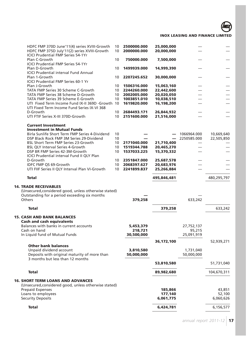| HDFC FMP 370D June'11(4) series XVIII-Growth                                | 10              | 2500000.000             | 25,000,000               |                         |             |
|-----------------------------------------------------------------------------|-----------------|-------------------------|--------------------------|-------------------------|-------------|
| HDFC FMP 375D July'11(2) series XVIII-Growth                                | 10              | 2000000.000             | 20,000,000               |                         |             |
| <b>ICICI Prudential FMP Series 54-1Yr</b>                                   |                 |                         |                          |                         |             |
| Plan C-Growth                                                               | 10              | 750000.000              | 7,500,000                |                         |             |
| <b>ICICI Prudential FMP Series 54-1Yr</b>                                   |                 |                         |                          |                         |             |
| Plan D-Growth<br><b>ICICI Prudential interval Fund Annual</b>               | 10              | 1499939.000             | 14,999,390               |                         |             |
| Plan 1-Growth                                                               | 10              | 2207245.652             | 30,000,000               |                         |             |
| ICICI Prudential FMP Series 60-1 Yr                                         |                 |                         |                          |                         |             |
| Plan J-Growth                                                               | 10              | 1506316.000             | 15,063,160               |                         |             |
| TATA FMP Series 30 Scheme C-Growth                                          | 10              | 2244260.000             | 22,442,600               |                         |             |
| TATA FMP Series 38 Scheme D-Growth                                          | 10              | 2002005.000             | 20,020,050               |                         |             |
| TATA FMP Series 39 Scheme E-Growth                                          | 10 <sup>°</sup> | 1003851.010             | 10,038,510               |                         |             |
| UTI Fixed Term Income Fund IX-II 369D -Growth 10                            |                 | 1619820.000             | 16,198,200               |                         |             |
| UTI Fixed Term Income Fund Series IX-VI 368                                 |                 |                         |                          |                         |             |
| D-Growth<br>UTI FTIF Series X-III 370D-Growth                               | 10              | 2684493.171             | 26,844,932               |                         |             |
|                                                                             | 10              | 2151600.000             | 21,516,000               |                         |             |
| <b>Current Investment</b>                                                   |                 |                         |                          |                         |             |
| <b>Investment in Mutual Funds</b>                                           |                 |                         |                          |                         |             |
| Birla Sunlife Short Term FMP Series 4-Dividend                              | 10              |                         |                          | 1066964.000             | 10,669,640  |
| DSP Black Rock FMP 3M Series 29-Dividend                                    | 10              |                         |                          | 2250585.000             | 22,505,850  |
| BSL Short Term FMP Series 23-Growth                                         | 10              | 2171040.000             | 21,710,400               |                         |             |
| <b>BSL QLY Interval Series 4-Growth</b>                                     | 10              | 1519344.788             | 20,465,270               |                         |             |
| DSP BR FMP Series 42-3M-Growth                                              | 10              | 1537033.225             | 15,370,332               |                         |             |
| ICICI Prudential interval Fund II QLY Plan<br>D-Growth                      | 10              | 2351847.000             |                          |                         |             |
| IDFC FMP QS 69-Growth                                                       | 10              | 2068397.627             | 25,687,578<br>20,683,976 |                         |             |
| UTI FIIF Series II QLY Interval Plan VI-Growth                              | 10 <sup>°</sup> | 2241899.837             | 25,266,884               |                         |             |
|                                                                             |                 |                         |                          |                         |             |
| <b>Total</b>                                                                |                 |                         | 495,846,481              |                         | 480,295,797 |
| <b>14. TRADE RECEIVABLES</b>                                                |                 |                         |                          |                         |             |
| (Unsecured, considered good, unless otherwise stated)                       |                 |                         |                          |                         |             |
| Outstanding for a period exceeding six months                               |                 |                         |                          |                         |             |
| Others                                                                      |                 | 379,258                 |                          | 633,242                 |             |
|                                                                             |                 |                         |                          |                         |             |
|                                                                             |                 |                         |                          |                         |             |
| <b>Total</b>                                                                |                 |                         | 379,258                  |                         | 633,242     |
|                                                                             |                 |                         |                          |                         |             |
| <b>15. CASH AND BANK BALANCES</b>                                           |                 |                         |                          |                         |             |
| <b>Cash and cash equivalents</b><br>Balances with banks in current accounts |                 | 5,453,379               |                          |                         |             |
| Cash on hand                                                                |                 | 218,721                 |                          | 27,752,137<br>95,215    |             |
| In Liquid fund of Mutual Funds                                              |                 | 30,500,000              |                          | 25,091,919              |             |
|                                                                             |                 |                         |                          |                         |             |
| <b>Other bank balances</b>                                                  |                 |                         | 36,172,100               |                         | 52,939,271  |
|                                                                             |                 |                         |                          |                         |             |
| Unpaid dividend account<br>Deposits with original maturity of more than     |                 | 3,810,580<br>50,000,000 |                          | 1,731,040<br>50,000,000 |             |
| 3 months but less than 12 months                                            |                 |                         |                          |                         |             |
|                                                                             |                 |                         | 53,810,580               |                         | 51,731,040  |
|                                                                             |                 |                         |                          |                         |             |
| <b>Total</b>                                                                |                 |                         | 89,982,680               |                         | 104,670,311 |
| <b>16. SHORT TERM LOANS AND ADVANCES</b>                                    |                 |                         |                          |                         |             |
| (Unsecured, considered good, unless otherwise stated)                       |                 |                         |                          |                         |             |
| <b>Prepaid Expenses</b>                                                     |                 |                         | 185,866                  |                         | 43,851      |
| Loans to employees                                                          |                 |                         | 177,140                  |                         | 52,100      |
| <b>Security Deposits</b>                                                    |                 |                         | 6,061,775                |                         | 6,060,626   |
| <b>Total</b>                                                                |                 |                         | 6,424,781                |                         | 6,156,577   |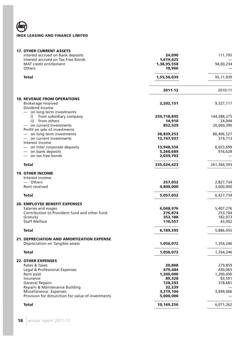**Umra** 

| <b>17. OTHER CURRENT ASSETS</b>                   |             |             |
|---------------------------------------------------|-------------|-------------|
| interest accrued on Bank deposits                 | 24,090      | 111,705     |
| interest accrued on Tax Free Bonds                | 1,619,425   |             |
| <b>MAT</b> credit entitlement                     | 1,38,95,558 | 94,00,234   |
| Others                                            | 10,966      |             |
| <b>Total</b>                                      | 1,55,50,039 | 95,11,939   |
|                                                   | 2011-12     | 2010-11     |
| <b>18. REVENUE FROM OPERATIONS</b>                |             |             |
| Brokerage received                                | 2,202,151   | 9,327,117   |
| Dividend Income                                   |             |             |
| - on long term investments                        |             |             |
| from subsidiary company<br>i)                     | 259,718,895 | 144,288,275 |
| from others<br>ii)                                | 14,910      | 24,044      |
| on current investments                            | 852,529     | 20,060,390  |
| Profit on sale of investments                     |             |             |
| - on long term investments                        | 38,839,253  | 80,406,527  |
| on current investments                            | 12,747,937  | 319,713     |
| Interest income                                   |             |             |
| - on inter corporate deposits                     | 13,948,356  | 6,023,699   |
| $-$ on bank deposits                              | 5,260,689   | 916,628     |
| $-$ on tax free bonds                             | 2,039,703   |             |
| <b>Total</b>                                      | 335,624,423 | 261,366,393 |
| <b>19. OTHER INCOME</b>                           |             |             |
| Interest income                                   |             |             |
| - Others                                          | 257,052     | 2,827,734   |
| Rent received                                     | 4,800,000   | 3,600,000   |
| Total                                             | 5,057,052   | 6,427,734   |
| <b>20. EMPLOYEE BENEFIT EXPENSES</b>              |             |             |
| Salaries and wages                                | 6,048,976   | 5,407,276   |
| Contribution to Provident fund and other fund     | 276,874     | 253,704     |
| Gratuity                                          | 353,188     | 182,073     |
| <b>Staff Welfare</b>                              | 110,557     | 43,002      |
| Total                                             | 6,789,595   | 5,886,055   |
| <b>21. DEPRECIATION AND AMORTIZATION EXPENSE</b>  |             |             |
| Depreciation on Tangible assets                   | 1,056,072   | 1,354,246   |
| <b>Total</b>                                      | 1,056,072   | 1,354,246   |
| <b>22. OTHER EXPENSES</b>                         |             |             |
| Rates & Taxes                                     | 20,808      | 279,859     |
| Legal & Professional Expenses                     | 479,484     | 430,065     |
| Rent paid                                         | 1,200,000   | 1,200,000   |
| Insurance                                         | 89,328      | 83,591      |
| <b>General Repairs</b>                            | 128,293     | 378,681     |
| Repairs & Maintenance Building                    | 32,239      |             |
| Miscellaneous Expenses                            | 3,219,104   | 3,699,066   |
| Provision for dimunition for value of investments | 5,000,000   |             |
| <b>Total</b>                                      | 10,169,256  | 6,071,262   |
|                                                   |             |             |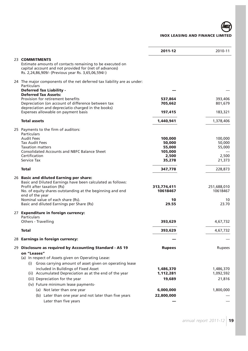|                                                                                                                                                                                                                      | 2011-12                 | 2010-11                 |
|----------------------------------------------------------------------------------------------------------------------------------------------------------------------------------------------------------------------|-------------------------|-------------------------|
| 23 COMMITMENTS<br>Estimate amounts of contacts remaining to be executed on<br>capital account and not provided for (net of advances)<br>Rs. 2,24,86,909/- (Previous year Rs. 3,65,06,594/-)                          |                         |                         |
| 24 The major components of the net deferred tax liability are as under:<br>Particulars<br><b>Deferred Tax Liability -</b>                                                                                            |                         |                         |
| <b>Deferred Tax Assets:</b>                                                                                                                                                                                          |                         |                         |
| Provision for retirement benefits                                                                                                                                                                                    | 537,864                 | 393,406<br>801,679      |
| Depreciation (on account of difference between tax<br>depreciation and depreciatio charged in the books)                                                                                                             | 705,662                 |                         |
| Expenses allowable on payment basis                                                                                                                                                                                  | 197,415                 | 183,321                 |
| <b>Total assets</b>                                                                                                                                                                                                  | 1,440,941               | 1,378,406               |
| 25 Payments to the firm of auditors:<br><b>Particulars</b>                                                                                                                                                           |                         |                         |
| <b>Audit Fees</b>                                                                                                                                                                                                    | 100,000                 | 100,000                 |
| <b>Tax Audit Fees</b><br><b>Taxation matters</b>                                                                                                                                                                     | 50,000<br>55,000        | 50,000<br>55,000        |
| <b>Consolidated Accounts and NBFC Balance Sheet</b>                                                                                                                                                                  | 105,000                 |                         |
| Certification                                                                                                                                                                                                        | 2,500                   | 2,500                   |
| Service Tax                                                                                                                                                                                                          | 35,278                  | 21,373                  |
| Total                                                                                                                                                                                                                | 347,778                 | 228,873                 |
| 26 Basic and diluted Earning per share:<br>Basic and Diluted Earnings have been calculated as follows:<br>Profit after taxation (Rs)<br>No. of equity shares outstanding at the beginning and end<br>end of the year | 313,774,411<br>10618467 | 251,688,010<br>10618467 |
| Nominal value of each share (Rs).                                                                                                                                                                                    | 10                      | 10                      |
| Basic and diluted Earnings per Share (Rs)                                                                                                                                                                            | 29.55                   | 23.70                   |
| 27 Expenditure in foreign currency:<br>Particulars                                                                                                                                                                   |                         |                         |
| Others - Travelling                                                                                                                                                                                                  | 393,629                 | 4,67,732                |
| <b>Total</b>                                                                                                                                                                                                         | 393,629                 | 4,67,732                |
| 28 Earnings in foreign currency:                                                                                                                                                                                     |                         |                         |
| 29 Disclosure as required by Accounting Standard - AS 19<br>on "Leases"<br>(a) In respect of Assets given on Operating Lease:                                                                                        | <b>Rupees</b>           | Rupees                  |
| (i) Gross carrying amount of asset given on operating lease                                                                                                                                                          |                         |                         |
| included in Buildings of Fixed Asset                                                                                                                                                                                 | 1,486,370               | 1,486,370               |
| (ii) Accumulated Depreciation as at the end of the year                                                                                                                                                              | 1,112,281               | 1,092,592               |
| (iii) Depreciation for the year                                                                                                                                                                                      | 19,689                  | 21,816                  |
| (iv) Future minimum lease payments-                                                                                                                                                                                  |                         |                         |
| (a) Not later than one year                                                                                                                                                                                          | 6,000,000               | 1,800,000               |
| (b) Later than one year and not later than five years                                                                                                                                                                | 22,800,000              |                         |
| Later than five years                                                                                                                                                                                                |                         |                         |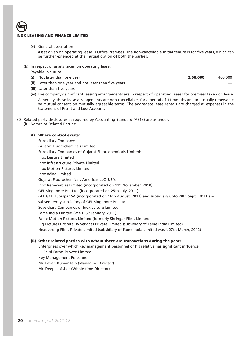(v) General description

Asset given on operating lease is Office Premises. The non-cancellable initial tenure is for five years, which can be further extended at the mutual option of both the parties.

- (b) In respect of assets taken on operating lease:
	- Payable in future
	- (i) Not later than one year **3,00,000** 400,000
	-
	- (ii) Later than one year and not later than five years
	- (iii) Later than five years
	- (iv) The company's significant leasing arrangements are in respect of operating leases for premises taken on lease. Generally, these lease arrangements are non-cancellable, for a period of 11 months and are usually renewable by mutual consent on mutually agreeable terms. The aggregate lease rentals are charged as expenses in the Statement of Profit and Loss Account.

30 Related party disclosures as required by Accounting Standard (AS18) are as under:

(i) Names of Related Parties:

## **A) Where control exists:**

Subsidiary Company: Gujarat Fluorochemicals Limited Subsidiary Companies of Gujarat Fluorochemicals Limited: Inox Leisure Limited Inox Infrastructure Private Limited Inox Motion Pictures Limited Inox Wind Limited Gujarat Fluorochemicals Americas-LLC, USA. Inox Renewables Limited (incorporated on 11th November, 2010) GFL Singapore Pte Ltd. (incorporated on 25th July, 2011) GFL GM Fluorspar SA (incorporated on 16th August, 2011) and subsidiary upto 28th Sept., 2011 and subsequently subsidiary of GFL Singapore Pte Ltd. Subsidiary Companies of Inox Leisure Limited: Fame India Limited (w.e.f. 6<sup>th</sup> January, 2011) Fame Motion Pictures Limited (formerly Shringar Films Limited) Big Pictures Hospitality Services Private Limited (subsidiary of Fame India Limited) Headstrong Films Private Limited (subsidiary of Fame India Limited w.e.f. 27th March, 2012)

## **(B) Other related parties with whom there are transactions during the year:**

Enterprises over which key management personnel or his relative has significant influence — Rajni Farms Private Limited

- Key Management Personnel
- Mr. Pavan Kumar Jain (Managing Director)
- Mr. Deepak Asher (Whole time Director)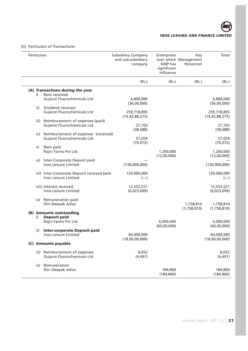

## (ii) Particulars of Transactions:

| Particulars |                                                                           | <b>Subsidiary Company</b><br>and sub-subsidiary<br>company | Enterprises<br><b>KMP</b> has<br>significant<br>influence | Key<br>over which Management<br>Personnel | Total                            |
|-------------|---------------------------------------------------------------------------|------------------------------------------------------------|-----------------------------------------------------------|-------------------------------------------|----------------------------------|
|             |                                                                           | (Rs.)                                                      | (Rs.)                                                     | (Rs.)                                     | (Rs.)                            |
| i)          | (A) Transactions during the year<br>Rent received                         |                                                            |                                                           |                                           |                                  |
|             | <b>Gujarat Fluorochemicals Ltd</b>                                        | 4,800,000<br>(36,00,000)                                   |                                                           |                                           | 4,800,000<br>(36,00,000)         |
| ii)         | Dividend received                                                         |                                                            |                                                           |                                           |                                  |
|             | Gujarat Fluorochemicals Ltd                                               | 259,718,895<br>(14, 42, 88, 275)                           |                                                           |                                           | 259,718,895<br>(14, 42, 88, 275) |
|             | iii) Reimbursement of expenses (paid)                                     |                                                            |                                                           |                                           |                                  |
|             | Gujarat Fluorochemicals Ltd                                               | 27,703<br>(38, 688)                                        |                                                           |                                           | 27,703<br>(38, 688)              |
| iv)         | Reimbursement of expenses (received)                                      |                                                            |                                                           |                                           |                                  |
|             | <b>Gujarat Fluorochemicals Ltd</b>                                        | 57,054<br>(76, 072)                                        |                                                           |                                           | 57,054<br>(76, 072)              |
| v)          | Rent paid                                                                 |                                                            |                                                           |                                           |                                  |
|             | Rajni Farms Pvt Ltd.                                                      |                                                            | 1,200,000<br>(12,00,000)                                  |                                           | 1,200,000                        |
| vi)         | Inter-Corporate Deposit paid                                              |                                                            |                                                           |                                           | (12,00,000)                      |
|             | <b>Inox Leisure Limited</b>                                               | (130,000,000)                                              |                                                           |                                           | (130,000,000)                    |
|             | vii) Inter-Corporate Deposit received back<br><b>Inox Leisure Limited</b> | 120,000,000<br>$(-)$                                       |                                                           |                                           | 120,000,000<br>$(-)$             |
|             | viii) Interest received<br>Inox Leisure Limited                           | 12,553,521<br>(6,023,699)                                  |                                                           |                                           | 12,553,521<br>(6,023,699)        |
|             | ix) Remuneration paid                                                     |                                                            |                                                           |                                           |                                  |
|             | Shri Deepak Asher                                                         |                                                            |                                                           | 1,758,810                                 | 1,758,810                        |
|             |                                                                           |                                                            |                                                           | (1,758,810)                               | (1,758,810)                      |
|             | (B) Amounts outstanding<br><b>Deposit paid</b>                            |                                                            |                                                           |                                           |                                  |
| i)          | Rajni Farms Pvt Ltd.                                                      |                                                            | 6,000,000                                                 |                                           | 6,000,000                        |
|             |                                                                           |                                                            | (60,00,000)                                               |                                           | (60,00,000)                      |
| ii)         | <b>Inter-corporate Deposit paid</b>                                       |                                                            |                                                           |                                           |                                  |
|             | Inox Leisure Limited                                                      | 60,000,000<br>(18,00,00,000)                               |                                                           |                                           | 60,000,000<br>(18,00,00,000)     |
|             | (C) Amounts payable                                                       |                                                            |                                                           |                                           |                                  |
|             | iii) Reimbursement of expenses                                            | 8,052                                                      |                                                           |                                           | 8,052                            |
|             | <b>Gujarat Fluorochemicals Ltd</b>                                        | (4, 491)                                                   |                                                           |                                           | (4, 491)                         |
| iv)         | Remuneration                                                              |                                                            |                                                           |                                           |                                  |
|             | Shri Deepak Asher                                                         |                                                            | 184,860                                                   |                                           | 184,860                          |
|             |                                                                           |                                                            | (184, 860)                                                |                                           | (184, 860)                       |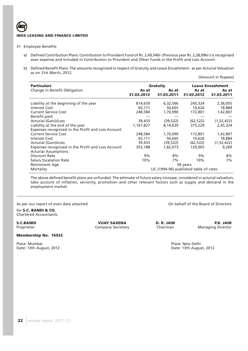- 31 Employee Benefits
	- a) Defined Contribution Plans: Contribution to Provident Fund of Rs. 2,49,540/- (Previous year Rs. 2,28,096/-) is recognised asan expense and included in Contribution to Provident and Other Funds in the Profit and Loss Account.
	- b) Defined Benefit Plans: The amounts recognized in respect of Gratuity and Leave Encashment as per Acturial Valuation as on 31st March, 2012.

| <b>Particulars</b>                                                                |                     | Gratuity                               |                     | <b>Leave Encashment</b> |
|-----------------------------------------------------------------------------------|---------------------|----------------------------------------|---------------------|-------------------------|
| Change in Benefit Obligation                                                      | As at<br>31.03.2012 | As at<br>31.03.2011                    | As at<br>31.03.2012 | As at<br>31.03.2011     |
| Liability at the beginning of the year                                            | 814,639             | 6,32,566                               | 245,324             | 2,36,055                |
| Interest Cost                                                                     | 65,171              | 50,605                                 | 19,626              | 18,884                  |
| <b>Current Service Cost</b>                                                       | 248,584             | 1,70,990                               | 172,801             | 1,42,807                |
| Benefit paid                                                                      |                     |                                        |                     |                         |
| <b>Acturial (Gain)/Loss</b>                                                       | 39,433              | (39, 522)                              | (62, 522)           | (1, 52, 422)            |
| Liability at the end of the year                                                  | 1,167,827           | 8,14,639                               | 375,229             | 2,45,324                |
| Expenses recognized in the Profit and Loss Account                                |                     |                                        |                     |                         |
| <b>Current Service Cost</b>                                                       | 248,584             | 1,70,990                               | 172,801             | 1,42,807                |
| <b>Interest Cost</b>                                                              | 65,171              | 50,605                                 | 19,626              | 18,884                  |
| Acturial (Gain)/Loss                                                              | 39,433              | (39, 522)                              | (62, 522)           | (1, 52, 422)            |
| Expenses recognized in the Profit and Loss Account<br><b>Acturial Assumptions</b> | 353,188             | 1,82,073                               | 129,905             | 9,269                   |
| Discount Rate                                                                     | 9%                  | 8%                                     | 9%                  | 8%                      |
| <b>Salary Escalation Rate</b>                                                     | 10%                 | 7%                                     | 10%                 | 7%                      |
| Retirement Age                                                                    |                     |                                        | 58 years            |                         |
| Mortality                                                                         |                     | LIC (1994-96) published table of rates |                     |                         |

The above defined benefit plans are unfunded. The estimate of future salary increase, considered in acturial valuation, take account of inflation, seniority, promotion and other relevant factors such as supply and demand in the employment market.

As per our report of even date attached On behalf of the Board of Directors

for **S.C. BANDI & CO.** Chartered Accountants

**Membership No. 16932**

Place: Mumbai Place: Mumbai Place: New Delhi<br>
Date: 13th August, 2012<br>
Place: 13th August, 2012 Date: 13th August, 2012

**S.C.BANDI PRESECTE DESCLEMATE PRESECTE D. K. JAIN P.K. JAIN P.K. JAIN Proprietor Company Secretary Chairman Managing Director** Company Secretary

(Amount in Rupees)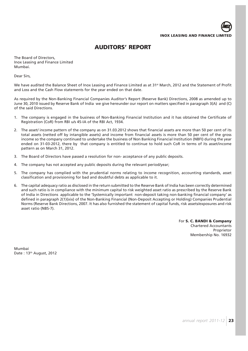

## **AUDITORS' REPORT**

The Board of Directors, Inox Leasing and Finance Limited Mumbai.

Dear Sirs,

We have audited the Balance Sheet of Inox Leasing and Finance Limited as at 31<sup>st</sup> March, 2012 and the Statement of Profit and Loss and the Cash Flow statements for the year ended on that date.

As required by the Non-Banking Financial Companies Auditor's Report (Reserve Bank) Directions, 2008 as amended up to June 30, 2010 issued by Reserve Bank of India we give hereunder our report on matters specified in paragraph 3(A) and (C) of the said Directions.

- 1. The company is engaged in the business of Non-Banking Financial Institution and it has obtained the Certificate of Registration (CoR) from RBI u/s 45-IA of the RBI Act, 1934.
- 2. The asset/ income pattern of the company as on 31.03.2012 shows that financial assets are more than 50 per cent of its total assets (netted off by intangible assets) and income from financial assets is more than 50 per cent of the gross income so the company continued to undertake the business of Non Banking Financial Institution (NBFI) during the year ended on 31-03-2012, there by that company is entitled to continue to hold such CoR in terms of its asset/income pattern as on March 31, 2012.
- 3. The Board of Directors have passed a resolution for non- acceptance of any public deposits.
- 4. The company has not accepted any public deposits during the relevant period/year;
- 5. The company has complied with the prudential norms relating to income recognition, accounting standards, asset classification and provisioning for bad and doubtful debts as applicable to it.
- 6. The capital adequacy ratio as disclosed in the return submitted to the Reserve Bank of India has been correctly determined and such ratio is in compliance with the minimum capital to risk weighted asset ratio as prescribed by the Reserve Bank of India in Directions applicable to the 'Systemically important non-deposit taking non-banking financial company' as defined in paragraph 2(1)(xix) of the Non-Banking Financial (Non-Deposit Accepting or Holding) Companies Prudential Norms (Reserve Bank Directions, 2007. It has also furnished the statement of capital funds, risk assets/exposures and risk asset ratio (NBS-7).

For **S. C. BANDI & Company** Chartered Accountants Proprietor Membership No. 16932

Mumbai Date: 13<sup>th</sup> August, 2012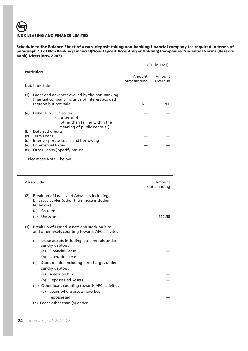**Schedule to the Balance Sheet of a non -deposit taking non-banking financial company (as required in terms of paragraph 13 of Non Banking Financial(Non-Deposit Accepting or Holding) Companies Prudential Norms (Reserve Bank) Directions, 2007)**

|                                                                                                         |                        | (Rs. in Lacs)     |
|---------------------------------------------------------------------------------------------------------|------------------------|-------------------|
| <b>Particulars</b>                                                                                      | Amount<br>out-standing | Amount<br>Overdue |
| Liabilities Side                                                                                        |                        |                   |
| (1)<br>Loans and advances availed by the non-banking<br>financial company inclusive of interest accrued |                        |                   |
| thereon but not paid:                                                                                   | <b>NIL</b>             | <b>NIL</b>        |
| Debentures : Secured<br>(a)<br>: Unsecured                                                              |                        |                   |
| (other than falling within the<br>meaning of public deposit*)                                           |                        |                   |
| <b>Deferred Credits</b><br>(b)                                                                          |                        |                   |
| Term Loans<br>(c)                                                                                       |                        |                   |
| (d)<br>Inter-corporate Loans and borrowing                                                              |                        | $\frac{1}{1}$     |
| <b>Commercial Paper</b><br>(e)                                                                          |                        |                   |
| (f)<br>Other Loans (Specify nature)                                                                     |                        |                   |
| Please see Note 1 below                                                                                 |                        |                   |

|     | Assets Side                                                                                                   | Amount<br>out-standing |
|-----|---------------------------------------------------------------------------------------------------------------|------------------------|
| (2) | Break-up of Loans and Advances including<br>bills receivables (other than those included in<br>$(4)$ below) : |                        |
|     | (a) Secured                                                                                                   |                        |
|     | (b) Unsecured                                                                                                 | 922.58                 |
| (3) | Break up of Leased assets and stock on hire<br>and other assets counting towards AFC activites                |                        |
|     | (i)<br>Lease asssets including lease rentals under<br>sundry debtors:                                         |                        |
|     | (a) Financial Lease                                                                                           |                        |
|     | (b) Operating Lease                                                                                           |                        |
|     | (ii) Stock on hire including hire charges under<br>sundry debtors:                                            |                        |
|     | (a) Assets on hire                                                                                            |                        |
|     | (b) Repossessed Assets                                                                                        |                        |
|     | (iii) Other loans counting towards AFC activities                                                             |                        |
|     | Loans where assets have been<br>(a)                                                                           |                        |
|     | repossessed                                                                                                   |                        |
|     | (b) Loans other than (a) above                                                                                |                        |
|     |                                                                                                               |                        |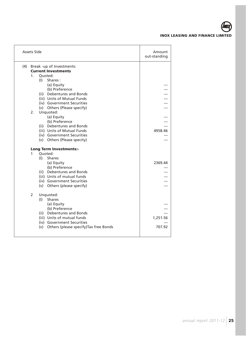

|     | <b>Assets Side</b> |                                                          | Amount<br>out-standing |
|-----|--------------------|----------------------------------------------------------|------------------------|
| (4) |                    | Break -up of Investments:                                |                        |
|     |                    | <b>Current Investments</b>                               |                        |
|     | 1.                 | Ouoted:                                                  |                        |
|     | (1)                | Shares:                                                  |                        |
|     |                    | (a) Equity                                               |                        |
|     |                    | (b) Preference                                           |                        |
|     |                    | (ii) Debentures and Bonds                                | $    -$                |
|     |                    | (iii) Units of Mutual Funds                              |                        |
|     |                    | (iv) Government Securities                               |                        |
|     |                    | (v) Others (Please specify)                              |                        |
|     | 2.                 | Unquoted:                                                |                        |
|     |                    | (a) Equity                                               |                        |
|     |                    | (b) Preference                                           |                        |
|     |                    | (ii) Debentures and Bonds                                |                        |
|     |                    | (iii) Units of Mutual Funds                              | 4958.46                |
|     |                    | (iv) Government Securities                               |                        |
|     |                    | (v) Others (Please specity)                              |                        |
|     |                    | <b>Long Term Investments:-</b>                           |                        |
|     | 1                  | Quoted:                                                  |                        |
|     | (1)                | <b>Shares</b>                                            |                        |
|     |                    | (a) Equity                                               | 2369.44                |
|     |                    | (b) Preference                                           |                        |
|     |                    | (ii) Debentures and Bonds                                |                        |
|     |                    | (iii) Units of mutual funds                              |                        |
|     |                    | (iv) Government Securities                               |                        |
|     |                    | (v) Others (please specify)                              |                        |
|     |                    |                                                          |                        |
|     | 2                  | Unquoted:<br><b>Shares</b>                               |                        |
|     | (1)                |                                                          |                        |
|     |                    | (a) Equity                                               |                        |
|     |                    | (b) Preference                                           |                        |
|     |                    | (ii) Debentures and Bonds<br>(iii) Units of mutual funds |                        |
|     |                    |                                                          | 1,251.56               |
|     |                    | (iv) Government Securities                               |                        |
|     |                    | (v) Others (please specify) Tax free Bonds               | 707.92                 |
|     |                    |                                                          |                        |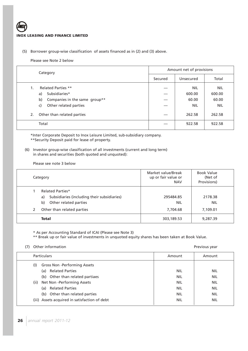## (5) Borrower group-wise classification of assets financed as in (2) and (3) above.

## Please see Note 2 below

|    | Category                            |         | Amount net of provisions |            |  |
|----|-------------------------------------|---------|--------------------------|------------|--|
|    |                                     | Secured | Unsecured                | Total      |  |
| 1. | <b>Related Parties **</b>           |         | <b>NIL</b>               | <b>NIL</b> |  |
|    | Subsidiaries*<br>a)                 |         | 600.00                   | 600.00     |  |
|    | Companies in the same group**<br>b) |         | 60.00                    | 60.00      |  |
|    | Other related parties<br>c)         |         | <b>NIL</b>               | <b>NIL</b> |  |
| 2. | Other than related parties          |         | 262.58                   | 262.58     |  |
|    | Total                               |         | 922.58                   | 922.58     |  |

\*Inter Corporate Deposit to Inox Leisure Limited, sub-subsidiary company. \*\*Security Deposit paid for lease of property.

(6) Investor group-wise classification of all investments (current and long term) in shares and securities (both quoted and unquoted):

Please see note 3 below

|   | Category                                                                                                                                  | Market value/Break<br>up or fair value or<br><b>NAV</b> | <b>Book Value</b><br>(Net of<br>Provisions) |
|---|-------------------------------------------------------------------------------------------------------------------------------------------|---------------------------------------------------------|---------------------------------------------|
| 2 | <b>Related Parties*</b><br>Subsidiaries (including their subsidiaries)<br>a)<br>Other related parties<br>b)<br>Other than related parties | 295484.85<br><b>NIL</b><br>7,704.68                     | 2178.38<br><b>NIL</b><br>7,109.01           |
|   | <b>Total</b>                                                                                                                              | 303,189.53                                              | 9,287.39                                    |

\* As per Accounting Standard of ICAI (Please see Note 3)

\*\* Break up or fair value of investments in unquoted equity shares has been taken at Book Value.

(7) Other information and the extension of the extension of the extension of the Previous year and the extension of the extension of the extension of the extension of the extension of the extension of the extension of the

| <b>Particulars</b>                            | Amount     | Amount     |
|-----------------------------------------------|------------|------------|
| Gross Non -Performing Assets<br>(1)           |            |            |
| <b>Related Parties</b><br>(a)                 | <b>NIL</b> | NIL        |
| Other than related partiaes<br>(b)            | <b>NIL</b> | NIL        |
| Net Non-Performing Assets<br>(ii)             | <b>NIL</b> | <b>NIL</b> |
| <b>Related Parties</b><br>(a)                 | <b>NIL</b> | <b>NIL</b> |
| Other than related parties<br>(b)             | <b>NIL</b> | NIL        |
| (iii) Assets acquired in satisfaction of debt | <b>NIL</b> | NIL        |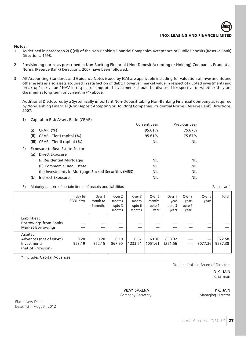#### **Notes:**

- 1 As defined in paragraph 2(1)(xii) of the Non-Banking Financial Companies Acceptance of Public Deposits (Reserve Bank) Directions, 1998.
- 2 Provisioning norms as prescribed in Non-Banking Financial ( Non-Deposit Accepting or Holding) Companies Prudential Norms (Reserve Bank) Directions, 2007 have been followed.
- 3 All Accounting Standards and Guidance Notes issued by ICAI are applicable including for valuation of investments and other assets as also assets acquired in satisfaction of debt. Howerver, market value in respect of quoted investments and break up/ fair value / NAV in respect of unquoted investments should be disclosed irrespective of whether they are classified as long term or current in (4) above.

Additional Disclosures by a Systemically important Non-Deposit taking Non-Banking Financial Company as required by Non-Banking Financial (Non Deposit Accepting or Holidng) Companies Prudential Norms (Reserve Bank) Directions, 2007.

#### 1) Capital to Risk Assets Ratio (CRAR)

|    |                                                       | Current year | Previous year |
|----|-------------------------------------------------------|--------------|---------------|
|    | CRAR(%)<br>(i)                                        | 95.61%       | 75.67%        |
|    | CRAR - Tier I capital (%)<br>(ii)                     | 95.61%       | 75.67%        |
|    | (iii) $CRAR - Tier II capital (%)$                    | <b>NIL</b>   | <b>NIL</b>    |
| 2) | <b>Exposure to Real Estate Sector</b>                 |              |               |
|    | Direct Exposure<br>(a)                                |              |               |
|    | (i) Residential Mortgages                             | <b>NIL</b>   | <b>NIL</b>    |
|    | (ii) Commercial Real Estate                           | <b>NIL</b>   | <b>NIL</b>    |
|    | (iii) Investments in Mortgage Backed Securities (MBS) | <b>NIL</b>   | <b>NIL</b>    |
|    | Indirect Exposure<br>(b)                              | NIL          | <b>NIL</b>    |

3) Maturity pattern of certain items of assets and liabilities (Rs. in Lacs) Maturity pattern of certain items of assets and liabilities

1 day to | Over 1 | Over 2 | Over 3 | Over 6 | Over 1 | Over 3 | Over 5 | Total 30/31 days | month to | months | month | months | year | years | years  $2$  months | upto 3 | upto 6 | upto 1 | upto 3 | upto 5 months | months | year | years | years Liabilities : Borrowings from Banks Market Borrowings Assets : Advances (net of NPA's) 0.20 0.20 0.19 0.57 63.10 858.32 — — 922.58 Investments 953.19 852.15 867.90 1233.61 1051.61 1251.56 — 3077.36 9287.38 (net of Provision)

\* includes Capital Advances

On behalf of the Board of Directors

D.K. JAIN Chairman

VIJAY SAXENA P.K. JAIN Company Secretary **Managing Director** 

Place: New Delhi Date: 13th August, 2012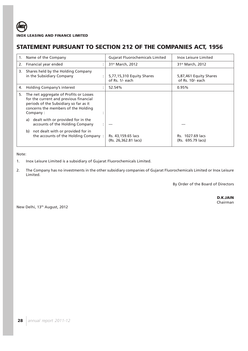# **STATEMENT PURSUANT TO SECTION 212 OF THE COMPANIES ACT, 1956**

| 1. | Name of the Company                                                                                                                                                           | <b>Gujarat Fluorochemicals Limited</b>       | <b>Inox Leisure Limited</b>                |
|----|-------------------------------------------------------------------------------------------------------------------------------------------------------------------------------|----------------------------------------------|--------------------------------------------|
| 2. | Financial year ended                                                                                                                                                          | 31 <sup>st</sup> March, 2012                 | 31 <sup>st</sup> March, 2012               |
| 3. | Shares held by the Holding Company<br>in the Subsidiary Company                                                                                                               | 5,77,15,310 Equity Shares<br>of Rs. 1/- each | 5,87,461 Equity Shares<br>of Rs. 10/- each |
| 4. | Holding Company's interest                                                                                                                                                    | 52.54%                                       | 0.95%                                      |
| 5. | The net aggregate of Profits or Losses<br>for the current and previous financial<br>periods of the Subsidiary so far as it<br>concerns the members of the Holding<br>Company: |                                              |                                            |
|    | dealt with or provided for in the<br>a)<br>accounts of the Holding Company                                                                                                    |                                              |                                            |
|    | not dealt with or provided for in<br>b)<br>the accounts of the Holding Company:                                                                                               | Rs. 43,159.65 lacs<br>(Rs. 26,362.81 lacs)   | Rs. 1027.69 lacs<br>(Rs. 695.79 lacs)      |

## Note:

- 1. Inox Leisure Limited is a subsidiary of Gujarat Fluorochemicals Limited.
- 2. The Company has no investments in the other subsidiary companies of Gujarat Fluorochemicals Limited or Inox Leisure Limited.

By Order of the Board of Directors

New Delhi, 13th August, 2012

 **D.K.JAIN** Chairman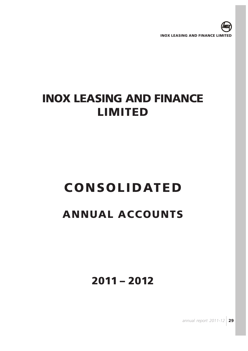

# **CONSOLIDATED**

# **ANNUAL ACCOUNTS**

**2011 – 2012**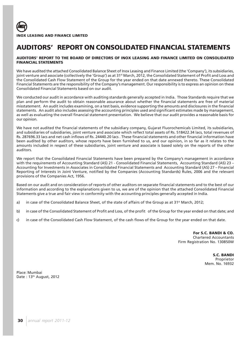

# **AUDITORS' REPORT ON CONSOLIDATED FINANCIAL STATEMENTS**

## **AUDITORS' REPORT TO THE BOARD OF DIRECTORS OF INOX LEASING AND FINANCE LIMITED ON CONSOLIDATED FINANCIAL STATEMENTS**

We have audited the attached Consolidated Balance Sheet of Inox Leasing and Finance Limited (the 'Company'), its subsidiaries, joint venture and associate (collectively the 'Group') as at 31st March, 2012, the Consolidated Statement of Profit and Loss and the Consolidated Cash Flow Statement of the Group for the year ended on that date annexed thereto. These Consolidated Financial Statements are the responsibility of the Company's management. Our responsibility is to express an opinion on these Consolidated Financial Statements based on our audit.

We conducted our audit in accordance with auditing standards generally accepted in India. Those Standards require that we plan and perform the audit to obtain reasonable assurance about whether the financial statements are free of material misstatement. An audit includes examining, on a test basis, evidence supporting the amounts and disclosures in the financial statements. An audit also includes assessing the accounting principles used and significant estimates made by management, as well as evaluating the overall financial statement presentation. We believe that our audit provides a reasonable basis for our opinion.

We have not audited the financial statements of the subsidiary company, Gujarat Fluorochemicals Limited, its subsidiaries, and subsidiaries of subsidiaries, joint venture and associate which reflect total assets of Rs. 518422.34 lacs, total revenues of Rs. 287696.33 lacs and net cash inflows of Rs. 24440.20 lacs . These financial statements and other financial information have been audited by other auditors, whose reports have been furnished to us, and our opinion, in so far as it relates to the amounts included in respect of these subsidiaries, joint venture and associate is based solely on the reports of the other auditors.

We report that the Consolidated Financial Statements have been prepared by the Company's management in accordance with the requirements of Accounting Standard (AS) 21 - Consolidated Financial Statements, Accounting Standard (AS) 23 – Accounting for Investments in Associates in Consolidated Financial Statements and Accounting Standard (AS) 27 – Financial Reporting of Interests in Joint Venture, notified by the Companies (Accounting Standards) Rules, 2006 and the relevant provisions of the Companies Act, 1956.

Based on our audit and on consideration of reports of other auditors on separate financial statements and to the best of our information and according to the explanations given to us, we are of the opinion that the attached Consolidated Financial Statements give a true and fair view in conformity with the accounting principles generally accepted in India.

- a) in case of the Consolidated Balance Sheet, of the state of affairs of the Group as at 31<sup>st</sup> March, 2012;
- b) in case of the Consolidated Statement of Profit and Loss, of the profit of the Group for the year ended on that date; and
- c) in case of the Consolidated Cash Flow Statement, of the cash flows of the Group for the year ended on that date.

**For S.C. BANDI & CO.** Chartered Accountants Firm Registration No. 130850W

> **S.C. BANDI** Proprietor Mem. No. 16932

Place: Mumbai Date: 13<sup>th</sup> August, 2012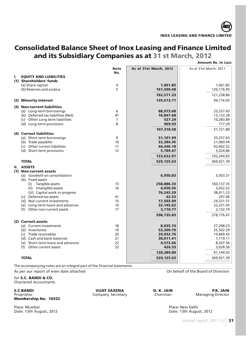# **Consolidated Balance Sheet of Inox Leasing and Finance Limited and its Subsidiary Companies as at 31 st March, 2012**

|    |                                                   |                    |                        | <b>Amount Rs. in Lacs</b> |
|----|---------------------------------------------------|--------------------|------------------------|---------------------------|
|    |                                                   | <b>Note</b><br>No. | As at 31st March, 2012 | As at 31st March, 2011    |
| ı. | <b>EQUITY AND LIABILITIES</b>                     |                    |                        |                           |
|    | (1) Shareholders' funds                           |                    |                        |                           |
|    | (a) Share capital                                 | 4                  | 1,061.85               | 1,061.85                  |
|    | (b) Reserves and surplus                          | 5                  | 161,509.48             | 120,176.95                |
|    |                                                   |                    | 162,571.33             | 121,238.80                |
|    | (2) Minority interest                             |                    | 135,613.71             | 94,716.05                 |
|    | (3) Non-current liabilities                       |                    |                        |                           |
|    | (a) Long-term borrowings                          | 6                  | 88,973.68              | 25,537.43                 |
|    | (b) Deferred tax liabilities (Net)                | 41                 | 16,847.68              | 15,123.28                 |
|    | (c) Other Long term liabilities                   | 7                  | 527.29                 | 10,283.89                 |
|    | (d) Long-term provisions                          | 8                  | 969.93                 | 777.29                    |
|    |                                                   |                    | 107,318.58             | 51,721.89                 |
|    | (4) Current liabilities                           |                    |                        |                           |
|    | (a) Short-term borrowings                         | 9                  | 51,101.99              | 35,257.03                 |
|    | (b) Trade payables                                | 10                 | 22,284.36              | 21,060.44                 |
|    | (c) Other current liabilities                     | 11                 | 44,446.18              | 42,602.32                 |
|    | (d) Short-term provisions                         | 12                 | 5,789.47               | 3,324.86                  |
|    |                                                   |                    | 123,622.01             | 102,244.65                |
|    | <b>TOTAL</b>                                      |                    | 529,125.63             | 369,921.39                |
|    | II. ASSETS                                        |                    |                        |                           |
|    | (1) Non-current assets                            |                    |                        |                           |
|    | (a) Goodwill on consolidation<br>(b) Fixed assets |                    | 6,950.83               | 5,053.31                  |
|    | (i) Tangible assets                               | 13                 | 258,086.33             | 183, 137.35               |
|    | (ii) Intangible assets                            | 14                 | 4,650.56               | 3,032.22                  |
|    | (iii) Capital work-in-progress                    |                    | 76,245.20              | 38,411.23                 |
|    | (c) Deferred tax assets                           | 41                 | 42.53                  | 247.06                    |
|    | (d) Non-current investments                       | 15                 | 17,503.99              | 24,531.51                 |
|    | (e) Long-term loans and advances                  | 16                 | 32,145.62              | 22,231.05                 |
|    | (f) Other non-current assets                      | 17                 | 3,110.77               | 2,132.74                  |
|    |                                                   |                    | 398,735.83             | 278,776.47                |
|    | (2) Current assets                                |                    |                        |                           |
|    | (a) Current investments                           | 18                 | 8,035.74               | 27,298.23                 |
|    | (b) Inventories                                   | 19                 | 53,309.70              | 25,502.29                 |
|    | (c) Trade receivables                             | 20                 | 29,032.76              | 19,849.43                 |
|    | (d) Cash and bank balances                        | 21                 | 30,011.41              | 7,119.11                  |
|    | (e) Short-term loans and advances                 | 22                 | 9,573.66               | 8,347.56                  |
|    | (f) Other current assets                          | 23                 | 426.53                 | 3,028.30                  |
|    |                                                   |                    | 130,389.80             | 91,144.92                 |
|    | <b>TOTAL</b>                                      |                    | 529,125.63             | 369,921.39                |
|    |                                                   |                    |                        |                           |

The accompanying notes are an integral part of the financial statements

As per our report of even date attached On behalf of the Board of Directors

for **S.C. BANDI & CO.** Chartered Accountants

**S.C.BANDI P.K. JAIN P.K. JAIN P.R. JAIN P.R. JAIN P.R. JAIN Proprietor Company Secretary Chairman Chainman Managing Director Membership No. 16932**

Company Secretary

Date: 13th August, 2012

Place: Mumbai Place: New Delhi<br>
Date: 13th August, 2012<br>
Date: 13th August, 2012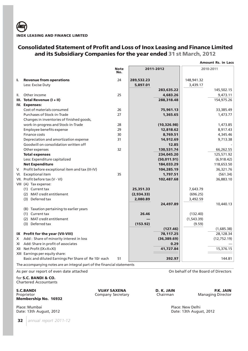## **Consolidated Statement of Profit and Loss of Inox Leasing and Finance Limited and its Subsidiary Companies for the year ended 31 st March, 2012**

|    |                                                                         |                    |            |              |             | <b>Amount Rs. in Lacs</b> |
|----|-------------------------------------------------------------------------|--------------------|------------|--------------|-------------|---------------------------|
|    |                                                                         | <b>Note</b><br>No. |            | 2011-2012    |             | 2010-2011                 |
| L. | <b>Revenue from operations</b>                                          | 24                 | 289,532.23 |              | 148,941.32  |                           |
|    | Less: Excise Duty                                                       |                    | 5,897.01   |              | 3,439.17    |                           |
|    |                                                                         |                    |            | 283,635.22   |             | 145,502.15                |
| Ш. | Other income                                                            | 25                 |            | 4,683.26     |             | 9,473.11                  |
|    | III. Total Revenue (I + II)                                             |                    |            | 288,318.48   |             | 154,975.26                |
|    | IV. Expenses:                                                           |                    |            |              |             |                           |
|    | Cost of materials consumed                                              | 26                 |            | 75,961.13    |             | 33,385.49                 |
|    | Purchases of Stock-in-Trade                                             | 27                 |            | 1,365.65     |             | 1,473.77                  |
|    | Changes in inventories of finished goods,                               |                    |            |              |             |                           |
|    | work-in-progress and Stock-in-Trade                                     | 28                 |            | (10, 326.98) |             | 1,473.85                  |
|    | Employee benefits expense                                               | 29                 |            | 12,818.62    |             | 8,917.43                  |
|    | Finance costs                                                           | 30                 |            | 8,769.51     |             | 4,345.46                  |
|    | Depreciation and amortization expense                                   | 31                 |            | 14,912.69    |             | 9,713.38                  |
|    | Goodwill on consolidation written off                                   |                    |            | 12.85        |             |                           |
|    | Other expenses                                                          | 32                 |            | 130,531.74   |             | 66,262.55                 |
|    | <b>Total expenses</b>                                                   |                    |            | 234,045.20   |             | 125,571.92                |
|    | Less: Expenditure capitalized                                           |                    |            | (50, 011.91) |             | (6,918.42)                |
|    | <b>Net Expenditure</b>                                                  |                    |            | 184,033.29   |             | 118,653.50                |
| V. | Profit before exceptional item and tax (III-IV)                         |                    |            | 104,285.19   |             | 36,321.76                 |
|    | VI. Exceptional item                                                    | 35                 |            | 1,797.51     |             | (561.34)                  |
|    | VII. Profit before tax (V - VI)                                         |                    |            | 102,487.68   |             | 36,883.10                 |
|    | VIII (A) Tax expense:                                                   |                    |            |              |             |                           |
|    | (1) Current tax                                                         |                    | 25,351.33  |              | 7,643.79    |                           |
|    | (2) MAT credit entitlement                                              |                    | (2,934.33) |              | (696.25)    |                           |
|    | (3) Deferred tax                                                        |                    | 2,080.89   |              | 3,492.59    |                           |
|    |                                                                         |                    |            | 24,497.89    |             | 10,440.13                 |
|    | (B) Taxation pertaining to earlier years                                |                    |            |              |             |                           |
|    | (1) Current tax                                                         |                    | 26.46      |              | (132.40)    |                           |
|    | (2) MAT credit entitlement                                              |                    |            |              | (1, 543.39) |                           |
|    | (3) Deferred tax                                                        |                    | (153.92)   |              | (9.59)      |                           |
|    |                                                                         |                    |            | (127.46)     |             | (1,685.38)                |
|    | IX Profit for the year (VII-VIII)                                       |                    |            | 78,117.25    |             | 28,128.34                 |
|    | X Add : Share of minority interest in loss                              |                    |            | (36, 389.69) |             | (12, 752.19)              |
|    | XI Add: Share in profit of associates                                   |                    |            | 0.29         |             |                           |
|    | XII Net Profit (IX+X+XI)                                                |                    |            | 41,727.84    |             | 15,376.15                 |
|    | XIII Earnings per equity share:                                         |                    |            |              |             |                           |
|    | Basic and diluted Earnings Per Share of Re 10/- each                    | 51                 |            | 392.97       |             | 144.81                    |
|    | The accompanying notes are an integral part of the financial statements |                    |            |              |             |                           |

Company Secretary

for **S.C. BANDI & CO.** Chartered Accountants

**S.C.BANDI P.K. JAIN P.K. JAIN P.K. JAIN P.R. JAIN Proprietor Company Secretary D. K. JAIN Proprietor Managing Director Membership No. 16932**

Place: Mumbai Place: Mumbai Place: New Delhi<br>
Date: 13th August, 2012

**32** *annual report 2011-12*

As per our report of even date attached On behalf of the Board of Directors

Date: 13th August, 2012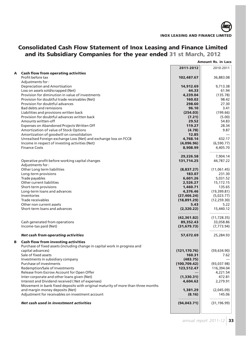# **Consolidated Cash Flow Statement of Inox Leasing and Finance Limited and its Subsidiary Companies for the year ended 31 st March, 2012**

|   |                                                                                  |                      | <b>Amount Rs. in Lacs</b>  |
|---|----------------------------------------------------------------------------------|----------------------|----------------------------|
|   |                                                                                  | 2011-2012            | 2010-2011                  |
| Α | <b>Cash flow from operating activities</b>                                       |                      |                            |
|   | Profit before tax                                                                | 102,487.67           | 36,883.08                  |
|   | Adjustments for:                                                                 |                      |                            |
|   | Depreciation and Amortisation                                                    | 14,912.69            | 9,713.38                   |
|   | Loss on assets sold/scrapped (Net)                                               | 44.33                | 61.94                      |
|   | Provision for diminution in value of investments                                 | 4,239.04             | (135.78)                   |
|   | Provision for doubtful trade receivables (Net)                                   | 160.02               | 98.42                      |
|   | Provision for doubtful advances                                                  | 298.60               | 27.30                      |
|   | <b>Bad debts and remissions</b>                                                  | 96.10                | 3.41                       |
|   | Liabilities and provisions written back                                          | (254.03)             | (199.66)                   |
|   | Provision for doubtful advances written back                                     | (7.21)               | (5.00)                     |
|   | Amounts written-off                                                              | 29.52                | 54.83                      |
|   | Expenses on Abandoned Projects Written Off                                       | 119.27               | 28.34                      |
|   | Amortization of value of Stock Options                                           | (4.78)               | 9.87                       |
|   | Amortization of goodwill on consolidation                                        | 12.85                |                            |
|   | Unreailsed Foreign exchange Loss (Net) and exchange loss on FCCB                 | 4,768.14             | 432.17                     |
|   | Income in respect of investing activities (Net)                                  | (4,096.96)           | (6,590.77)                 |
|   | <b>Finance Costs</b>                                                             | 8,908.99             | 4,405.70                   |
|   |                                                                                  |                      |                            |
|   |                                                                                  | 29,226.58            | 7,904.14                   |
|   |                                                                                  |                      |                            |
|   | Operative profit before working capital changes                                  | 131,714.25           | 44,787.22                  |
|   | Adjustments for:                                                                 |                      |                            |
|   | Other Long term liabilities<br>Long-term provisions                              | (8,837.27)<br>183.07 | (11,061.45)<br>231.30      |
|   | Trade payables                                                                   | 6,601.26             | 5,031.52                   |
|   | Other current liabilities                                                        | 2,526.27             | 15,172.15                  |
|   |                                                                                  | 1,460.71             | 135.65                     |
|   | Short-term provisions<br>Long-term loans and advances                            | 4,376.46             | (19,399.81)                |
|   | Inventories                                                                      |                      |                            |
|   | Trade receivables                                                                | (27, 466.24)         | (5,023.77)<br>(12, 259.30) |
|   | Other non current assets                                                         | (18,891.29)<br>5.43  | 5.22                       |
|   | Short-term loans and advances                                                    |                      |                            |
|   |                                                                                  | (2,320.22)           | 15,440.12                  |
|   |                                                                                  | (42, 361.82)         | (11, 728.35)               |
|   | Cash generated from operations                                                   | 89,352.43            | 33,058.86                  |
|   | Income-tax paid (Net)                                                            | (31, 679.73)         | (7, 773.94)                |
|   |                                                                                  |                      |                            |
|   | Net cash from operating activities                                               | 57,672.69            | 25,284.93                  |
|   |                                                                                  |                      |                            |
| B | <b>Cash flow from investing activities</b>                                       |                      |                            |
|   | Purchase of fixed assets (including change in capital work in progress and       |                      |                            |
|   | capital advances)                                                                | (121, 170.76)        | (59,634.90)                |
|   | Sale of fixed assets                                                             | 160.31               | 7.62                       |
|   | Investments in subsidiary company                                                | (483.75)             |                            |
|   | Purchase of investments                                                          | (100, 709.42)        | (93,037.98)                |
|   | Redemption/Sale of Investments                                                   | 123,512.47           | 116,394.04                 |
|   | Release from Escrow Account for Open Offer                                       |                      | 4,221.54                   |
|   | Inter-corporate and other loans given (Net)                                      | (1,330.31)           | 472.81                     |
|   | Interest and Dividend received (Net of expenses)                                 | 4,604.62             | 2,279.91                   |
|   | Movement in bank fixed deposits with original maturity of more than three months |                      |                            |
|   | and margin money deposits (Net)                                                  | 1,381.29             | (2,045.09)                 |
|   | Adjustment for receivables on investment account                                 | (8.16)               | 145.06                     |
|   |                                                                                  |                      |                            |
|   | Net cash used in investment activities                                           | (94, 043.71)         | (31, 196.99)               |
|   |                                                                                  |                      |                            |
|   |                                                                                  |                      |                            |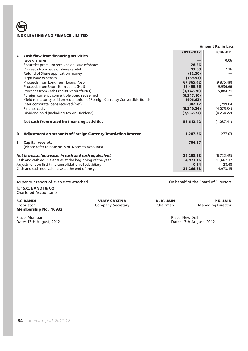|   |                                                                              |             | <b>Amount Rs. in Lacs</b> |
|---|------------------------------------------------------------------------------|-------------|---------------------------|
|   |                                                                              | 2011-2012   | 2010-2011                 |
| C | <b>Cash flow from financing activities</b>                                   |             |                           |
|   | Issue of shares                                                              |             | 0.06                      |
|   | Securities premium received on issue of shares                               | 28.26       |                           |
|   | Proceeds from issue of share capital                                         | 13.83       | 7.16                      |
|   | Refund of Share application money                                            | (12.50)     |                           |
|   | Right issue expenses                                                         | (169.93)    |                           |
|   | Proceeds from Long Term Loans (Net)                                          | 67,365.42   | (9,875.48)                |
|   | Proceeds from Short Term Loans (Net)                                         | 18,499.65   | 9,936.66                  |
|   | Proceeds from Cash Credit/Overdraft(Net)                                     | (3, 147.78) | 5,884.71                  |
|   | Foreign currency convertible bond redeemed                                   | (6, 247.10) |                           |
|   | Yield to maturity paid on redemption of Foreign Currency Convertible Bonds   | (906.63)    |                           |
|   | Inter-corporate loans received (Net)                                         | 382.17      | 1,299.04                  |
|   | Finance costs                                                                | (9,240.24)  | (4,075.34)                |
|   | Dividend paid (Including Tax on Dividend)                                    | (7, 952.73) | (4,264.22)                |
|   | Net cash from /(used in) financing activities                                | 58,612.42   | (1,087.41)                |
| D | <b>Adjustment on accounts of Foreign Currency Translation Reserve</b>        | 1,287.56    | 277.03                    |
| Е | <b>Capital receipts</b><br>(Please refer to note no. 5 of Notes to Accounts) | 764.37      |                           |
|   | Net increase/(decrease) in cash and cash equivalent                          | 24,293.33   | (6, 722.45)               |
|   | Cash and cash equivalents as at the beginning of the year                    | 4.973.16    | 11,667.12                 |
|   | Adjustment on first time consolidation of subsidiary                         | 0.34        | 28.48                     |
|   | Cash and cash equivalents as at the end of the year                          | 29,266.83   | 4,973.15                  |

As per our report of even date attached and of the Board of Directors on behalf of the Board of Directors

for **S.C. BANDI & CO.** Chartered Accountants

**S.C.BANDI P.K. JAIN P.K. JAIN P.K. JAIN P.K. JAIN P.K. JAIN Proprietor D. K. JAIN Proprietor P.K. JAIN Proprietor Company Secretary Chairman Chairman P.K. JAIN Proprietor P.K. JAIN Membership No. 16932**

Place: Mumbai Place: Mumbai Place: New Delhi<br>
Date: 13th August, 2012<br>
Place: 13th August, 2012 Date: 13th August, 2012

Company Secretary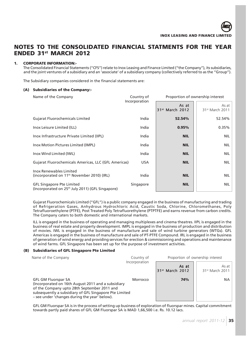## **NOTES TO THE CONSOLIDATED FINANCIAL STATMENTS FOR THE YEAR ENDED 31st MARCH 2012**

## **1. CORPORATE INFORMATION:-**

The Consolidated Financial Statements ("CFS") relate to Inox Leasing and Finance Limited ("the Company"), its subsidiaries, and the joint ventures of a subsidiary and an 'associate' of a subsidiary company (collectively referred to as the "Group").

The Subsidiary companies considered in the financial statements are:

### **(A) Subsidiaries of the Company:-**

| Name of the Company                                                                              | Country of<br>Incorporation |                                      | Proportion of ownership interest     |  |
|--------------------------------------------------------------------------------------------------|-----------------------------|--------------------------------------|--------------------------------------|--|
|                                                                                                  |                             | As at<br>31 <sup>st</sup> March 2012 | As at<br>31 <sup>st</sup> March 2011 |  |
| <b>Gujarat Fluorochemicals Limited</b>                                                           | India                       | 52.54%                               | 52.54%                               |  |
| Inox Leisure Limited (ILL)                                                                       | India                       | 0.95%                                | 0.35%                                |  |
| Inox Infrastructure Private Limited (IIPL)                                                       | India                       | <b>NIL</b>                           | <b>NIL</b>                           |  |
| Inox Motion Pictures Limited (IMPL)                                                              | India                       | <b>NIL</b>                           | <b>NIL</b>                           |  |
| Inox Wind Limited (IWL)                                                                          | India                       | <b>NIL</b>                           | <b>NIL</b>                           |  |
| Gujarat Fluorochemicals Americas, LLC (GFL Americas)                                             | <b>USA</b>                  | <b>NIL</b>                           | <b>NIL</b>                           |  |
| Inox Renewables Limited<br>(incorporated on 11 <sup>th</sup> November 2010) (IRL)                | India                       | <b>NIL</b>                           | <b>NIL</b>                           |  |
| <b>GFL Singapore Pte Limited</b><br>(Incorporated on 25 <sup>th</sup> July 2011) (GFL Singapore) | Singapore                   | <b>NIL</b>                           | <b>NIL</b>                           |  |

Gujarat Fluorochemicals Limited ("GFL") is a public company engaged in the business of manufacturing and trading of Refrigeration Gases, Anhydrous Hydrochloric Acid, Caustic Soda, Chlorine, Chloromethanes, Poly Tetrafluoroethylene (PTFE), Post Treated Poly Tetrafluorethylene (PTPTFE) and earns revenue from carbon credits. The Company caters to both domestic and international markets.

ILL is engaged in the business of operating and managing multiplexes and cinema theatres. IIPL is engaged in the business of real estate and property development. IMPL is engaged in the business of production and distribution of movies. IWL is engaged in the business of manufacture and sale of wind turbine generators (WTGs). GFL Americas is engaged in the business of manufacture and sale of PT-PTFE Compound. IRL is engaged in the business of generation of wind energy and providing services for erection & commissioning and operations and maintenance of wind farms. GFL Singapore has been set up for the purpose of investment activities.

## **(B) Subsidiaries of GFL Singapore Pte Limited**

| Name of the Company                                                                                                                                                                                                                        | Country of<br>Incorporation | Proportion of ownership interest     |                                      |  |
|--------------------------------------------------------------------------------------------------------------------------------------------------------------------------------------------------------------------------------------------|-----------------------------|--------------------------------------|--------------------------------------|--|
|                                                                                                                                                                                                                                            |                             | As at<br>31 <sup>st</sup> March 2012 | As at<br>31 <sup>st</sup> March 2011 |  |
| <b>GFL GM Fluorspar SA</b><br>(Incorporated on 16th August 2011 and a subsidiary<br>of the Company upto 28th September 2011 and<br>subsequently a subsidiary of GFL Singapore Pte Limited<br>- see under 'changes during the year' below). | Morrocco                    | 74%                                  | <b>NA</b>                            |  |

GFL GM Fluorspar SA is in the process of setting up business of exploration of fluorspar mines. Capital commitment towards partly paid shares of GFL GM Fluorspar SA is MAD 1,66,500 i.e. Rs. 10.12 lacs.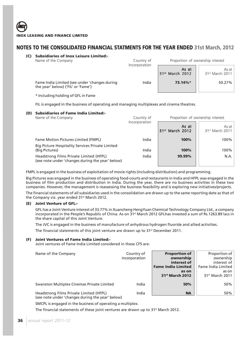**(C) Subsidiaries of Inox Leisure Limited:-**

| Name of the Company                                                                 | Country of<br>Incorporation |                                      | Proportion of ownership interest     |
|-------------------------------------------------------------------------------------|-----------------------------|--------------------------------------|--------------------------------------|
|                                                                                     |                             | As at<br>31 <sup>st</sup> March 2012 | As at<br>31 <sup>st</sup> March 2011 |
| Fame India Limited (see under 'changes during<br>the year' below) ('FIL' or 'Fame') | India                       | 73.14%*                              | 50.27%                               |

\* Including holding of GFL in Fame

FIL is engaged in the business of operating and managing multiplexes and cinema theatres.

# **(D) Subsidiaries of Fame India Limited:-**

| Name of the Company                                                                         | Country of    | Proportion of ownership interest     |                                      |
|---------------------------------------------------------------------------------------------|---------------|--------------------------------------|--------------------------------------|
|                                                                                             | Incorporation | As at<br>31 <sup>st</sup> March 2012 | As at<br>31 <sup>st</sup> March 2011 |
| Fame Motion Pictures Limited (FMPL)                                                         | India         | 100%                                 | 100%                                 |
| <b>Big Picture Hospitality Services Private Limited</b><br>(Big Pictures)                   | India         | 100%                                 | 100%                                 |
| Headstrong Films Private Limited (HFPL)<br>(see note under 'changes during the year' below) | India         | 99.99%                               | N.A.                                 |

FMPL is engaged in the business of exploitation of movie rights (including distribution) and programming.

Big Pictures was engaged in the business of operating food-courts and restaurants in India and HFPL was engaged in the business of film production and distribution in India. During the year, there are no business activities in these two companies. However, the management is reassessing the business feasibility and is exploring new initiatives/projects.

The financial statements of all subsidiaries used in the consolidation are drawn up to the same reporting date as that of the Company viz. year ended 31<sup>st</sup> March 2012.

# **(E) Joint Venture of GFL:-**

GFL has a Joint Venture interest of 33.77% in Xuancheng HengYuan Chemical Technology Company Ltd., a company incorporated in the People's Republic of China. As on  $31$ <sup>st</sup> March 2012 GFLhas invested a sum of Rs.1263.89 lacs in the share capital of this Joint Venture.

The JVC is engaged in the business of manufacture of anhydrous hydrogen fluoride and allied activities.

The financial statements of this joint venture are drawn up to 31<sup>st</sup> December 2011.

# **(F) Joint Ventures of Fame India Limited:-**

Joint ventures of Fame India Limited considered in these CFS are:

| Name of the Company                                                                         | Country of<br>incorporation | <b>Proportion of</b><br>ownership<br>interest of<br><b>Fame India Limited</b><br>as on<br>31 <sup>st</sup> March 2012 | Proportion of<br>ownership<br>interest of<br>Fame India Limited<br>as on<br>31 <sup>st</sup> March 2011 |
|---------------------------------------------------------------------------------------------|-----------------------------|-----------------------------------------------------------------------------------------------------------------------|---------------------------------------------------------------------------------------------------------|
| Swanston Multiplex Cinemas Private Limited                                                  | India                       | 50%                                                                                                                   | 50%                                                                                                     |
| Headstrong Films Private Limited (HFPL)<br>(see note under 'changes during the year' below) | India                       | <b>NA</b>                                                                                                             | 50%                                                                                                     |

SMCPL is engaged in the business of operating a multiplex.

The financial statements of these joint ventures are drawn up to 31<sup>st</sup> March 2012.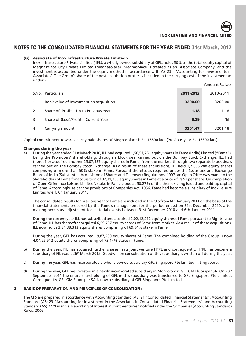

### **(G) Associate of Inox Infrastructure Private Limited:-**

Inox Infrastructure Private Limited (IIPL), a wholly owned subsidiary of GFL, holds 50% of the total equity capital of Megnasolace City Private Limited (Megnasolace). Megnasolace is treated as an 'Associate Company' and the investment is accounted under the equity method in accordance with AS 23 – 'Accounting for Investments in Associates'. The Group's share of the post acquisition profits is included in the carrying cost of the investment as under:-

|   |                                         |           | Amount Rs. lacs |
|---|-----------------------------------------|-----------|-----------------|
|   | S.No. Particulars                       | 2011-2012 | 2010-2011       |
|   | Book value of Investment on acquisition | 3200.00   | 3200.00         |
|   | Share of Profit – Up to Previous Year   | 1.18      | 1.18            |
| 3 | Share of (Loss)/Profit – Current Year   | 0.29      | Nil             |
| 4 | Carrying amount                         | 3201.47   | 3201.18         |

Capital commitment towards partly paid shares of Megnasolace is Rs. 16800 lacs (Previous year Rs. 16800 lacs).

### **Changes during the year**

a) During the year ended 31st March 2010, ILL had acquired 1,50,57,751 equity shares in Fame (India) Limited ("Fame"), being the Promoters' shareholding, through a block deal carried out on the Bombay Stock Exchange. ILL had thereafter acquired another 25,07,537 equity shares in Fame, from the market, through two separate block deals carried out on the Bombay Stock Exchange. As a result of these acquisitions, ILL held 1,75,65,288 equity shares comprising of more than 50% stake in Fame. Pursuant thereto, as required under the Securities and Exchange Board of India (Substantial Acquisition of Shares and Takeover) Regulations, 1997, an Open Offer was made to the Shareholders of Fame for acquisition of 82,31,759 equity shares in Fame at a price of Rs 51 per share. On completion of Open Offer Inox Leisure Limited's stake in Fame stood at 50.27% of the then existing issued and paid-up capital of Fame. Accordingly, as per the provisions of Companies Act, 1956, Fame had become a subsidiary of Inox Leisure Limited w.e.f. 6<sup>th</sup> January 2011.

The consolidated results for previous year of Fame are included in the CFS from 6th January 2011 on the basis of the financial statements prepared by the Fame's management for the period ended on 31st December 2010, after making necessary adjustment for material events between 31st December 2010 and 6th January 2011.

During the current year ILL has subscribed and acquired 2,02,12,212 equity shares of Fame pursuant to Rights issue of Fame. ILL has thereafter acquired 6,59,737 equity shares of Fame from market. As a result of these acquisitions, ILL now holds 3,84,38,312 equity shares comprising of 69.54% stake in Fame.

During the year, GFL has acquired 19,87,200 equity shares of Fame. The combined holding of the Group is now 4,04,25,512 equity shares comprising of 73.14% stake in Fame.

- b) During the year, FIL has acquired further shares in its joint venture HFPL and consequently. HFPL has become a subsidiary of FIL w.e.f. 26th March 2012. Goodwill on consolidation of this subsidiary is written off during the year.
- c) During the year, GFL has incorporated a wholly owned subsidiary GFL Singapore Pte Limited in Singapore.
- d) During the year, GFL has invested in a newly incorporated subsidiary in Morocco viz. GFL GM Fluorspar SA. On 28<sup>th</sup> September 2011 the entire shareholding of GFL in this subsidiary was transferred to GFL Singapore Pte Limited. Consequently, GFL GM Fluorspar SA is now a subsidiary of GFL Singapore Pte Limited.

# **2. BASIS OF PREPARATION AND PRINCIPLES OF CONSOLIDATION :-**

The CFS are prepared in accordance with Accounting Standard (AS) 21 "Consolidated Financial Statements", Accounting Standard (AS) 23 "Accounting for Investment in the Associates in Consolidated Financial Statements" and Accounting Standard (AS) 27 "Financial Reporting of Interest in Joint Ventures" notified under the Companies (Accounting Standard) Rules, 2006.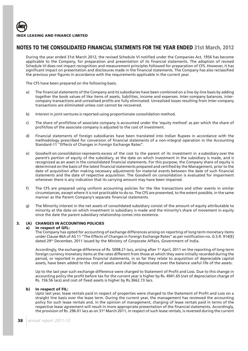

During the year ended 31st March 2012, the revised Schedule VI notified under the Companies Act, 1956 has become applicable to the Company, for preparation and presentation of its financial statements. The adoption of revised Schedule VI does not impact recognition and measurement principles followed for preparation of CFS. However, it has significant impact on presentation and disclosures made in the financial statements. The Company has also reclassified the previous year figures in accordance with the requirements applicable in the current year.

The CFS have been prepared on the following basis.

- a) The financial statements of the Company and its subsidiaries have been combined on a line-by-line basis by adding together the book values of like items of assets, liabilities, income and expenses. Inter-company balances, intercompany transactions and unrealised profits are fully eliminated. Unrealised losses resulting from Inter-company transactions are eliminated unless cost cannot be recovered.
- b) Interest in joint ventures is reported using proportionate consolidation method.
- c) The share of profit/loss of associate company is accounted under the 'equity method' as per which the share of profit/loss of the associate company is adjusted to the cost of investment.
- d) Financial statements of foreign subsidiaries have been translated into Indian Rupees in accordance with the methodology prescribed for conversion of financial statements of a non-integral operation in the Accounting Standard-11 "Effects of Changes in Foreign Exchange Rates".
- e) Goodwill on consolidation represents excess of the cost to the parent of its investment in a subsidiary over the parent's portion of equity of the subsidiary, at the date on which investment in the subsidiary is made, and is recognized as an asset in the consolidated financial statements. For this purpose, the Company share of equity is determined on the basis of the latest financial statements prepared and certified by the Management, prior to the date of acquisition after making necessary adjustments for material events between the date of such financial statements and the date of respective acquisition. The Goodwill on consolidation is evaluated for impairment whenever there is any indication that its carrying amount may have been impaired.
- f) The CFS are prepared using uniform accounting policies for the like transactions and other events in similar circumstances, except where it is not practicable to do so. The CFS are presented, to the extent possible, in the same manner as the Parent Company's separate financial statements.
- g) The Minority interest in the net assets of consolidated subsidiary consist of the amount of equity attributable to minority at the date on which investment in subsidiary is made and the minority's share of movement in equity since the date the parent subsidiary relationship comes into existence.

# **3. (A) CHANGES IN ACCOUNTING POLICIES**

### **a) In respect of GFL:**

The Company has opted for accounting of exchange differences arising on reporting of long term monetary items under Clause 46A of AS 11 "The Effects of Changes in Foreign Exchange Rates" as per notification no. G.S.R. 914(E) dated 29th December, 2011 issued by the Ministry of Corporate Affairs, Government of India.

Accordingly, the exchange difference of Rs. 5098.21 lacs, arising after 1<sup>st</sup> April, 2011 on the reporting of long term foreign currency monetary items at the rates different from those at which they were initially recorded during the period, or reported in previous financial statements, in so far they relate to acquisition of depreciable capital assets, have been added to the cost of assets and shall be depreciated over the balance useful life of the assets.

Up to the last year such exchange difference were charged to Statement of Profit and Loss. Due to this change in accounting policy the profit before tax for the current year is higher by Rs. 4941.65 (net of depreciation charge of Rs. 156.56 lacs) and cost of fixed assets is higher by Rs.3662.73 lacs.

### **b) In respect of FIL:**

Upto last year, lease rentals paid in respect of properties were charged to the Statement of Profit and Loss on a straight line basis over the lease term. During the current year, the management has reviewed the accounting policy for such lease rentals and, in the opinion of management, charging of lease rentals paid in terms of the respective lease agreement will result in more appropriate presentation of the financial statements. Accordingly, the provision of Rs. 296.01 lacs as on 31<sup>st</sup> March 2011, in respect of such lease rentals, is reversed during the current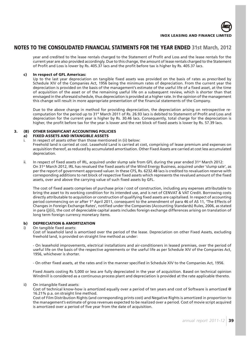

year and credited to the lease rentals charged to the Statement of Profit and Loss and the lease rentals for the current year are also provided accordingly. Due to this change, the amount of lease rentals charged to the Statement of Profit and Loss is lower by Rs. 405.37 lacs and the profit before tax is higher by Rs. 405.37 lacs.

# **c) In respect of GFL Americas:**

Up to the last year depreciation on tangible fixed assets was provided on the basis of rates as prescribed by Schedule XIV of the Companies Act, 1956 being the minimum rates of depreciation. From the current year the depreciation is provided on the basis of the management's estimate of the useful life of a fixed asset, at the time of acquisition of the asset or of the remaining useful life on a subsequent review, which is shorter than that envisaged in the aforesaid schedule, thus depreciation is provided at a higher rate. In the opinion of the management this change will result in more appropriate presentation of the financial statements of the Company.

Due to the above change in method for providing depreciation, the depreciation arising on retrospective recomputation for the period up to 31st March 2011 of Rs. 26.93 lacs is debited to Statement of Profit and Loss and depreciation for the current year is higher by Rs. 30.46 lacs. Consequently, total charge for the depreciation is higher, the profit before tax for the year is lower and the net block of fixed assets is lower by Rs. 57.39 lacs.

### **3. (B) OTHER SIGNIFICANT ACCOUNTING POLICIES a) FIXED ASSETS AND INTANGIBLE ASSETS**

i. In respect of assets other than those mentioned in (ii) below:

Freehold land is carried at cost. Leasehold Land is carried at cost, comprising of lease premium and expenses on acquisition thereof, as reduced by accumulated amortisation. Other Fixed Assets are carried at cost less accumulated depreciation.

ii. In respect of fixed assets of IRL, acquired under slump sale from GFL during the year ended  $31<sup>st</sup>$  March 2012: On 31st March 2012, IRL has revalued the fixed assets of the Wind Energy Business, acquired under 'slump sale', as per the report of government approved valuer. In these CFS, Rs. 6232.48 lacs is credited to revaluation reserve with corresponding additions to net block of respective fixed assets which represents the revalued amount of the fixed assets, over and above the carrying value of such fixed assets by GFL.

The cost of fixed assets comprises of purchase price / cost of construction, including any expenses attributable to bring the asset to its working condition for its intended use, and is net of CENVAT & VAT Credit. Borrowing costs directly attributable to acquisition or construction of qualifying fixed assets are capitalised. In respect of accounting period commencing on or after 1<sup>st</sup> April 2011, consequent to the amendment of para 46 of AS 11, 'The Effects of Changes in Foreign Exchange Rates', notified under the Companies (Accounting Standards) Rules, 2006, as stated in para (j)(ii), the cost of depreciable capital assets includes foreign exchange differences arising on translation of long term foreign currency monetary items.

# **b) DEPRECIATION & AMORTIZATION**

### i) On tangible fixed assets:

Cost of leasehold land is amortised over the period of the lease. Depreciation on other Fixed Assets, excluding freehold land, is provided on straight line method as under:

- On leasehold improvements, electrical installations and air-conditioners in leased premises, over the period of useful life on the basis of the respective agreements or the useful life as per Schedule XIV of the Companies Act, 1956, whichever is shorter.

- On other fixed assets, at the rates and in the manner specified in Schedule XIV to the Companies Act, 1956.

Fixed Assets costing Rs 5,000 or less are fully depreciated in the year of acquisition. Based on technical opinion Windmill is considered as a continuous process plant and depreciation is provided at the rate applicable thereto.

# ii) On intangible fixed assets:

Cost of technical know-how is amortized equally over a period of ten years and cost of Software is amortized @ 16.21% p.a. on straight line method.

Cost of Film Distribution Rights (and corresponding prints cost) and Negative Rights is amortized in proportion to the management's estimate of gross revenues expected to be realized over a period. Cost of movie script acquired is amortized over a period of five year from the date of acquisition.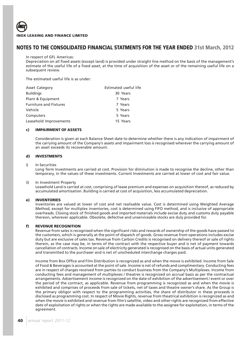### In respect of GFL Americas:

Depreciation on all fixed assets (except land) is provided under straight line method on the basis of the management's estimate of the useful life of a fixed asset, at the time of acquisition of the asset or of the remaining useful life on a subsequent review.

The estimated useful life is as under:

| Estimated useful life |
|-----------------------|
| 30 Years              |
| 7 Years               |
| 7 Years               |
| 5 Years               |
| 5 Years               |
| 15 Years              |
|                       |

### **c) IMPAIRMENT OF ASSETS**

Consideration is given at each Balance Sheet date to determine whether there is any indication of impairment of the carrying amount of the Company's assets and impairment loss is recognised wherever the carrying amount of an asset exceeds its recoverable amount.

### **d) INVESTMENTS**

### i) In Securities

Long Term Investments are carried at cost. Provision for diminution is made to recognise the decline, other than temporary, in the values of these investments. Current Investments are carried at lower of cost and fair value.

### ii) In Investment Property

Leasehold Land is carried at cost, comprising of lease premium and expenses on acquisition thereof, as reduced by accumulated amortisation. Building is carried at cost of acquisition, less accumulated depreciation.

### **e) INVENTORIES**

Inventories are valued at lower of cost and net realisable value. Cost is determined using Weighted Average Method, except for multiplex inventories, cost is determined using FIFO method, and is inclusive of appropriate overheads. Closing stock of finished goods and imported materials include excise duty and customs duty payable thereon, wherever applicable. Obsolete, defective and unserviceable stocks are duly provided for.

### **f) REVENUE RECOGNITION**

Revenue from sales is recognised when the significant risks and rewards of ownership of the goods have passed to the customers, which is generally at the point of dispatch of goods. Gross revenue from operations includes excise duty but are exclusive of sales tax. Revenue from Carbon Credits is recognised on delivery thereof or sale of rights therein, as the case may be, in terms of the contract with the respective buyer and is net of payment towards cancellation of contracts. Income on sale of electricity generated is recognised on the basis of actual units generated and transmitted to the purchaser and is net of unscheduled interchange charges paid.

Income from Box Office and Film Distribution is recognized as and when the movie is exhibited. Income from Sale of Food & Beverages is accounted at the point of sale. Income is net of refunds and complimentary. Conducting fees are in respect of charges received from parties to conduct business from the Company's Multiplexes. Income from conducting fees and management of multiplexes / theatres is recognized on accrual basis as per the contractual arrangements. Advertisement income is recognized on the date of exhibition of the advertisement / event or over the period of the contract, as applicable. Revenue from programming is recognized as and when the movie is exhibited and comprises of proceeds from sale of tickets, net of taxes and theatre owner's share. As the Group is the primary obligor with respect to the programming activities, the share of distributor in these proceeds is disclosed as programming cost. In respect of Movie Rights, revenue from theatrical exhibition is recognized as and when the movie is exhibited and revenue from film's satellite, video and other rights are recognized from effective date of exploitation of rights or when the rights are made available to the assignee for exploitation, in terms of the agreement.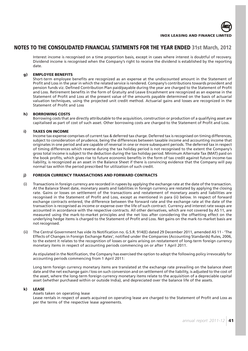

Interest income is recognised on a time proportion basis, except in cases where interest is doubtful of recovery. Dividend income is recognised when the Company's right to receive the dividend is established by the reporting date.

# **g) EMPLOYEE BENEFITS**

Short-term employee benefits are recognized as an expense at the undiscounted amount in the Statement of Profit and Loss in the year in which the related service is rendered. Company's contributions towards provident and pension funds viz. Defined Contribution Plan paid/payable during the year are charged to the Statement of Profit and Loss. Retirement benefits in the form of Gratuity and Leave Encashment are recognized as an expense in the Statement of Profit and Loss at the present value of the amounts payable determined on the basis of actuarial valuation techniques, using the projected unit credit method. Actuarial gains and losses are recognized in the Statement of Profit and Loss

### **h) BORROWING COSTS**

Borrowing costs that are directly attributable to the acquisition, construction or production of a qualifying asset are capitalised as part of cost of such asset. Other borrowing costs are charged to the Statement of Profit and Loss.

### **i) TAXES ON INCOME**

Income tax expense comprises of current tax & deferred tax charge. Deferred tax is recognised on timing differences, subject to consideration of prudence, being the differences between taxable income and accounting income that originates in one period and are capable of reversal in one or more subsequent periods. The deferred tax in respect of timing differences which reverse during the tax holiday period is not recognised to the extent the Company's gross total income is subject to the deduction during the tax holiday period. Minimum Alternate Tax (MAT) paid on the book profits, which gives rise to future economic benefits in the form of tax credit against future income-tax liability, is recognized as an asset in the Balance Sheet if there is convincing evidence that the Company will pay normal tax within the period prescribed for utilization of such credit.

# **j) FOREIGN CURRENCY TRANSACTIONS AND FORWARD CONTRACTS**

- (i) Transactions in foreign currency are recorded in rupees by applying the exchange rate at the date of the transaction. At the Balance Sheet date, monetary assets and liabilities in foreign currency are restated by applying the closing rate. Gains or losses on settlement of the transactions and restatement of monetary assets and liabilities are recognised in the Statement of Profit and Loss, except as mentioned in para (ii) below. In respect of forward exchange contracts entered, the difference between the forward rate and the exchange rate at the date of the transaction is recognised as income or expense over the life of such contract. Currency and interest rate swaps are accounted in accordance with the respective contracts. All other derivatives, which are not covered by AS 11, are measured using the mark-to-market principles and the net loss after considering the offsetting effect on the underlying hedge items is charged to the Statement of Profit and Loss. Net gains on the mark-to-market basis are not recognised.
- (ii) The Central Government has vide its Notification no. G.S.R. 914(E) dated 29 December 2011, amended AS 11 'The Effects of Changes in Foreign Exchange Rates', notified under the Companies (Accounting Standards) Rules, 2006, to the extent it relates to the recognition of losses or gains arising on restatement of long-term foreign currency monetary items in respect of accounting periods commencing on or after 1 April 2011.

As stipulated in the Notification, the Company has exercised the option to adopt the following policy irrevocably for accounting periods commencing from 1 April 2011:

Long term foreign currency monetary items are translated at the exchange rate prevailing on the balance sheet date and the net exchange gain / loss on such conversion and on settlement of the liability, is adjusted to the cost of the asset, where the long-term foreign currency monetary items relate to the acquisition of a depreciable capital asset (whether purchased within or outside India), and depreciated over the balance life of the assets.

### **k) LEASE**

### Assets taken on operating lease

Lease rentals in respect of assets acquired on operating lease are charged to the Statement of Profit and Loss as per the terms of the respective lease agreements.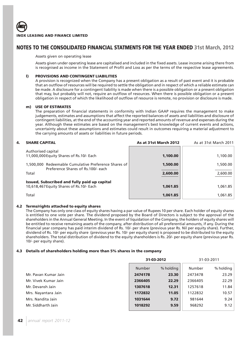# Assets given on operating lease

Assets given under operating lease are capitalised and included in the fixed assets. Lease income arising there from is recognised as income in the Statement of Profit and Loss as per the terms of the respective lease agreements.

# **l) PROVISIONS AND CONTINGENT LIABILITIES**

A provision is recognized when the Company has a present obligation as a result of past event and it is probable that an outflow of resources will be required to settle the obligation and in respect of which a reliable estimate can be made. A disclosure for a contingent liability is made when there is a possible obligation or a present obligation that may, but probably will not, require an outflow of resources. When there is possible obligation or a present obligation in respect of which the likelihood of outflow of resource is remote, no provision or disclosure is made.

### **m) USE OF ESTIMATES**

The preparation of financial statements in conformity with Indian GAAP requires the management to make judgements, estimates and assumptions that affect the reported balances of assets and liabilities and disclosure of contingent liabilities, at the end of the accounting year and reported amounts of revenue and expenses during the year. Although these estimates are based on the management's best knowledge of current events and actions, uncertainty about these assumptions and estimates could result in outcomes requiring a material adjustment to the carrying amounts of assets or liabilities in future periods.

# **4. SHARE CAPITAL As at 31st March 2012** As at 31st March 2011

|                      | 1,100.00             |
|----------------------|----------------------|
| 1,500.00<br>2,600.00 | 1,500.00<br>2,600.00 |
| 1,061.85             | 1,061.85<br>1,061.85 |
|                      | 1,061.85             |

# **4.2 Terms/rights attached to equity shares**

The Company has only one class of equity shares having a par value of Rupees 10 per share. Each holder of equity shares is entitled to one vote per share. The dividend proposed by the Board of Directors is subject to the approval of the shareholders in the Annual General Meeting. In the event of liquidation of the Company, the holders of equity shares will be entitled to receive remaining assets of the company, after distribution of all preferential amounts, if any. During the financial year company has paid interim dividend of Rs. 10/- per share (previous year Rs. Nil per equity share). Further, dividend of Rs. 10/- per equity share (previous year Rs. 10/- per equity share) is proposed to be distributed to the equity shareholders. The total distribution of dividend to the equity shareholders is Rs. 20/- per equity share (previous year Rs. 10/- per equity share).

# **4.3 Details of shareholders holding more than 5% shares in the company**

|                      |               | 31-03-2012 |         | 31-03-2011 |  |
|----------------------|---------------|------------|---------|------------|--|
|                      | <b>Number</b> | % holding  | Number  | % holding  |  |
| Mr. Pavan Kumar Jain | 2474178       | 23.30      | 2473478 | 23.29      |  |
| Mr. Vivek Kumar Jain | 2366405       | 22.29      | 2366405 | 22.29      |  |
| Mr. Devansh Jain     | 1307618       | 12.31      | 1257618 | 11.84      |  |
| Mrs. Nayantara Jain  | 1172832       | 11.05      | 1122832 | 10.57      |  |
| Mrs. Nandita Jain    | 1031644       | 9.72       | 981644  | 9.24       |  |
| Mr. Siddharth Jain   | 1018292       | 9.59       | 968292  | 9.12       |  |
|                      |               |            |         |            |  |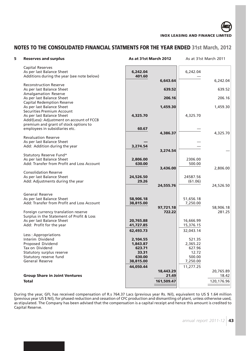# **NOTES TO THE CONSOLIDATED FINANCIAL STATMENTS FOR THE YEAR ENDED 31st March, 2012**

| 5 | <b>Reserves and surplus</b>                                                       | As at 31st March 2012 |            |           | As at 31st March 2011 |
|---|-----------------------------------------------------------------------------------|-----------------------|------------|-----------|-----------------------|
|   | <b>Capital Reserves</b>                                                           |                       |            |           |                       |
|   | As per last Balance Sheet                                                         | 6,242.04              |            | 6,242.04  |                       |
|   | Additions during the year (see note below)                                        | 401.60                | 6,643.64   |           | 6,242.04              |
|   | <b>Reconstruction Reserve</b>                                                     |                       |            |           |                       |
|   | As per last Balance Sheet                                                         |                       | 639.52     |           | 639.52                |
|   | Amalgamation Reserve                                                              |                       |            |           |                       |
|   | As per last Balance Sheet                                                         |                       | 206.16     |           | 206.16                |
|   | <b>Capital Redemption Reserve</b>                                                 |                       |            |           |                       |
|   | As per last Balance Sheet<br><b>Securities Premium Account</b>                    |                       | 1,459.30   |           | 1,459.30              |
|   | As per last Balance Sheet                                                         | 4,325.70              |            | 4,325.70  |                       |
|   | Add/(Less): Adjustment on account of FCCB                                         |                       |            |           |                       |
|   | premium and grant of stock options to                                             |                       |            |           |                       |
|   | employees in subsidiaries etc.                                                    | 60.67                 |            |           |                       |
|   |                                                                                   |                       | 4,386.37   |           | 4,325.70              |
|   | <b>Revaluation Reserve</b>                                                        |                       |            |           |                       |
|   | As per last Balance Sheet                                                         |                       |            |           |                       |
|   | Add: Addition during the year                                                     | 3,274.54              | 3,274.54   |           |                       |
|   | Statutory Reserve Fund*                                                           |                       |            |           |                       |
|   | As per last Balance Sheet                                                         | 2,806.00              |            | 2306.00   |                       |
|   | Add: Transfer from Profit and Loss Account                                        | 630.00                |            | 500.00    |                       |
|   |                                                                                   |                       | 3,436.00   |           | 2,806.00              |
|   | <b>Consolidation Reserve</b>                                                      |                       |            |           |                       |
|   | As per last Balance Sheet                                                         | 24,526.50             |            | 24587.56  |                       |
|   | Add: Adjustments during the year                                                  | 29.26                 | 24,555.76  | (61.06)   | 24,526.50             |
|   |                                                                                   |                       |            |           |                       |
|   | <b>General Reserve</b>                                                            |                       |            |           |                       |
|   | As per last Balance Sheet                                                         | 58,906.18             |            | 51,656.18 |                       |
|   | Add: Transfer from Profit and Loss Account                                        | 38,815.00             |            | 7,250.00  |                       |
|   |                                                                                   |                       | 97,721.18  |           | 58,906.18             |
|   | Foreign currency translation reserve<br>Surplus in the Statement of Profit & Loss |                       | 722.22     |           | 281.25                |
|   | As per last Balance Sheet                                                         | 20,765.88             |            | 16,666.99 |                       |
|   | Add: Profit for the year                                                          | 41,727.85             |            | 15,376.15 |                       |
|   |                                                                                   | 62,493.73             |            | 32,043.14 |                       |
|   | Less: Appropriations                                                              |                       |            |           |                       |
|   | Interim Dividend                                                                  | 2,104.55              |            | 521.35    |                       |
|   | Proposed Dividend                                                                 | 1,843.87              |            | 2,365.22  |                       |
|   | Tax on Dividend                                                                   | 623.71                |            | 627.96    |                       |
|   | Statutory surplus reserve                                                         | 33.31                 |            | 12.72     |                       |
|   | Statutory reserve fund<br>General Reserve                                         | 630.00                |            | 500.00    |                       |
|   |                                                                                   | 38,815.00             |            | 7,250.00  |                       |
|   |                                                                                   | 44,050.44             | 18,443.29  | 11,277.25 | 20,765.89             |
|   | <b>Group Share in Joint Ventures</b>                                              |                       | 21.49      |           | 18.42                 |
|   | <b>Total</b>                                                                      |                       | 161,509.47 |           | 120,176.96            |
|   |                                                                                   |                       |            |           |                       |

During the year, GFL has received compensation of R.s 764.37 Lacs (previous year Rs. Nil), equivalent to US \$ 1.64 million (previous year US \$ Nil), for phased reduction and cessation of CFC production and dismantling of plant, unless otherwise used, as stipulated. The Company has been advised that the compensation is a capital receipt and hence this amount is credited to Capital Reserve.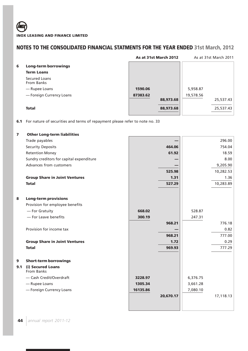|   |                             |          | As at 31st March 2012 | As at 31st March 2011 |           |  |
|---|-----------------------------|----------|-----------------------|-----------------------|-----------|--|
| 6 | <b>Long-term borrowings</b> |          |                       |                       |           |  |
|   | <b>Term Loans</b>           |          |                       |                       |           |  |
|   | Secured Loans<br>From Banks |          |                       |                       |           |  |
|   | — Rupee Loans               | 1590.06  |                       | 5,958.87              |           |  |
|   | - Foreign Currency Loans    | 87383.62 | 88,973.68             | 19,578.56             | 25,537.43 |  |
|   | <b>Total</b>                |          | 88,973.68             |                       | 25,537.43 |  |

**6.1** For nature of securities and terms of repayment please refer to note no. 33

| $\overline{\mathbf{z}}$ | <b>Other Long-term liabilities</b>       |          |           |          |           |
|-------------------------|------------------------------------------|----------|-----------|----------|-----------|
|                         | Trade payables                           |          |           |          | 296.00    |
|                         | <b>Security Deposits</b>                 |          | 464.06    |          | 754.04    |
|                         | <b>Retention Money</b>                   |          | 61.92     |          | 18.59     |
|                         | Sundry creditors for capital expenditure |          |           |          | 8.00      |
|                         | Advances from customers                  |          |           |          | 9,205.90  |
|                         |                                          |          | 525.98    |          | 10,282.53 |
|                         | <b>Group Share in Joint Ventures</b>     |          | 1.31      |          | 1.36      |
|                         | <b>Total</b>                             |          | 527.29    |          | 10,283.89 |
| 8                       | <b>Long-term provisions</b>              |          |           |          |           |
|                         | Provision for employee benefits          |          |           |          |           |
|                         | - For Gratuity                           | 668.02   |           | 528.87   |           |
|                         | - For Leave benefits                     | 300.19   |           | 247.31   |           |
|                         |                                          |          | 968.21    |          | 776.18    |
|                         | Provision for income tax                 |          |           |          | 0.82      |
|                         |                                          |          | 968.21    |          | 777.00    |
|                         | <b>Group Share in Joint Ventures</b>     |          | 1.72      |          | 0.29      |
|                         | <b>Total</b>                             |          | 969.93    |          | 777.29    |
| 9                       | <b>Short-term borrowings</b>             |          |           |          |           |
| 9.1                     | (i) Secured Loans<br>From Banks          |          |           |          |           |
|                         | - Cash Credit/Overdraft                  | 3228.97  |           | 6,376.75 |           |
|                         | - Rupee Loans                            | 1305.34  |           | 3,661.28 |           |
|                         | - Foreign Currency Loans                 | 16135.86 |           | 7,080.10 |           |
|                         |                                          |          | 20,670.17 |          | 17,118.13 |
|                         |                                          |          |           |          |           |
|                         |                                          |          |           |          |           |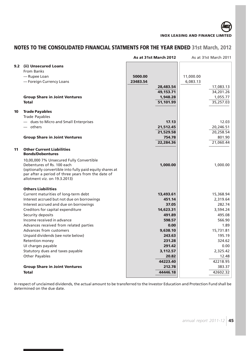# **NOTES TO THE CONSOLIDATED FINANCIAL STATMENTS FOR THE YEAR ENDED 31st March, 2012**

|     |                                                                                                                                                                                                                          | As at 31st March 2012 | As at 31st March 2011 |
|-----|--------------------------------------------------------------------------------------------------------------------------------------------------------------------------------------------------------------------------|-----------------------|-----------------------|
| 9.2 | (ii) Unsecured Loans                                                                                                                                                                                                     |                       |                       |
|     | From Banks                                                                                                                                                                                                               |                       |                       |
|     | - Rupee Loan                                                                                                                                                                                                             | 5000.00               | 11,000.00             |
|     | - Foreign Currency Loans                                                                                                                                                                                                 | 23483.54              | 6,083.13              |
|     |                                                                                                                                                                                                                          | 28,483.54             | 17,083.13             |
|     |                                                                                                                                                                                                                          | 49,153.71             | 34,201.26             |
|     | <b>Group Share in Joint Ventures</b>                                                                                                                                                                                     | 1,948.28              | 1,055.77              |
|     | <b>Total</b>                                                                                                                                                                                                             | 51,101.99             | 35,257.03             |
| 10  | <b>Trade Payables</b>                                                                                                                                                                                                    |                       |                       |
|     | <b>Trade Payables</b>                                                                                                                                                                                                    |                       |                       |
|     | - dues to Micro and Small Enterprises                                                                                                                                                                                    | 17.13                 | 12.03                 |
|     | $-$ others                                                                                                                                                                                                               | 21,512.45             | 20,246.51             |
|     |                                                                                                                                                                                                                          | 21,529.58             | 20,258.54             |
|     | <b>Group Share in Joint Ventures</b>                                                                                                                                                                                     | 754.78                | 801.90                |
|     |                                                                                                                                                                                                                          | 22,284.36             | 21,060.44             |
| 11  | <b>Other Current Liabilities</b><br><b>Bonds/Debentures</b>                                                                                                                                                              |                       |                       |
|     | 10,00,000 7% Unsecured Fully Convertible<br>Debentures of Rs. 100 each<br>(optionally convertible into fully paid equity shares at<br>par after a period of three years from the date of<br>allotment viz. on 19.3.2013) | 1,000.00              | 1,000.00              |
|     | <b>Others Liabilities</b>                                                                                                                                                                                                |                       |                       |
|     | Current maturities of long-term debt                                                                                                                                                                                     | 13,493.61             | 15,368.94             |
|     | Interest accrued but not due on borrowings                                                                                                                                                                               | 451.14                | 2,319.64              |
|     | Interest accrued and due on borrowings                                                                                                                                                                                   | 37.05                 | 282.74                |
|     | Creditors for capital expenditure                                                                                                                                                                                        | 14,623.31             | 3,594.24              |
|     | Security deposits                                                                                                                                                                                                        | 491.89                | 495.08                |
|     | Income received in advance                                                                                                                                                                                               | 598.57                | 566.90                |
|     | Advances received from related parties                                                                                                                                                                                   | 0.00                  | 1.89                  |
|     | Advances from customers                                                                                                                                                                                                  | 9,638.10              | 15,731.81             |
|     | Unpaid dividends (see note below)                                                                                                                                                                                        | 243.63                | 195.19                |
|     | Retention money                                                                                                                                                                                                          | 231.28                | 324.62                |
|     | UI charges payable                                                                                                                                                                                                       | 291.42                | 0.00                  |
|     | Statutory dues and taxes payable                                                                                                                                                                                         | 3,112.57              | 2,325.42              |
|     | Other Payables                                                                                                                                                                                                           | 20.82                 | 12.48                 |
|     |                                                                                                                                                                                                                          | 44223.40              | 42218.95              |
|     | <b>Group Share in Joint Ventures</b>                                                                                                                                                                                     | 212.78                | 383.37                |
|     | <b>Total</b>                                                                                                                                                                                                             | 44446.18              | 42602.32              |

In respect of unclaimed dividends, the actual amount to be transferred to the Investor Education and Protection Fund shall be determined on the due date.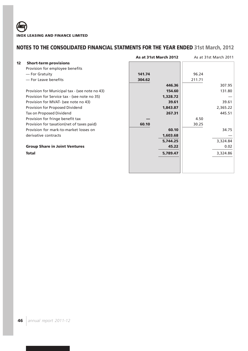|         |                                                | As at 31st March 2012 |        | As at 31st March 2011 |
|---------|------------------------------------------------|-----------------------|--------|-----------------------|
| $12 \,$ | <b>Short-term provisions</b>                   |                       |        |                       |
|         | Provision for employee benefits                |                       |        |                       |
|         | — For Gratuity                                 | 141.74                | 96.24  |                       |
|         | - For Leave benefits                           | 304.62                | 211.71 |                       |
|         |                                                | 446.36                |        | 307.95                |
|         | Provision for Municipal tax - (see note no 43) | 154.60                |        | 131.80                |
|         | Provision for Service tax - (see note no 35)   | 1,328.72              |        |                       |
|         | Provision for MVAT- (see note no 43)           | 39.61                 |        | 39.61                 |
|         | Provision for Proposed Dividend                | 1,843.87              |        | 2,365.22              |
|         | Tax on Proposed Dividend                       | 267.31                |        | 445.51                |
|         | Provision for fringe benefit tax               |                       | 4.50   |                       |
|         | Provision for taxation (net of taxes paid)     | 60.10                 | 30.25  |                       |
|         | Provision for mark-to-market losses on         | 60.10                 |        | 34.75                 |
|         | derivative contracts                           | 1,603.68              |        |                       |
|         |                                                | 5,744.25              |        | 3,324.84              |
|         | <b>Group Share in Joint Ventures</b>           | 45.22                 |        | 0.02                  |
|         | <b>Total</b>                                   | 5,789.47              |        | 3,324.86              |
|         |                                                |                       |        |                       |
|         |                                                |                       |        |                       |
|         |                                                |                       |        |                       |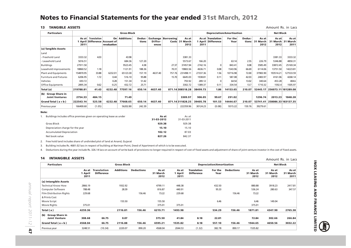# **Notes to Financial Statements for the year ended 31st March, 2012**

### **13 TANGIBLE ASSETS**

Amount Rs. in Lacs

| <b>TANGIBLE ASSETS</b><br>13                |               |                                                   |                                |                    |                 |                  |                                    |                           |                                  |                                        |                 |                 |                              | Amount Rs. in Lacs           |                           |
|---------------------------------------------|---------------|---------------------------------------------------|--------------------------------|--------------------|-----------------|------------------|------------------------------------|---------------------------|----------------------------------|----------------------------------------|-----------------|-----------------|------------------------------|------------------------------|---------------------------|
| <b>Particulars</b>                          |               |                                                   |                                | <b>Gross Block</b> |                 |                  |                                    |                           | <b>Depreciation/Amortization</b> |                                        |                 |                 | <b>Net Block</b>             |                              |                           |
|                                             | As at<br>2011 | <b>Translation</b><br>April Difference Account of | On <sub>1</sub><br>revaluation | <b>Additions</b>   | Deduc-<br>tions | Differ-<br>ences | <b>Exchange Borrowing</b><br>Costs | As at<br>31 March<br>2012 | 1 April<br>2011                  | As at Translation<br><b>Difference</b> | For the<br>Year | Deduc-<br>tions | As at<br>31<br>March<br>2012 | As at<br>31 March<br>2012    | As at<br>31 March<br>2011 |
| (a) Tangible Assets                         |               |                                                   |                                |                    |                 |                  |                                    |                           |                                  |                                        |                 |                 |                              |                              |                           |
| Land                                        |               |                                                   |                                |                    |                 |                  |                                    |                           |                                  |                                        |                 |                 |                              |                              |                           |
| - Freehold Land                             | 3333.32       | 4.03                                              |                                | 43.98              |                 |                  |                                    | 3381.33                   |                                  |                                        |                 |                 |                              | 3381.33                      | 3333.32                   |
| - Leasehold Land                            | 5016.51       |                                                   |                                | 684.36             | 127.20          |                  |                                    | 5573.67                   | 166.20                           |                                        | 63.14           | 2.55            | 226.79                       | 5346.88                      | 4850.31                   |
| <b>Buildings</b>                            | 27911.50      |                                                   |                                | 9523.45            | 4.38            |                  | 27.37                              | 37457.94                  | 2742.16                          | $\Omega$                               | 843.41          | 0.08            | 3585.49                      | 33872.45                     | 25169.34                  |
| Leasehold improvements                      | 18860.52      | 1.18                                              |                                | 1121.91            | 188.36          |                  | 70.31                              | 19865.56                  | 4636.71                          | 0.08                                   | 1543.96         | 66.69           | 6114.06                      | 13751.50                     | 14223.81                  |
| Plant and Equipments                        | 154870.95     | 33.88                                             | 6232.01                        | 65123.30           | 157.19          | 4637.40          | 757.76                             | 231498.11                 | 27337.36                         | 1.56                                   | 10716.98        | 72.00           | 37983.90                     | 193514.21                    | 127533.59                 |
| <b>Furniture and Fixtures</b>               | 6206.95       | 1.72                                              | 0.44                           | 516.10             | 95.88           |                  | 15.70                              | 6645.03                   | 1938.81                          | 0.11                                   | 587.08          | 42.03           | 2483.97                      | 4161.06                      | 4268.14                   |
| Vehicles                                    | 693.72        |                                                   | 0.28                           | 151.34             | 51.42           |                  |                                    | 793.92                    | 289.12                           | $\Omega$                               | 64.54           | 13.02           | 340.64                       | 453.28                       | 404.6                     |
| <b>Office Equipments</b>                    | 2895.34       | 0.62                                              | $-0.25$                        | 432.72             | 25.71           |                  |                                    | 3302.72                   | 1389.37                          | 0.11                                   | 334.54          | 13.7            | 1710.32                      | 1592.4                       | 1505.97                   |
| Total (a)                                   | 219788.81     | 41.43                                             | 6232.48                        | 77597.16           | 650.14          | 4637.40          |                                    | 871.14308518.28           | 38499.73                         | 1.86                                   | 14153.65        | 210.07          |                              | 52445.17 256073.11 181289.08 |                           |
| (b) Group Share in<br><b>Joint Ventures</b> | 2754.33       | 484.15                                            |                                | 71.49              |                 |                  |                                    | 3309.97                   | 906.05                           | 99.67                                  | 291.02          |                 | 1296.74                      | 2013.23                      | 1848.28                   |
| Grand Total $(a + b)$                       | 222543.14     | 525.58                                            | 6232.48                        | 77668.65           | 650.14          | 4637.40          |                                    | 871.14311828.25           | 39405.78                         | 101.53                                 | 14444.67        | 210.07          | 53741.41                     | 258086.33 183137.35          |                           |
| Previous year                               | 166400.60     | (1.05)                                            |                                | 56202.80           | 242.39          |                  |                                    | 222359.96                 | 30124.23                         | (0.08)                                 | 9315.22         | 159.76          | 39279.61                     |                              |                           |

### **Note:**

1. Buildings includes office premises given on operating lease as under

|                                  | 31-03-2012 | 31-03-2011 |
|----------------------------------|------------|------------|
| Gross Block                      | 929.38     | 929.38     |
| Depreciation charge for the year | 15.10      | 15.10      |
| <b>Accumulated Depreciation</b>  | 102.12     | 87.03      |
| Net book value                   | 827.26     | 842.37     |

2. Free hold land includes share of undivided plot of land at Anand, Gujarat

3. Building includes Rs. 4681.02 lacs in respect of building at Nariman Point, Deed of Apartment of which is to be executed.

4. Deductions during the year include Rs. 326.14 lacs on account of write back of provisions no longer required in respect of cost of fixed assets and adjustment of share of joint venture investor in the cost of fixed asse

**As at** As at

### **14 INTANGIBLE ASSETS**

| <b>Particulars</b>              | <b>Gross Block</b>       |                                         |                  |                   |                           | <b>Depreciation/Amortization</b> |                                         |                 |                   |                           | <b>Net Block</b>          |                           |  |
|---------------------------------|--------------------------|-----------------------------------------|------------------|-------------------|---------------------------|----------------------------------|-----------------------------------------|-----------------|-------------------|---------------------------|---------------------------|---------------------------|--|
|                                 | As at<br>l April<br>2011 | <b>Translation</b><br><b>Difference</b> | <b>Additions</b> | <b>Deductions</b> | As at<br>31 March<br>2012 | As at<br>1 April<br>2011         | <b>Translation</b><br><b>Difference</b> | For the<br>Year | <b>Deductions</b> | As at<br>31 March<br>2012 | As at<br>31 March<br>2012 | As at<br>31 March<br>2011 |  |
| (a) Intangible Assets           |                          |                                         |                  |                   |                           |                                  |                                         |                 |                   |                           |                           |                           |  |
| <b>Technical Know How</b>       | 2866.19                  |                                         | 1932.92          |                   | 4799.11                   | 448.38                           |                                         | 432.50          |                   | 880.88                    | 3918.23                   | 2417.81                   |  |
| Computer Software               | 788.48                   |                                         | 28.39            |                   | 816.87                    | 440.91                           |                                         | 95.33           |                   | 536.24                    | 280.63                    | 347.57                    |  |
| <b>Film Distribution Rights</b> | 229.68                   |                                         |                  | 156.46            | 73.22                     | 229.68                           |                                         |                 | 156.46            | 73.22                     |                           |                           |  |
| & Prints Cost                   |                          |                                         |                  |                   |                           |                                  |                                         |                 |                   |                           |                           |                           |  |
| Movie Script                    |                          |                                         | 155.50           |                   | 155.50                    |                                  |                                         | 6.46            |                   | 6.46                      | 149.04                    |                           |  |
| Movie Rights                    | 375.01                   |                                         |                  |                   | 375.01                    | 375.01                           |                                         |                 |                   | 375.01                    |                           |                           |  |
| Total (a)                       | 4259.36                  |                                         | 2116.81          | 156.46            | 6219.71                   | 1493.98                          |                                         | 534.29          | 156.46            | 1871.81                   | 4347.90                   | 2765.38                   |  |
| <b>Group Share in</b><br>(b)    |                          |                                         |                  |                   |                           |                                  |                                         |                 |                   |                           |                           |                           |  |
| <b>Joint Venture</b>            | 308.68                   | 66.75                                   | 0.07             |                   | 375.50                    | 41.84                            | 8.18                                    | 22.81           |                   | 72.84                     | 302.66                    | 266.84                    |  |
| Grand Total ( $a + b$ )         | 4568.04                  | 66.75                                   | 2116.88          | 156.46            | 6595.21                   | 1535.82                          | 8.18                                    | 557.10          | 156.46            | 1944.65                   | 4650.56                   | 3032.22                   |  |
| Previous year                   | 3248.51                  | (10.34)                                 | 2220.07          | 890.20            | 4568.04                   | 2044.53                          | (1.32)                                  | 382.78          | 890.17            | 1535.82                   |                           |                           |  |

**INOX LEASING AND FINANCE LIMITED**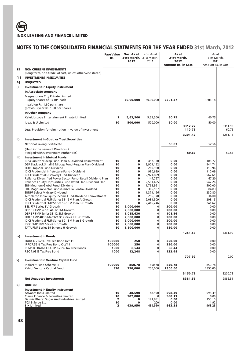|          |                                                                                                                    | <b>Face Value</b><br>Rs. | Nos. As at<br>31st March,<br>2012 | Nos. As at<br>31st March,<br>2011 | As at<br>31st March,<br>2012 |                   | As at<br>31st March,<br>2011 |                  |
|----------|--------------------------------------------------------------------------------------------------------------------|--------------------------|-----------------------------------|-----------------------------------|------------------------------|-------------------|------------------------------|------------------|
|          |                                                                                                                    |                          |                                   |                                   | <b>Amount Rs. in Lacs</b>    |                   | Amount Rs. in Lacs           |                  |
| 15       | <b>NON CURRENT INVESTMENTS</b>                                                                                     |                          |                                   |                                   |                              |                   |                              |                  |
|          | (Long term, non-trade, at cost, unless otherwise stated)                                                           |                          |                                   |                                   |                              |                   |                              |                  |
| [1]      | <b>INVESTMENTS IN SECURITIES</b><br><b>UNQUOTED</b>                                                                |                          |                                   |                                   |                              |                   |                              |                  |
| A]<br>i) | <b>Investment in Equity instrument</b>                                                                             |                          |                                   |                                   |                              |                   |                              |                  |
|          | In Associate company                                                                                               |                          |                                   |                                   |                              |                   |                              |                  |
|          | Megnasolace City Private Limited                                                                                   |                          |                                   |                                   |                              |                   |                              |                  |
|          | - Equity shares of Rs.10/- each                                                                                    |                          | 50,00,000                         | 50,00,000                         | 3201.47                      |                   | 3201.18                      |                  |
|          | - paid up Rs. 1.60 per share<br>(previous year Rs. 1.60 per share)                                                 |                          |                                   |                                   |                              |                   |                              |                  |
|          | In Other company                                                                                                   |                          |                                   |                                   |                              |                   |                              |                  |
|          | Kaleidoscope Entertainment Private Limited                                                                         | 1                        | 5,62,500                          | 5,62,500                          | 60.75                        |                   | 60.75                        |                  |
|          | Ideas & U Limited                                                                                                  | 10                       | 500,000                           | 500,000                           | 50.00                        |                   | 50.00                        |                  |
|          | Less: Provision for diminution in value of Investment                                                              |                          |                                   |                                   |                              | 3312.22<br>110.75 |                              | 3311.93<br>60.75 |
|          |                                                                                                                    |                          |                                   |                                   |                              | 3201.47           |                              | 3251.18          |
| ii)      | <b>Investment in Govt. or Trust Securities</b>                                                                     |                          |                                   |                                   |                              |                   |                              |                  |
|          | <b>National Saving Certificate</b>                                                                                 |                          |                                   |                                   | 69.83                        |                   | 52.56                        |                  |
|          | (Held in the name of Directors &                                                                                   |                          |                                   |                                   |                              |                   |                              |                  |
|          | Pledged with Government Authorities)                                                                               |                          |                                   |                                   |                              | 69.83             |                              | 52.56            |
| iii)     | <b>Investment in Mutual Funds</b>                                                                                  |                          |                                   |                                   |                              |                   |                              |                  |
|          | Birla Sunlife Midcap Fund- Plan A-Dividend-Reinvestment<br>DSP Blackrock Small & Midcap Fund-Regular Plan-Dividend | 10<br>10                 | 0<br>0                            | 457,330<br>3,909,152              | 0.00<br>0.00                 |                   | 108.72<br>544.74             |                  |
|          | HDFC Top 200 Fund-Dividend                                                                                         | 10                       | $\bf{0}$                          | 280,960                           | 0.00                         |                   | 119.96                       |                  |
|          | ICICI Prudential Infrstrcture Fund - Dividend                                                                      | 10                       | $\bf{0}$                          | 980,689                           | 0.00                         |                   | 110.09                       |                  |
|          | <b>ICICI Prudential Discovery Fund-Dividend</b><br>Reliance Diversified Power Sector Fund- Retail Dividend Plan    | 10<br>10                 | $\bf{0}$<br>$\bf{0}$              | 2,971,809<br>144,797              | 0.00<br>0.00                 |                   | 567.61<br>67.20              |                  |
|          | Reliance Equity Opptunities Fund Retail Plan-Dividend Plan                                                         | 10                       | $\bf{0}$                          | 2,581,455                         | 0.00                         |                   | 547.26                       |                  |
|          | SBI- Megnum Global Fund- Dividend                                                                                  | 10<br>10                 | $\bf{0}$<br>$\bf{0}$              | 1,768,991                         | 0.00<br>0.00                 |                   | 500.00<br>84.83              |                  |
|          | SBI- Magnum Sector Funds Umbrella Contra-Dividend<br>SBNPP Select Midcap-Dividend                                  | 10                       | $\bf{0}$                          | 365,187<br>1,371,196              | 0.00                         |                   | 230.80                       |                  |
|          | Templeton India Equity Income Fund-Dividend Reinvestment                                                           | 10                       | $\bf{0}$                          | 256,370                           | 0.00                         |                   | 36.00                        |                  |
|          | ICICI Prudential FMP Series 55-15M Plan A-Growth<br>ICICI Prudential FMP Series 55-13M Plan B-Growth               | 10<br>10                 | $\bf{0}$<br>$\bf{0}$              | 2,031,509<br>2,416,246            | 0.00<br>0.00                 |                   | 203.15<br>241.62             |                  |
|          | <b>BSL FTP Series EV-Growth</b>                                                                                    | 10                       | 2,000,000                         | 0                                 | 200.00                       |                   | 0.00                         |                  |
|          | DSP BR FMP Series 41-12.5M-Growth                                                                                  | 10                       | 2,000,000                         | 0                                 | 200.00                       |                   | 0.00                         |                  |
|          | DSP BR FMP Series 38-12.5M-Growth<br>HDFC FMP 400D March'12(1) series XXII-Growth                                  | 10<br>10                 | 1,015,630<br>2.000.000            | 0<br>0                            | 101.56<br>200.00             |                   | 0.00<br>0.00                 |                  |
|          | <b>ICICI Prudential FMP Series 60-18M Plan B-Growth</b>                                                            | 10                       | 2,000,000                         | 0                                 | 200.00                       |                   | 0.00                         |                  |
|          | <b>IDFC FMP 18M Series 9-Growth</b><br>TATA FMP Series 39 Scheme H-Growth                                          | 10<br>10                 | 2,000,000<br>1,500,000            | 0<br>0                            | 200.00<br>150.00             |                   | 0.00<br>0.00                 |                  |
|          |                                                                                                                    |                          |                                   |                                   |                              | 1251.56           |                              | 3361.99          |
| iv)      | <b>Investment in Bonds</b>                                                                                         |                          |                                   |                                   |                              |                   |                              |                  |
|          | HUDCO 7.62% Tax Free Bond Oct'11                                                                                   | 100000                   | 250                               | $\mathbf{0}$                      | 250.00                       |                   | 0.00                         |                  |
|          | IRFC 7.55% Tax Free Bond Oct'11                                                                                    | 100000                   | 250                               | 0                                 | 250.00                       |                   | 0.00                         |                  |
|          | POWER FINANCE CORP 8.20% Tax Free Bonds<br>REC 7.93% Tax Free Bond                                                 | 1000<br>1000             | 8,544<br>12,248                   | $\mathbf 0$<br>0                  | 85.44<br>122.48              |                   | 0.00<br>0.00                 |                  |
|          |                                                                                                                    |                          |                                   |                                   |                              | 707.92            |                              | 0.00             |
| v)       | <b>Investment in Venture Capital Fund</b>                                                                          |                          |                                   |                                   |                              |                   |                              |                  |
|          | Indiareit Fund Scheme III                                                                                          | 100000                   | 850.78                            | 850.78                            | 850.78                       |                   | 850.78                       |                  |
|          | Kshitij Venture Capital Fund                                                                                       | 920                      | 250,000                           | 250,000                           | 2300.00                      |                   | 2350.00                      |                  |
|          |                                                                                                                    |                          |                                   |                                   |                              | 3150.78           |                              | 3200.78          |
|          | <b>Net Unquoted Investments</b>                                                                                    |                          |                                   |                                   |                              | 8381.56           |                              | 9866.51          |
| B]       | <b>QUOTED</b>                                                                                                      |                          |                                   |                                   |                              |                   |                              |                  |
|          | <b>Investment in Equity instrument</b>                                                                             |                          |                                   |                                   |                              |                   |                              |                  |
|          | Advanta India Limited<br>Clarus Finance & Securities Limited                                                       | 10<br>10                 | 48,590<br>907,000                 | 48,590<br>0                       | 598.39<br>560.13             |                   | 598.39<br>0.00               |                  |
|          | Dalmia Bharat Sugar And Industries Limited                                                                         | 2                        | $\mathbf{0}$                      | 191,881                           | 0.00                         |                   | 155.15                       |                  |
|          | TCS E-Serve Ltd.<br><b>EIH Limited</b>                                                                             | 10<br>2                  | 0<br>439,950                      | 200<br>439,950                    | 0.00<br>963.28               |                   | 1.92<br>963.28               |                  |
|          |                                                                                                                    |                          |                                   |                                   |                              |                   |                              |                  |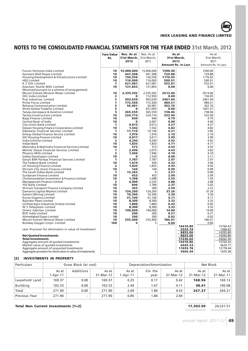

|                                                                                                                                                                                                                                                     | <b>Face Value</b><br>Rs.                                       | Nos. As at<br>31st March,<br>2012                   | Nos. As at<br>31st March,<br>2011                               | As at<br>31st March,<br>2012<br><b>Amount Rs. in Lacs</b>                    | As at<br>31st March,<br>2011<br>Amount Rs. in Lacs                             |
|-----------------------------------------------------------------------------------------------------------------------------------------------------------------------------------------------------------------------------------------------------|----------------------------------------------------------------|-----------------------------------------------------|-----------------------------------------------------------------|------------------------------------------------------------------------------|--------------------------------------------------------------------------------|
| <b>Future Ventures India Limited</b>                                                                                                                                                                                                                | 10                                                             | 15,000,000                                          | 15,000,000                                                      | 1500.00                                                                      | 1500.00                                                                        |
| Garware Wall Ropes Limited                                                                                                                                                                                                                          | 10                                                             | 441,308                                             | 441,308                                                         | 729.88                                                                       | 729.88                                                                         |
| Housing Development & Infrastructure Limited                                                                                                                                                                                                        | 10                                                             | 156,556                                             | 156,556                                                         | 1176.02                                                                      | 1176.02                                                                        |
| <b>HEG Limited</b>                                                                                                                                                                                                                                  | 10                                                             | 116,000                                             | 116,000                                                         | 500.91                                                                       | 500.91                                                                         |
| K S Oils Limited                                                                                                                                                                                                                                    | 1                                                              | 621,081                                             | 621,081                                                         | 552.01                                                                       | 552.01                                                                         |
| Kesoram Textile Mills Limited                                                                                                                                                                                                                       | 10                                                             | 131,893                                             | 131,893                                                         | 0.00                                                                         | 0.00                                                                           |
| (Received puruant to a scheme of arrangement)<br>Mount Everest Mineral Water Limited<br><b>OCL India Limited</b><br>Praj Industries Limited<br><b>Prime Focus Limited</b><br><b>Reliance Communication Limited</b><br>Shree Global Tradefin Limited | 10<br>$\overline{2}$<br>$\overline{\mathbf{2}}$<br>1<br>5<br>5 | 2,335,592<br>0<br>993,630<br>772,560<br>56,981<br>Λ | 2,335,592<br>112,950<br>993,630<br>772,560<br>56,981<br>651,093 | 2613.06<br>0.00<br>2461.04<br>989.21<br>362.76<br>0.00                       | 2613.06<br>150.05<br>2461.04<br>989.21<br>362.76<br>1601.57                    |
| Taneja Aerospace & Aviation Limited                                                                                                                                                                                                                 | 5                                                              | 365,559                                             | 365,559                                                         | 738.06                                                                       | 738.06                                                                         |
| <b>Tantia Constructions Limited</b>                                                                                                                                                                                                                 | 10                                                             | 224,774                                             | 224,774                                                         | 332.94                                                                       | 332.94                                                                         |
| Bajaj Finance Limited                                                                                                                                                                                                                               | 10                                                             | 640                                                 | 640                                                             | 4.79                                                                         | 4.79                                                                           |
| Central Bank of India                                                                                                                                                                                                                               | 10                                                             | n                                                   | 2,007                                                           | 0.00                                                                         | 4.40                                                                           |
| <b>City Union Bank Limited</b>                                                                                                                                                                                                                      | 1                                                              | 9,013                                               | 9.013                                                           | 4.27                                                                         | 4.27                                                                           |
| Dewan Housing Finance Corporation.Limited                                                                                                                                                                                                           | 10                                                             | 1,542                                               | 1,542                                                           | 4.82                                                                         | 4.82                                                                           |
| <b>Edelweiss Financial Services Limited</b>                                                                                                                                                                                                         | 1                                                              | 11,110                                              | 10,144                                                          | 6.21                                                                         | 5.85                                                                           |
| <b>Emkay Global Finance Service Limited</b>                                                                                                                                                                                                         | 10                                                             | 1,976                                               | 1,976                                                           | 2.10                                                                         | 2.10                                                                           |
| <b>GIC Housing Finance Limited</b>                                                                                                                                                                                                                  | 10                                                             | 3,017                                               | 3,017                                                           | 3.99                                                                         | 3.99                                                                           |
| India Infoline Limited                                                                                                                                                                                                                              | $\overline{2}$                                                 | 4.294                                               | 4.294                                                           | 4.92                                                                         | 4.92                                                                           |
| Indian Bank                                                                                                                                                                                                                                         | 10                                                             | 1,835                                               | 1,835                                                           | 4.71                                                                         | 4.71                                                                           |
| Mahindra & Mahindra Financial Services Limited                                                                                                                                                                                                      | 10                                                             | 573                                                 | 573                                                             | 4.55                                                                         | 4.55                                                                           |
| Motilal Oswal Financial Services Limited                                                                                                                                                                                                            | 1                                                              | 2,496                                               | 2,075                                                           | 4.43                                                                         | 3.82                                                                           |
| <b>Phoenix Mills Limited</b><br>Sobha Developers Limited<br>Geojit BNP Paribas Financial Services Limited<br>The Federal Bank Limited<br><b>LIC Housing Finance Limited</b><br>Shriram City Union Finance Limited                                   | $\overline{2}$<br>10<br>1<br>10<br>$\overline{2}$<br>10        | 1,946<br>7,787<br>1,019<br>1,835<br>144             | 1,946<br>1,530<br>7,787<br>924<br>1,835<br>144                  | 4.10<br>0.00<br>2.97<br>4.32<br>4.93<br>0.99                                 | 4.10<br>5.11<br>2.97<br>3.96<br>4.93<br>0.99                                   |
| The South Indian Bank Limited                                                                                                                                                                                                                       | 1                                                              | 15,365                                              | $\Omega$                                                        | 3.57                                                                         | 0.00                                                                           |
| Sundaram Finance Limited                                                                                                                                                                                                                            | 10                                                             | 453                                                 | 453                                                             | 2.99                                                                         | 2.99                                                                           |
| Cholamandalam Investment & Finance Limited                                                                                                                                                                                                          | 10                                                             | 1,398                                               | 1,048                                                           | 2.55                                                                         | 1.93                                                                           |
| Manappuram Finance Limited                                                                                                                                                                                                                          | $\overline{2}$                                                 | 6,900                                               | 2,535                                                           | 4.88                                                                         | 3.68                                                                           |
| <b>YES Bank Limited</b>                                                                                                                                                                                                                             | 10                                                             | 896                                                 | 1,789                                                           | 2.37                                                                         | 5.02                                                                           |
| Shriram Transport Finance Company Limited                                                                                                                                                                                                           | 10                                                             | 365                                                 | 309                                                             | 2.59                                                                         | 2.22                                                                           |
| Damania Capital Market Limited                                                                                                                                                                                                                      | 10                                                             | 124,200                                             | 124,200                                                         | 37.26                                                                        | 37.26                                                                          |
| <b>Eastern Mining Limited</b>                                                                                                                                                                                                                       | 10                                                             | 10,300                                              | 10,300                                                          | 3.30                                                                         | 3.30                                                                           |
| Konar Organics Limited                                                                                                                                                                                                                              | 10                                                             | 41,100                                              | 41,100                                                          | 4.11                                                                         | 4.11                                                                           |
| Rajinder Pipes Limited                                                                                                                                                                                                                              | 10                                                             | 8,300                                               | 8,300                                                           | 3.32                                                                         | 3.32                                                                           |
| Unified Agro Industries (India) Limited                                                                                                                                                                                                             | 10                                                             | 1,800                                               | 1.800                                                           | 0.45                                                                         | 0.45                                                                           |
| W S Telesystem Limited                                                                                                                                                                                                                              | 10                                                             | 8,300                                               | 8,300                                                           | 3.32                                                                         | 3.32                                                                           |
| <b>Orient Fabritex Limited</b><br><b>BOC India Limited</b><br><b>Ahmedabad Gases Limited</b><br>Mount Everest Mineral Water Limited<br>Bombay Oxygen Corpn. Limited<br>Less: Provision for diminution in value of Investment                        | 10<br>10<br>10<br>10<br>100                                    | 140,000<br>200<br>200<br>255,400<br>5               | 140,000<br>200<br>200<br>255,400<br>5                           | 14.00<br>0.21<br>0.02<br>186.01<br>0.06<br>14410.80<br>5555.74               | 14.00<br>0.21<br>0.02<br>186.01<br>0.06<br>15764.43<br>1368.63                 |
| <b>Net Ouoted Investments</b><br><b>Total Investments</b><br>Aggregate amount of quoted investments<br>Market value of quoted investments<br>Aggregate amount of unquoted investments<br>Aggregate provision for diminution in value of investments |                                                                |                                                     |                                                                 | 8855.06<br>8855.06<br>17236.62<br>14410.80<br>6645.33<br>11693.78<br>5666.49 | 14395.80<br>14395.80<br>24262.30<br>15764.43<br>5629.77<br>13178.44<br>1429.38 |

# **[2] INVESTMENTS IN PROPERTY**

| Particulars          | Gross Block (at cost) |           |                    |                         | Depreciation/Amortization | Net Block          |                    |                      |
|----------------------|-----------------------|-----------|--------------------|-------------------------|---------------------------|--------------------|--------------------|----------------------|
|                      | As at<br>1-Apr-11     | Additions | As at<br>31-Mar-12 | As at<br>$1 - Apr - 11$ | For the<br>year           | As at<br>31-Mar-12 | As at<br>31-Mar-12 | As at<br>$31-Mar-11$ |
| Leasehold Land       | 169.37                | 0.00      | 169.37             | 0.25                    | 0.17                      | 0.42               | 168.96             | 169.13               |
| Building             | 102.53                | 0.00      | 102.53             | 2.44                    | 1.67                      | 4.11               | 98.41              | 100.08               |
| Total                | 271.90                | 0.00      | 271.90             | 2.69                    | 1.84                      | 4.53               | 267.37             | 269.21               |
| <b>Previous Year</b> | 271.90                | ۰         | 271.90             | 0.85                    | 1.84                      | 2.69               |                    |                      |

# **Total Non Current Investments [1+2] 17,503.99 17,503.99 17,503.99**

*annual report 2011-12* **49**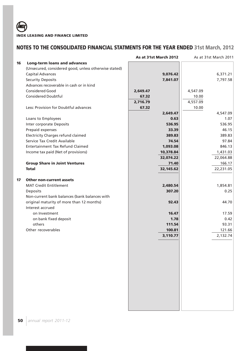|    |                                                       | As at 31st March 2012 |          | As at 31st March 2011 |
|----|-------------------------------------------------------|-----------------------|----------|-----------------------|
| 16 | <b>Long-term loans and advances</b>                   |                       |          |                       |
|    | (Unsecured, considered good, unless otherwise stated) |                       |          |                       |
|    | <b>Capital Advances</b>                               | 9,076.42              |          | 6,371.21              |
|    | <b>Security Deposits</b>                              | 7,841.07              |          | 7,797.58              |
|    | Advances recoverable in cash or in kind               |                       |          |                       |
|    | <b>Considered Good</b>                                | 2,649.47              | 4,547.09 |                       |
|    | <b>Considered Doubtful</b>                            | 67.32                 | 10.00    |                       |
|    |                                                       | 2,716.79              | 4,557.09 |                       |
|    | Less: Provision for Doubtful advances                 | 67.32                 | 10.00    |                       |
|    |                                                       | 2,649.47              |          | 4,547.09              |
|    | Loans to Employees                                    | 0.63                  |          | 1.07                  |
|    | Inter corporate Deposits                              | 536.95                |          | 536.95                |
|    | Prepaid expenses                                      | 33.39                 |          | 46.15                 |
|    | <b>Electricity Charges refund claimed</b>             | 389.83                |          | 389.83                |
|    | Service Tax Credit Available                          | 74.54                 |          | 97.84                 |
|    | <b>Entertainment Tax Refund Claimed</b>               | 1,093.08              |          | 846.13                |
|    | Income tax paid (Net of provisions)                   | 10,378.84             |          | 1,431.03              |
|    |                                                       | 32,074.22             |          | 22,064.88             |
|    | <b>Group Share in Joint Ventures</b>                  | 71.40                 |          | 166.17                |
|    | <b>Total</b>                                          | 32,145.62             |          | 22,231.05             |
| 17 | <b>Other non-current assets</b>                       |                       |          |                       |
|    | <b>MAT Credit Entitlement</b>                         | 2,480.54              |          | 1,854.81              |
|    | Deposits                                              | 307.20                |          | 0.25                  |
|    | Non-current bank balances (bank balances with         |                       |          |                       |
|    | original maturity of more than 12 months)             | 92.43                 |          | 44.70                 |
|    | Interest accrued                                      |                       |          |                       |
|    | on Investment                                         | 16.47                 |          | 17.59                 |
|    | on bank fixed deposit                                 | 1.78                  |          | 0.42                  |
|    | others                                                | 111.54                |          | 93.31                 |
|    | Other recoverables                                    | 100.81                |          | 121.66                |
|    |                                                       | 3,110.77              |          | 2,132.74              |
|    |                                                       |                       |          |                       |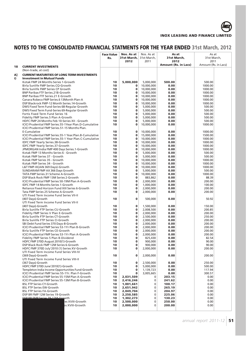

|    |                                                                                        | <b>Face Value</b><br>Rs. | Nos. As at<br>31st March,<br>2012 | Nos. As at<br>31st March,<br>2011 | 31st March,                 | As at<br>2012 | As at<br>31st March.<br>2011 |  |
|----|----------------------------------------------------------------------------------------|--------------------------|-----------------------------------|-----------------------------------|-----------------------------|---------------|------------------------------|--|
| 18 | <b>CURRENT INVESTMENTS</b>                                                             |                          |                                   |                                   | <b>Amount (Rs. in Lacs)</b> |               | Amount (Rs. in Lacs)         |  |
|    | (Non-trade, at cost)                                                                   |                          |                                   |                                   |                             |               |                              |  |
| A] | <b>CURRENT MATURITIES OF LONG TERM INVESTMENTS</b>                                     |                          |                                   |                                   |                             |               |                              |  |
| i) | <b>Investment in Mutual Funds</b>                                                      |                          |                                   |                                   |                             |               |                              |  |
|    | Kotak FMP 24 Months Series 1-Growth                                                    | 10                       | 5,000,000                         | 5,000,000                         | 500.00                      |               | 500.00                       |  |
|    | Birla Sunlife FMP Series.CQ-Growth<br>Birla Sunlife FMP Series CP Growth               | 10<br>10                 | $\mathbf 0$<br>0                  | 10,000,000<br>10,000,000          | 0.00<br>0.00                |               | 1000.00<br>1000.00           |  |
|    | <b>BNP Paribas FTF Series.21B-Growth</b>                                               | 10                       | 0                                 | 10,000,000                        | 0.00                        |               | 1000.00                      |  |
|    | <b>BNP Paribas FTF Series.21 E-Growth</b>                                              | 10                       | 0                                 | 10,000,000                        | 0.00                        |               | 1000.00                      |  |
|    | Canara Robeco FMP Series.6 13 Month Plan-A                                             | 10                       | $\bf{0}$                          | 10,000,000                        | 0.00                        |               | 1000.00                      |  |
|    | DSP Blackrock FMP-12 Month Series.14-Growth                                            | 10                       | $\mathbf 0$                       | 10,000,000                        | 0.00                        |               | 1000.00                      |  |
|    | DWS Fixed Term Fund-Series 68-Regular Growth                                           | 10                       | $\mathbf 0$                       | 5,000,000                         | 0.00                        |               | 500.00                       |  |
|    | DWS Fixed Term Fund-Series 69-Regular Growth                                           | 10                       | $\mathbf 0$                       | 5,000,000                         | 0.00                        |               | 500.00                       |  |
|    | Fortis Fixed Term Fund Series 16                                                       | 10                       | $\mathbf 0$<br>$\bf{0}$           | 5,000,000                         | 0.00                        |               | 500.00                       |  |
|    | Fidelity FMP Series.5 Plan A-Growth<br>HDFC FMP 24 Months Feb 10-Series XII - Growth   | 10<br>10                 | $\mathbf 0$                       | 5,000,000<br>5,000,000            | 0.00<br>0.00                |               | 500.00<br>500.00             |  |
|    | ICICI Prudential FMP Series.55-1Year Plan.D-Cumulative                                 | 10                       | 0                                 | 10,000,000                        | 0.00                        |               | 1000.00                      |  |
|    | ICICI Prudential FMP Series.51-15 Months Plan.                                         |                          |                                   |                                   |                             |               |                              |  |
|    | E-Cumulative                                                                           | 10                       | 0                                 | 10,000,000                        | 0.00                        |               | 1000.00                      |  |
|    | ICICI Prudential FMP Series.55-1 Year.Plan.B-Cumulative                                | 10                       | 0                                 | 15,000,000                        | 0.00                        |               | 1500.00                      |  |
|    | ICICI Prudential FMP Series.55-1 Year Plan.C-Cumulative                                | 10                       | 0                                 | 10,000,000                        | 0.00                        |               | 1000.00                      |  |
|    | IDFC FMP Yearly Series.38-Growth                                                       | 10                       | $\bf{0}$                          | 10,000,000                        | 0.00                        |               | 1000.00                      |  |
|    | IDFC FMP Yearly Series.37-Growth<br>JPMORGAN India FMP 400 Days Series.1-Growth        | 10<br>10                 | $\mathbf 0$<br>$\mathbf 0$        | 10,000,000                        | 0.00                        |               | 1000.00                      |  |
|    | Kotak FMP 13 Months Series 6 - Growth                                                  | 10                       | $\mathbf 0$                       | 10,000,000<br>5,000,000           | 0.00<br>0.00                |               | 1000.00<br>500.00            |  |
|    | Kotak FMP Series 37 - Growth                                                           | 10                       | $\mathbf 0$                       | 5,000,000                         | 0.00                        |               | 500.00                       |  |
|    | Kotak FMP Series 35 - Growth                                                           | 10                       | $\bf{0}$                          | 10,000,000                        | 0.00                        |               | 1000.00                      |  |
|    | Kotak FMP Series 34 - Growth                                                           | 10                       | $\mathbf 0$                       | 10.000.000                        | 0.00                        |               | 1000.00                      |  |
|    | L&T FMP-III(JAN 369 Days)-Growth                                                       | 10                       | $\bf{0}$                          | 10,000,000                        | 0.00                        |               | 1000.00                      |  |
|    | SUNDARAM FMP AX 366 Days Growth                                                        | 10                       | 0                                 | 5,000,000                         | 0.00                        |               | 500.00                       |  |
|    | TATA FMP Series.31 Scheme A-Growth                                                     | 10                       | $\mathbf 0$                       | 10,000,000                        | 0.00                        |               | 1000.00                      |  |
|    | DSP Black Rock FMP 13M Series 2-Growth                                                 | 10<br>10                 | 0<br>$\mathbf{0}$                 | 883,862<br>2,000,000              | 0.00<br>0.00                |               | 88.39<br>200.00              |  |
|    | ICICI Prudential FMP Series 50-19M Plan A-Growth<br>IDFC FMP 14 Months Series 1-Growth | 10                       | $\bf{0}$                          | 1,000,000                         | 0.00                        |               | 100.00                       |  |
|    | Reliance Fixed Horizon Fund XIII Series 6-Growth                                       | 10                       | $\mathbf 0$                       | 2,000,000                         | 0.00                        |               | 200.00                       |  |
|    | Tata FMP Series 25 Scheme A-Growth                                                     | 10                       | 0                                 | 2,000,000                         | 0.00                        |               | 200.00                       |  |
|    | UTI Fixed Term Income Fund Series VII-II                                               |                          |                                   |                                   |                             |               |                              |  |
|    | (407 Days)-Growth                                                                      | 10                       | 0                                 | 500,000                           | 0.00                        |               | 50.92                        |  |
|    | UTI Fixed Term Income Fund Series VII-II                                               |                          |                                   |                                   |                             |               |                              |  |
|    | (407 Days)-Growth                                                                      | 10                       | 0                                 | 1,500,000                         | 0.00                        |               | 150.00                       |  |
|    | Birla Sunlife FTP Series CU-Growth<br>Fidelity FMP Series V Plan E-Growth              | 10<br>10                 | $\mathbf 0$<br>0                  | 2,008,500<br>2,000,000            | 0.00<br>0.00                |               | 200.85<br>200.00             |  |
|    | Birla Sunlife FTP Series CT-Growth                                                     | 10                       | $\mathbf 0$                       | 2,500,000                         | 0.00                        |               | 250.00                       |  |
|    | Birla Sunlife FTP Series CI-Growth                                                     | 10                       | $\mathbf 0$                       | 2,000,000                         | 0.00                        |               | 200.00                       |  |
|    | SBI Debt Fund Series 370 Days-8-Growth                                                 | 10                       | 0                                 | 2,000,000                         | 0.00                        |               | 200.00                       |  |
|    | ICICI Prudential FMP Series 53-1Yr Plan B-Growth                                       | 10                       | $\mathbf 0$                       | 2,000,000                         | 0.00                        |               | 200.00                       |  |
|    | Birla Sunlife FTP Series CE-Growth                                                     | 10                       | $\bf{0}$                          | 2.000.000                         | 0.00                        |               | 200.00                       |  |
|    | ICICI Prudential FMP Series 53-1Yr Plan A-Growth                                       | 10<br>10                 | $\mathbf 0$<br>0                  | 2,000,000                         | 0.00<br>0.00                |               | 200.00<br>82.54              |  |
|    | Fidelity FMP Series 5 Plan B-Dividend<br>HDFC FMP 370D August 2010(1)-Growth           | 10                       | $\bf{0}$                          | 825,430<br>900,000                | 0.00                        |               | 90.00                        |  |
|    | DSP Black Rock FMP 12M Series 6-Growth                                                 | 10                       | 0                                 | 900,000                           | 0.00                        |               | 90.00                        |  |
|    | HDFC FMP 370D July'2010 (1) Series XV-Growth                                           | 10                       | 0                                 | 2,000,000                         | 0.00                        |               | 200.00                       |  |
|    | UTI Fixed Term Income Fund Series VIII-IV                                              |                          |                                   |                                   |                             |               |                              |  |
|    | (369 Days)-Growth                                                                      | 10                       | 0                                 | 2,000,000                         | 0.00                        |               | 200.00                       |  |
|    | UTI Fixed Term Income Fund Series VIII-II                                              |                          |                                   |                                   |                             |               |                              |  |
|    | (367 Days)-Growth                                                                      | 10<br>10                 | 0<br>0                            | 2,500,000                         | 0.00<br>0.00                |               | 250.00                       |  |
|    | HDFC FMP 370D June'2010(1)-Growth<br>Templeton India Income Opportunities Fund-Growth  | 10                       | 0                                 | 5,000,000<br>1,139,723            | 0.00                        |               | 500.00<br>117.94             |  |
|    | ICICI Prudential FMP Series 55-1Yr. Plan F-Growth                                      | 10                       | 0                                 | 3,005,665                         | 0.00                        |               | 300.57                       |  |
|    | ICICI Prudential FMP Series 55-15M Plan A-Growth                                       | 10                       | 2,031,509                         | 0                                 | 203.15                      |               | 0.00                         |  |
|    | <b>ICICI Prudential FMP Series 55-13M Plan B-Growth</b>                                | 10                       | 2,416,246                         | 0                                 | 241.62                      |               | 0.00                         |  |
|    | <b>BSL FTP Series CY-Growth</b>                                                        | 10                       | 1,001,661                         | 0                                 | 100.17                      |               | 0.00                         |  |
|    | <b>BSL FTP Series EW-Growth</b>                                                        | 10                       | 2,651,942                         | 0                                 | 265.19                      |               | 0.00                         |  |
|    | <b>BSL FTP Series FA-Growth</b><br>DSP BR FMP 12M Series 19-Growth                     | 10<br>10                 | 2,049,704                         | 0<br>0                            | 204.97<br>225.06            |               | 0.00<br>0.00                 |  |
|    | DCD RR FMD Corior 20.12M-Growth                                                        | 10                       | 2,250,585<br>1,302,273            | 0                                 | 130.23                      |               | 0.00                         |  |
|    | es XVIII-Growth                                                                        | 10                       | 2,500,000                         | 0                                 | 250.00                      |               | 0.00                         |  |
|    | es XVIII-Growth                                                                        | 10                       | 2,000,000                         | 0                                 | 200.00                      |               | 0.00                         |  |
|    |                                                                                        |                          |                                   |                                   |                             |               |                              |  |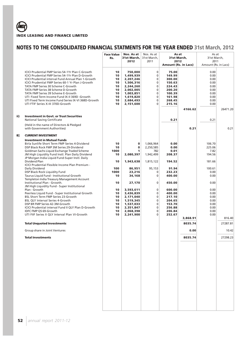|     |                                                                                                                                                                                                                                                                                                                                                                                                                                                                                 | <b>Face Value</b><br>Rs.                                 | Nos. As at<br>31st March.<br>2012                                                                                            | Nos. As at<br>31st March.<br>2011                                      | As at<br>31st March,<br>2012<br><b>Amount (Rs. in Lacs)</b>                                     |                 | As at<br>31st March,<br>2011<br>Amount (Rs. in Lacs)                         |          |
|-----|---------------------------------------------------------------------------------------------------------------------------------------------------------------------------------------------------------------------------------------------------------------------------------------------------------------------------------------------------------------------------------------------------------------------------------------------------------------------------------|----------------------------------------------------------|------------------------------------------------------------------------------------------------------------------------------|------------------------------------------------------------------------|-------------------------------------------------------------------------------------------------|-----------------|------------------------------------------------------------------------------|----------|
|     | ICICI Prudential FMP Series 54-1Yr Plan C-Growth<br>ICICI Prudential FMP Series 54-1Yr Plan D-Growth<br>ICICI Prudential interval Fund Annual Plan 1-Growth<br>ICICI Prudential FMP Series 60-1 Yr Plan J-Growth<br>TATA FMP Series 30 Scheme C-Growth<br>TATA FMP Series 38 Scheme D-Growth<br>TATA FMP Series 39 Scheme E-Growth<br>UTI Fixed Term Income Fund IX-II 369D -Growth<br>UTI Fixed Term Income Fund Series IX-VI 368D-Growth<br>UTI FTIF Series X-III 370D-Growth | 10<br>10<br>10<br>10<br>10<br>10<br>10<br>10<br>10<br>10 | 750,000<br>1,499,939<br>2,207,246<br>1,506,316<br>2,244,260<br>2,002,005<br>1,003,851<br>1,619,820<br>2,684,493<br>2,151,600 | $\mathbf 0$<br>0<br>0<br>0<br>0<br>0<br>0<br>0<br>0<br>0               | 75.00<br>149.99<br>300.00<br>150.63<br>224.43<br>200.20<br>100.39<br>161.98<br>268.45<br>215.16 | 4166.62         | 0.00<br>0.00<br>0.00<br>0.00<br>0.00<br>0.00<br>0.00<br>0.00<br>0.00<br>0.00 | 26471.20 |
| ii) | <b>Investment in Govt. or Trust Securities</b><br><b>National Saving Certificate</b>                                                                                                                                                                                                                                                                                                                                                                                            |                                                          |                                                                                                                              |                                                                        | 0.21                                                                                            |                 | 0.21                                                                         |          |
|     | (Held in the name of Directors & Pledged<br>with Government Authorities)                                                                                                                                                                                                                                                                                                                                                                                                        |                                                          |                                                                                                                              |                                                                        |                                                                                                 | 0.21            |                                                                              | 0.21     |
| В]  | <b>CURRENT INVESTMENT</b>                                                                                                                                                                                                                                                                                                                                                                                                                                                       |                                                          |                                                                                                                              |                                                                        |                                                                                                 |                 |                                                                              |          |
|     | <b>Investment in Mutual Funds</b><br>Birla Sunlife Short Term FMP Series 4-Dividend<br>DSP Black Rock FMP 3M Series 29-Dividend<br>Goldman Sachs Liquid Exchange Traded Scheme<br>JM High Liquidity Fund Instl. Plan Daily Dividend<br>JP Morgan India Liquid Fund-Super Instl. Daily<br>Dividend Plan<br>ICICI Prudential Flexible Income Plan Premium -<br>Daily Dividend<br>DSP Black Rock Liquidity Fund                                                                    | 10<br>10<br>1000<br>10<br>10<br>100<br>1000              | 0<br>$\bf{0}$<br>1<br>2,080,397<br>1.943.638<br>86,951<br>23,216                                                             | 1,066,964<br>2,250,585<br>782<br>1,942,499<br>1,815,122<br>95,153<br>0 | 0.00<br>0.00<br>0.01<br>208.37<br>194.52<br>91.94<br>232.23                                     |                 | 106.70<br>225.06<br>7.82<br>194.56<br>181.66<br>100.61<br>0.00               |          |
|     | Taurus Liquid Fund - Institutional Growth<br>Templeton India Treasury Management Account                                                                                                                                                                                                                                                                                                                                                                                        | 10                                                       | 34,168                                                                                                                       | 0                                                                      | 400.00                                                                                          |                 | 0.00                                                                         |          |
|     | Institutional Plan - Growth.<br>JM High Liquidity Fund - Super Institutional                                                                                                                                                                                                                                                                                                                                                                                                    | 10                                                       | 27,170                                                                                                                       | 0                                                                      | 450.00                                                                                          |                 | 0.00                                                                         |          |
|     | Plan - Growth<br>Peerless Liquid Fund - Super Institutional Growth<br>BSL Short Term FMP Series 23-Growth<br>BSL QLY Interval Series 4-Growth<br>DSP BR FMP Series 42-3M-Growth<br>ICICI Prudential interval Fund II QLY Plan D-Growth<br>IDFC FMP QS 69-Growth<br>UTI FIIF Series II QLY Interval Plan VI-Growth                                                                                                                                                               | 10<br>10<br>10<br>10<br>10<br>10<br>10<br>10             | 3,593,611<br>3,436,839<br>2,171,040<br>1,519,345<br>1,537,033<br>2,351,847<br>2,068,398<br>2,241,900                         | 0<br>0<br>0<br>0<br>0<br>0<br>0<br>0                                   | 600.00<br>400.00<br>217.10<br>204.65<br>153.70<br>256.88<br>206.84<br>252.67                    |                 | 0.00<br>0.00<br>0.00<br>0.00<br>0.00<br>0.00<br>0.00<br>0.00                 |          |
|     |                                                                                                                                                                                                                                                                                                                                                                                                                                                                                 |                                                          |                                                                                                                              |                                                                        |                                                                                                 | 3,868.91        |                                                                              | 816.40   |
|     | <b>Total Unquoted Investments</b>                                                                                                                                                                                                                                                                                                                                                                                                                                               |                                                          |                                                                                                                              |                                                                        |                                                                                                 | 8035.74         |                                                                              | 27287.81 |
|     | Group share in Joint Ventures<br><b>Total Investments</b>                                                                                                                                                                                                                                                                                                                                                                                                                       |                                                          |                                                                                                                              |                                                                        |                                                                                                 | 0.00<br>8035.74 |                                                                              | 10.42    |
|     |                                                                                                                                                                                                                                                                                                                                                                                                                                                                                 |                                                          |                                                                                                                              |                                                                        |                                                                                                 |                 |                                                                              | 27298.23 |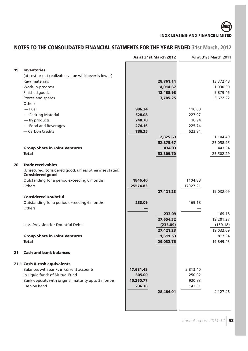|    |                                                                                 |           | As at 31st March 2012 |          | As at 31st March 2011 |
|----|---------------------------------------------------------------------------------|-----------|-----------------------|----------|-----------------------|
| 19 | <b>Inventories</b><br>(at cost or net realizable value whichever is lower)      |           |                       |          |                       |
|    | Raw materials                                                                   |           | 28,761.14             |          | 13,372.48             |
|    | Work-in-progress                                                                |           | 4,014.67              |          | 1,030.30              |
|    | Finished goods<br>Stores and spares                                             |           | 13,488.98<br>3,785.25 |          | 5,879.46<br>3,672.22  |
|    | Others                                                                          |           |                       |          |                       |
|    | — Fuel                                                                          | 996.34    |                       | 116.00   |                       |
|    | - Packing Material                                                              | 528.08    |                       | 227.97   |                       |
|    | - By products                                                                   | 240.70    |                       | 10.94    |                       |
|    | - Food and Beverages                                                            | 274.16    |                       | 225.74   |                       |
|    | - Carbon Credits                                                                | 786.35    |                       | 523.84   |                       |
|    |                                                                                 |           | 2,825.63              |          | 1,104.49              |
|    |                                                                                 |           | 52,875.67             |          | 25,058.95             |
|    | <b>Group Share in Joint Ventures</b>                                            |           | 434.03                |          | 443.34                |
|    | <b>Total</b>                                                                    |           | 53,309.70             |          | 25,502.29             |
|    |                                                                                 |           |                       |          |                       |
| 20 | <b>Trade receivables</b>                                                        |           |                       |          |                       |
|    | (Unsecured, considered good, unless otherwise stated)<br><b>Considered good</b> |           |                       |          |                       |
|    | Outstanding for a period exceeding 6 months                                     | 1846.40   |                       | 1104.88  |                       |
|    | Others                                                                          | 25574.83  |                       | 17927.21 |                       |
|    |                                                                                 |           | 27,421.23             |          | 19,032.09             |
|    | <b>Considered Doubtful</b>                                                      |           |                       |          |                       |
|    | Outstanding for a period exceeding 6 months                                     | 233.09    |                       | 169.18   |                       |
|    | Others                                                                          |           |                       |          |                       |
|    |                                                                                 |           | 233.09                |          | 169.18                |
|    |                                                                                 |           | 27,654.32             |          | 19,201.27             |
|    | Less: Provision for Doubtful Debts                                              |           | (233.09)              |          | (169.18)              |
|    |                                                                                 |           | 27,421.23             |          | 19,032.09             |
|    | <b>Group Share in Joint Ventures</b>                                            |           | 1,611.53              |          | 817.34                |
|    | <b>Total</b>                                                                    |           | 29,032.76             |          | 19,849.43             |
| 21 | <b>Cash and bank balances</b>                                                   |           |                       |          |                       |
|    | 21.1 Cash & cash equivalents                                                    |           |                       |          |                       |
|    | Balances with banks in current accounts                                         | 17,681.48 |                       | 2,813.40 |                       |
|    | In Liquid funds of Mutual Fund                                                  | 305.00    |                       | 250.92   |                       |
|    | Bank deposits with original maturity upto 3 months                              | 10,260.77 |                       | 920.83   |                       |
|    | Cash on hand                                                                    | 236.76    |                       | 142.31   |                       |
|    |                                                                                 |           | 28,484.01             |          | 4,127.46              |
|    |                                                                                 |           |                       |          |                       |
|    |                                                                                 |           |                       |          |                       |
|    |                                                                                 |           |                       |          |                       |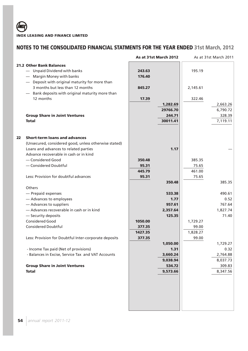|    |                                                                                                                                                                                                                                                                                                                                                                                                                                |                                        | As at 31st March 2012                                                                                            |                                        | As at 31st March 2011                                                                                           |
|----|--------------------------------------------------------------------------------------------------------------------------------------------------------------------------------------------------------------------------------------------------------------------------------------------------------------------------------------------------------------------------------------------------------------------------------|----------------------------------------|------------------------------------------------------------------------------------------------------------------|----------------------------------------|-----------------------------------------------------------------------------------------------------------------|
|    | <b>21.2 Other Bank Balances</b><br>- Unpaid Dividend with banks<br>Margin Money with banks<br>- Deposit with original maturity for more than<br>3 months but less than 12 months<br>- Bank deposits with original maturity more than<br>12 months                                                                                                                                                                              | 243.63<br>176.40<br>845.27<br>17.39    | 1,282.69<br>29766.70                                                                                             | 195.19<br>2,145.61<br>322.46           | 2,663.26<br>6,790.72                                                                                            |
|    | <b>Group Share in Joint Ventures</b><br><b>Total</b>                                                                                                                                                                                                                                                                                                                                                                           |                                        | 244.71<br>30011.41                                                                                               |                                        | 328.39<br>7,119.11                                                                                              |
| 22 | <b>Short-term loans and advances</b><br>(Unsecured, considered good, unless otherwise stated)<br>Loans and advances to related parties<br>Advance recoverable in cash or in kind<br>- Considered Good<br>- Considered Doubtful                                                                                                                                                                                                 | 350.48<br>95.31<br>445.79              | 1.17                                                                                                             | 385.35<br>75.65<br>461.00              |                                                                                                                 |
|    | Less: Provision for doubtful advances                                                                                                                                                                                                                                                                                                                                                                                          | 95.31                                  | 350.48                                                                                                           | 75.65                                  | 385.35                                                                                                          |
|    | Others<br>- Prepaid expenses<br>- Advances to employees<br>- Advances to suppliers<br>- Advances recoverable in cash or in kind<br>- Security deposits<br><b>Considered Good</b><br><b>Considered Doubtful</b><br>Less: Provision for Doubtful Inter-corporate deposits<br>- Income Tax paid (Net of provisions)<br>- Balances in Excise, Service Tax and VAT Accounts<br><b>Group Share in Joint Ventures</b><br><b>Total</b> | 1050.00<br>377.35<br>1427.35<br>377.35 | 533.38<br>1.77<br>957.61<br>2,357.64<br>125.35<br>1,050.00<br>1.31<br>3,660.24<br>9,038.94<br>534.72<br>9,573.66 | 1,729.27<br>99.00<br>1,828.27<br>99.00 | 490.61<br>0.52<br>767.64<br>1,827.74<br>71.40<br>1,729.27<br>0.32<br>2,764.88<br>8,037.73<br>309.83<br>8,347.56 |
|    |                                                                                                                                                                                                                                                                                                                                                                                                                                |                                        |                                                                                                                  |                                        |                                                                                                                 |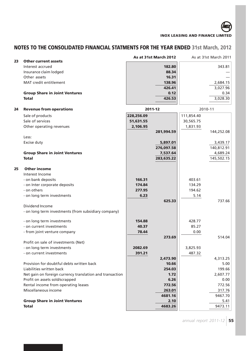| 23 | <b>Other current assets</b>                                 |            | As at 31st March 2012 |            | As at 31st March 2011 |
|----|-------------------------------------------------------------|------------|-----------------------|------------|-----------------------|
|    | Interest accrued                                            |            | 182.80                |            | 343.81                |
|    | Insurance claim lodged                                      |            | 88.34                 |            |                       |
|    | Other assets                                                |            | 16.31                 |            |                       |
|    | MAT credit entitlement                                      |            | 138.96                |            | 2,684.15              |
|    |                                                             |            | 426.41                |            | 3,027.96              |
|    | <b>Group Share in Joint Ventures</b>                        |            | 0.12                  |            | 0.34                  |
|    | <b>Total</b>                                                |            | 426.53                |            | 3,028.30              |
|    |                                                             |            |                       |            |                       |
| 24 | <b>Revenue from operations</b>                              |            | 2011-12               |            | 2010-11               |
|    | Sale of products                                            | 228,256.09 |                       | 111,854.40 |                       |
|    | Sale of services                                            | 51,631.55  |                       | 30,565.75  |                       |
|    | Other operating revenues                                    | 2,106.95   |                       | 1,831.93   |                       |
|    |                                                             |            | 281,994.59            |            | 144,252.08            |
|    | Less:                                                       |            |                       |            |                       |
|    | Excise duty                                                 |            | 5,897.01              |            | 3,439.17              |
|    |                                                             |            | 276,097.58            |            | 140,812.91            |
|    | <b>Group Share in Joint Ventures</b>                        |            | 7,537.64              |            | 4,689.24              |
|    | <b>Total</b>                                                |            | 283,635.22            |            | 145,502.15            |
| 25 | <b>Other income</b>                                         |            |                       |            |                       |
|    | Interest Income                                             |            |                       |            |                       |
|    | - on bank deposits                                          | 166.31     |                       | 403.61     |                       |
|    | - on Inter corporate deposits                               | 174.84     |                       | 134.29     |                       |
|    | - on others                                                 | 277.95     |                       | 194.62     |                       |
|    | - on long term investments                                  | 6.23       |                       | 5.14       |                       |
|    |                                                             |            | 625.33                |            | 737.66                |
|    | Dividend Income                                             |            |                       |            |                       |
|    | - on long term investments (from subsidiary company)        |            |                       |            |                       |
|    | - on long term investments                                  | 154.88     |                       | 428.77     |                       |
|    | - on current investments                                    | 40.37      |                       | 85.27      |                       |
|    | - from joint venture company                                | 78.44      |                       | 0.00       |                       |
|    |                                                             |            | 273.69                |            | 514.04                |
|    | Profit on sale of investments (Net)                         |            |                       |            |                       |
|    | - on long term investments                                  | 2082.69    |                       | 3,825.93   |                       |
|    | - on current investments                                    | 391.21     |                       | 487.32     |                       |
|    |                                                             |            | 2,473.90              |            | 4,313.25              |
|    | Provision for doubtful debts written back                   |            | 10.66                 |            | 5.00                  |
|    | Liabilities written back                                    |            | 254.03                |            | 199.66                |
|    | Net gain on foreign currency translation and transaction    |            | 1.72                  |            | 2,607.77              |
|    | Profit on assets sold/scrapped                              |            | 6.26                  |            | 0.00                  |
|    | Rental income from operating leases<br>Miscellaneous income |            | 772.56                |            | 772.56                |
|    |                                                             |            | 263.01                |            | 317.76                |
|    |                                                             |            | 4681.16               |            | 9467.70               |
|    | <b>Group Share in Joint Ventures</b>                        |            | 2.10                  |            | 5.41                  |
|    | <b>Total</b>                                                |            | 4683.26               |            | 9473.11               |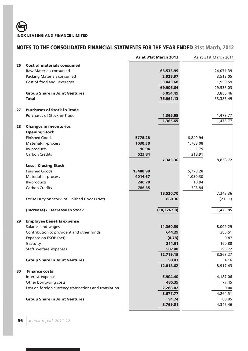|    |                                                       | As at 31st March 2012 | As at 31st March 2011 |
|----|-------------------------------------------------------|-----------------------|-----------------------|
| 26 | <b>Cost of materials consumed</b>                     |                       |                       |
|    | Raw Materials consumed                                | 63,533.99             | 24,071.39             |
|    | <b>Packing Materials consumed</b>                     | 2,928.97              | 3,513.05              |
|    | Cost of food and Beverages                            | 3,443.68              | 1,950.59              |
|    |                                                       | 69,906.64             | 29,535.03             |
|    | <b>Group Share in Joint Ventures</b>                  | 6,054.49              | 3,850.46              |
|    | <b>Total</b>                                          | 75,961.13             | 33,385.49             |
| 27 | <b>Purchases of Stock-in-Trade</b>                    |                       |                       |
|    | Purchases of Stock-in-Trade                           | 1,365.65              | 1,473.77              |
|    |                                                       | 1,365.65              | 1,473.77              |
| 28 | <b>Changes in inventories</b>                         |                       |                       |
|    | <b>Opening Stock</b>                                  |                       |                       |
|    | <b>Finished Goods</b>                                 | 5778.28               | 6,849.94              |
|    | Material-in-process                                   | 1030.30               | 1,768.08              |
|    | By-products                                           | 10.94                 | 1.79                  |
|    | <b>Carbon Credits</b>                                 | 523.84                | 218.91                |
|    |                                                       | 7,343.36              | 8,838.72              |
|    | <b>Less: Closing Stock</b>                            |                       |                       |
|    | <b>Finished Goods</b>                                 | 13488.98              | 5,778.28              |
|    | Material-in-process                                   | 4014.67               | 1,030.30              |
|    | <b>By-products</b>                                    | 240.70                | 10.94                 |
|    | <b>Carbon Credits</b>                                 | 786.35                | 523.84                |
|    |                                                       | 18,530.70             | 7,343.36              |
|    | Excise Duty on Stock of Finished Goods (Net)          | 860.36                | (21.51)               |
|    | (Increase) / Decrease In Stock                        | (10, 326.98)          | 1,473.85              |
| 29 | <b>Employee benefits expense</b>                      |                       |                       |
|    | Salaries and wages                                    | 11,360.59             | 8,009.29              |
|    | Contribution to provident and other funds             | 644.29                | 386.51                |
|    | Expense on ESOP (net)                                 | (4.78)                | 9.87                  |
|    | Gratuity                                              | 211.61                | 160.88                |
|    | Staff welfare expenses                                | 507.48                | 296.72                |
|    |                                                       | 12,719.19             | 8,863.27              |
|    | <b>Group Share in Joint Ventures</b>                  | 99.43                 | 54.16                 |
|    |                                                       | 12,818.62             | 8,917.43              |
| 30 | <b>Finance costs</b>                                  |                       |                       |
|    | Interest expense                                      | 5,904.40              | 4,187.06              |
|    | Other borrowing costs                                 | 485.35                | 77.45                 |
|    | Loss on foreign currency transactions and translation | 2,288.02              | 0.00                  |
|    |                                                       | 8,677.77              | 4,264.51              |
|    | <b>Group Share in Joint Ventures</b>                  | 91.74                 | 80.95                 |
|    |                                                       | 8,769.51              | 4,345.46              |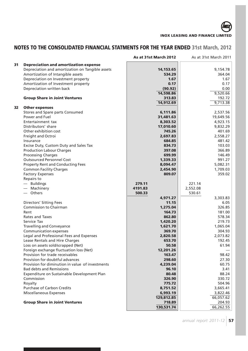|    |                                                  | As at 31st March 2012 | As at 31st March 2011 |
|----|--------------------------------------------------|-----------------------|-----------------------|
| 31 | <b>Depreciation and amortization expense</b>     |                       |                       |
|    | Depreciation and amortization on Tangible assets | 14,153.65             | 9,154.78              |
|    | Amortization of Intangible assets                | 534.29                | 364.04                |
|    | Depreciation on Investment property              | 1.67                  | 1.67                  |
|    | Amortization of Investment property              | 0.17                  | 0.17                  |
|    | Depreciation written back                        | (90.92)               | 0.00                  |
|    |                                                  | 14,598.86             | 9,520.66              |
|    | <b>Group Share in Joint Ventures</b>             | 313.83                | 192.72                |
|    |                                                  | 14,912.69             | 9,713.38              |
| 32 | <b>Other expenses</b>                            |                       |                       |
|    | Stores and Spare parts Consumed                  | 6,111.86              | 2,537.56              |
|    | Power and Fuel                                   | 31,481.63             | 19,649.56             |
|    | Entertainment tax                                | 8,303.52              | 4,923.15              |
|    | Distributors' share                              | 17,010.60             | 9,832.29              |
|    | Other exhibition cost                            | 745.26                | 401.69                |
|    | Freight and Octroi                               | 2,697.83              | 2,558.27              |
|    | Insurance                                        | 684.85                | 481.42                |
|    | Excise Duty, Custom Duty and Sales Tax           | 834.73                | 103.03                |
|    | <b>Production Labour Charges</b>                 | 397.08                | 366.89                |
|    | <b>Processing Charges</b>                        | 699.99                | 146.49                |
|    | <b>Outsourced Personnel Cost</b>                 | 1,339.33              | 991.27                |
|    | <b>Property Rent and Conducting Fees</b>         | 8,094.47              | 5,082.31              |
|    | <b>Common Facility Charges</b>                   | 2,454.90              | 1,709.03              |
|    | <b>Factory Expenses</b>                          | 809.07                | 359.02                |
|    | Repairs to                                       |                       |                       |
|    | $-$ Buildings                                    | 279.11                | 221.14                |
|    | - Machinery                                      | 4191.83               | 2,552.08              |
|    | $-$ Others                                       | 500.33                | 530.61                |
|    |                                                  | 4,971.27              | 3,303.83              |
|    | <b>Directors' Sitting Fees</b>                   | 11.15                 | 6.05                  |
|    | <b>Commission to Chairman</b>                    | 1,275.04              | 326.85                |
|    | Rent                                             | 164.73                | 181.00                |
|    | Rates and Taxes                                  | 862.80                | 578.34                |
|    | Service Tax                                      | 1,420.20              | 219.73                |
|    | <b>Travelling and Conveyance</b>                 | 1,621.70              | 1,065.04              |
|    | <b>Communication expenses</b>                    | 369.70                | 304.93                |
|    | Legal and Professional Fees and Expenses         | 2,820.58              | 2,073.82              |
|    | Lease Rentals and Hire Charges                   | 653.70                | 192.45                |
|    | Loss on assets sold/scrapped (Net)               | 50.58                 | 61.94                 |
|    | Foreign exchange fluctuation loss (Net)          | 12,201.26             |                       |
|    | Provision for trade receivables                  | 163.47                | 98.42                 |
|    | Provision for doubtful advances                  | 298.60                | 27.30                 |
|    | Provision for diminution in value of investments | 4,239.04              | 60.75                 |
|    | <b>Bad debts and Remissions</b>                  | 96.10                 | 3.41                  |
|    | Expenditure on Sustainable Development Plan      | 80.48                 | 88.24                 |
|    | Commission                                       | 326.90                | 330.72                |
|    | Royalty                                          | 775.72                | 504.96                |
|    | Purchase of Carbon Credits                       | 8,751.52              | 3,665.41              |
|    | <b>Miscellaneous Expenses</b>                    | 6,993.19              | 3,822.46              |
|    |                                                  | 129,812.85            | 66,057.62             |
|    | <b>Group Share in Joint Ventures</b>             | 718.89                | 204.93                |
|    |                                                  | 130,531.74            | 66,262.55             |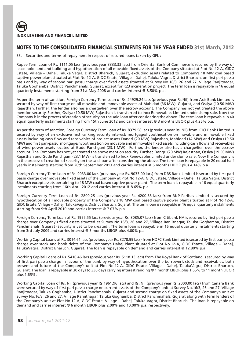

33. Securities and terms of repayment in respect of secured loans taken by GFL :

Rupee Term Loan of Rs. 1111.05 lacs (previous year 3333.33 lacs) from Oriental Bank of Commerce is secured by the way of lease hold land and building and hypothecation of all movable fixed assets of the Company situated at Plot No.12-A, GIDC Estate, Village – Dahej, Taluka Vagra, District Bharuch, Gujarat, excluding assets related to Company's 18 MW coal based captive power plant situated at Plot No.12-A, GIDC Estate, Village – Dahej, Taluka Vagra, District Bharuch, on first pari passu basis and by way of second pari passu charge over fixed assets situated at Survey No.16/3, 26 and 27, Village Ranjitnagar, Taluka Goghamba, District Panchmahals, Gujarat, except for R23 incineration project. The term loan is repayable in 16 equal quarterly instalments starting from 31st May 2008 and carries interest @ 8.50% p.a.

As per the term of sanction, Foreign Currency Term Loan of Rs. 24929.24 lacs (previous year Rs.Nil) from Axis Bank Limited is secured by way of first charge on all movable and immovable assets of Mahidad (36 MW), Gujarat, and Ossiya (10.50 MW) Rajasthan. Further, the lender also has a charge/lien over the escrow account. The Company has not yet created the above mention security. Further, Ossiya (10.50 MW) Rajasthan is transferred to Inox Renewables Limited under slump sale. Now the Company is in the process of creation of security on the said loan after considering the above. The term loan is repayable in 40 equal quarterly instalments starting from 15th June 2012 and carries interest @ 3 months LIBOR plus 4.25% p.a.

As per the term of sanction, Foreign Currency Term Loan of Rs. 8379.58 lacs (previous year Rs. Nil) from ICICI Bank Limited is secured by way of an exclusive first ranking security interest/ mortgage/hypothecation on movable and immovable fixed assets including cash flow and receivables of project assets Dangri (20 MW) Rajasthan, Mahidad (14 MW) and Ossiya (19.50 MW) and first pari-passu mortgage/hypothecation on movable and immovable fixed assets including cash flow and receivables of wind power assets located at Gude Panchgani (23.1 MW). Further, the lender also has a charge/lien over the escrow account. The Company has not yet created the above mention security. Further, Dangri (20 MW) Rajasthan, Ossiya (19.50 MW) Rajasthan and Gude Panchgani (23.1 MW) is transferred to Inox Renewables Limited under slump sale. Now the Company is in the process of creation of security on the said loan after considering the above. The term loan is repayable in 20 equal half yearly instalments starting from 20th September 2013 and carries interest @ 6 months LIBOR plus 4.14% p.a.

Foreign Currency Term Loan of Rs. 9033.00 lacs (previous year Rs. 9033.00 lacs) from DBS Bank Limited is secured by first pari passu charge over moveable fixed assets of the Company at Plot No.12-A, GIDC Estate, Village – Dahej, Taluka Vagra, District Bharuch except assets pertaining to 18 MW coal based captive power plant. The term loan is repayable in 16 equal quarterly instalments starting from 16th April 2012 and carries interest @ 8.65% p.a.

Foreign Currency Term Loan of Rs. 2800.25 lacs (previous year Rs. 4200.38 lacs) from BNP Paribas Limited is secured by hypothecation of all movable property of the Company's 18 MW coal based captive power plant situated at Plot No.12-A, GIDC Estate, Village – Dahej, TalukaVagra, District Bharuch, Gujarat. The term loan is repayable in 16 equal quarterly instalments starting from 9th April 2010 and carries interest @ 7.07% p.a.

Foreign Currency Term Loan of Rs. 1955.55 lacs (previous year Rs. 3085.07 lacs) from Citibank NA is secured by first pari passu charge over Company's fixed assets situated at Survey No.16/3, 26 and 27, Village Ranjitnagar, Taluka Goghamba, District Panchmahals, Gujarat (Security is yet to be created). The term loan is repayable in 16 equal quarterly instalments starting from 3rd July 2009 and carries interest @ 3 months LIBOR plus 4.00% p.a.

Working Capital Loans of Rs. 3014.61 lacs (previous year Rs. 3278.99 lacs) from HDFC Bank Limited is secured by first pari passu charge over stock and book debts of the Company's Dahej Plant situated at Plot No.12-A, GIDC Estate, Village – Dahej, TalukaVagra, District Bharuch, Gujarat. The loan is repayable on demand and carries interest @ 12.80% p.a

Working Capital Loans of Rs. 5410.46 lacs (previous year Rs. 5118.13 lacs) from The Royal Bank of Scotland is secured by way of first pari passu charge in favour of the bank by way of hypothecation over the borrower's stock and receivables, both present and future of the Company's unit at Plot No.12-A, GIDC Estate, Village – Dahej, TalukaVagra, District Bharuch, Gujarat. The loan is repayable in 30 days to 330 days carrying interest ranging @ 1 month LIBOR plus 1.65% to 11 month LIBOR plus 1.65%.

Working Capital Loan of Rs. Nil (previous year Rs.1961.96 lacs) and Rs. Nil (previous year Rs. 2000.00 lacs) from Canara Bank were secured by way of first pari passu charge on current assets of the Company's unit at Survey No.16/3, 26 and 27, Village Ranjitnagar, Taluka Goghamba, District Panchmahals, Gujarat and second charge on fixed assets of the Company's unit at Survey No.16/3, 26 and 27, Village Ranjitnagar, Taluka Goghamba, District Panchmahals, Gujarat along with term lenders of the Company's unit at Plot No.12-A, GIDC Estate, Village – Dahej, Taluka Vagra, District Bharuch. The loan is repayable on demand and carries interest @ 6 month LIBOR plus 2.00% and 10.00% p.a. respectively.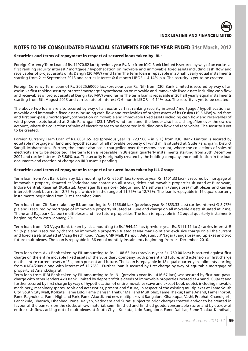

# **Securities and terms of repayment in respect of secured loans taken by IRL** :

Foreign Currency Term Loan of Rs. 11970.82 lacs (previous year Rs. Nil) from ICICI Bank Limited is secured by way of an exclusive first ranking security interest / mortgage / hypothecation on movable and immovable fixed assets including cash flow and receivables of project assets of its Dangri (20 MW) wind farm The term loan is repayable in 20 half yearly equal installments starting from 21st September 2013 and carries interest @ 6 month LIBOR + 4.14% p.a. The security is yet to be created.

Foreign Currency Term Loan of Rs. 30525.60000 lacs (previous year Rs. Nil) from ICICI Bank Limited is secured by way of an exclusive first ranking security interest / mortgage / hypothecation on movable and immovable fixed assets including cash flow and receivables of project assets at Dangri (50 MW) wind farms The term loan is repayable in 20 half yearly equal installments starting from 6th August 2013 and carries rate of interest @ 6 month LIBOR + 4.14% p.a. The security is yet to be created.

The above two loans are also secured by way of an exclusive first ranking security interest / mortgage / hypothecation on movable and immovable fixed assets including cash flow and receivables of project assets of its Ossiya (19.5 MW) wind farm and first pari-passu mortgage/hypothecation on movable and immovable fixed assets including cash flow and receivables of wind power assets located at Gude Panchgani (23.1 MW) wind farm and the lender also has a charge/lien over the escrow account, where the collections of sales of electricity are to be deposited including cash flow and receivables. The security is yet to be created.

Foreign Currency Term Loan of Rs. 6881.65 lacs (previous year Rs. 7237.66 – in GFL) from ICICI Bank Limited is secured by equitable mortgage of land and hypothecation of all movable property of wind mills situated at Gude Panchgani, District Sangli, Maharashtra. Further, the lender also has a charge/lien over the escrow account, where the collections of sales of electricity are to be deposited. The term loan is repayable in 38 equal quarterly installments starting from 20th December 2007 and carries interest @ 5.86% p.a. The security is originally created by the holding company and modification in the loan documents and creation of charge on IRL's asset is pending.

# **Securities and terms of repayment in respect of secured loans taken by ILL Group**:

Term loan from Axis Bank taken by ILL amounting to Rs. 660.81 lacs (previous year Rs. 1101.33 lacs) is secured by mortgage of immovable property situated at Vadodara and charge on all stocks, debts and movable properties situated at Burdhwan, Indore Central, Rajarhat (Kolkata), Jayanagar (Bangalore), Siliguri and Maleshwaram (Bangalore) multiplexes and carries interest @ bank base rate + 2.75 % p.a which is in the range of 11.75% to 12.75%. The loan is repayable in 16 equal quarterly instalments beginning from 31st December, 2009.

Term loan from Citi Bank taken by ILL amounting to Rs.1166.66 lacs (previous year Rs.1833.33 lacs) carries interest @ 8,75% p.a and is secured by mortgage of immovable property situated at Pune and charge on all movable assets situated at Pune, Thane and Rajapark (Jaipur) multiplexes and five future properties. The loan is repayable in 12 equal quarterly instalments beginning from 29th January, 2011.

Term loan from ING Vysya Bank taken by ILL amounting to Rs.1944.44 lacs (previous year Rs. 3111.11 lacs) carries interest @ 9.5% p.a and is secured by charge on immovable property situated at Nariman Point and exclusive charge on all the current and fixed assets situated at Vizag Beach Road, Vizag CMR Mall, Kanpur, Belgaum, J.P.Nagar (Bangalore) multiplexes and two future multiplexes. The loan is repayable in 36 equal monthly instalments beginning from 1st December, 2010.

Term loan from Axis Bank taken by FIL amounting to Rs. 1108.63 lacs (previous year Rs. 750.00 lacs) is secured against first charge on the entire movable fixed assets of the Subsidiary Company, both present and future; and extension of first charge on the entire current assets of FIL, both present and future. The Loan is repayable in 18 equal quarterly installments starting from 01/04/2009 along with interest of 12.75%. Further loan is secured by first charge by way of equitable mortgage of property at Anand,Gujarat.

Term loan from IDBI Bank taken by FIL amounting to Rs. Nil (previous year Rs. 1416.67 lacs) was secured by first pari passu charge with other lenders Axis Bank Limited by deposit of title deeds of immovable properties located at Anand, Gujarat and further secured by first charge by way of hypothecation of entire movables (save and except book debts), including movable machinery, machinery spares, tools and accessories, present and future, in respect of the existing multiplexes at Fame South City, South City Mall, Kolkata, Fame Lido, Fame Dahisar, Thakur Mall and Multiplex, Fame Thakur, Fame Anand, Fame Inorbit, Fame Raghuleela, Fame Highland Park, Fame Akurdi, and new multiplexes at Bangalore, Ghatkopar, Vashi, Prabhat, Chandigarh, Panchkula, Bharuch, Dhanbad, Pune, Kalyan, Vadodara and Surat, subject to prior charges created and/or to be created in favour of the bankers on the stocks of raw material, semi-finished and finished goods, consumable stores and by escrow of entire cash flows arising out of multiplexes at South City – Kolkata, Lido-Bangalore, Fame Dahisar, Fame Thakur-Kandivali,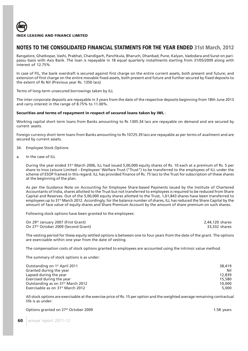Bangalore, Ghatkopar, Vashi, Prabhat, Chandigarh, Panchkula, Bharuch, Dhanbad, Pune, Kalyan, Vadodara and Surat on paripassu basis with Axis Bank. The loan is repayable in 18 equal quarterly installments starting from 31/05/2009 along with interest of 12.75%

In case of FIL, the bank overdraft is secured against first charge on the entire current assets, both present and future; and extension of first charge on the entire movable fixed assets, both present and future and further secured by fixed deposits to the extent of Rs Nil (Previous year Rs. 1350 lacs)

Terms of long-term unsecured borrowings taken by ILL

The inter-corporate deposits are repayable in 3 years from the date of the respective deposits beginning from 18th June 2013 and carry interest in the range of 8.75% to 11.00%.

# **Securities and terms of repayment in respect of secured loans taken by IWL** :

Working capital short term loans from Banks amounting to Rs 1305.34 lacs are repayable on demand and are secured by current assets.

Foreign currency short term loans from Banks amounting to Rs 10725.39 lacs are repayable as per terms of availment and are secured by current assets.

- 34. Employee Stock Options
- a. In the case of ILL

During the year ended 31<sup>st</sup> March 2006, ILL had issued 5,00,000 equity shares of Rs. 10 each at a premium of Rs. 5 per share to Inox Leisure Limited – Employees' Welfare Trust ("Trust") to be transferred to the employees of ILL under the scheme of ESOP framed in this regard. ILL has provided finance of Rs. 75 lacs to the Trust for subscription of these shares at the beginning of the plan.

As per the Guidance Note on Accounting for Employee Share-based Payments issued by the Institute of Chartered Accountants of India, shares allotted to the Trust but not transferred to employees is required to be reduced from Share Capital and Reserves. Out of the 5,00,000 equity shares allotted to the Trust, 1,61,843 shares have been transferred to employees up to 31<sup>st</sup> March 2012. Accordingly, for the balance number of shares, ILL has reduced the Share Capital by the amount of face value of equity shares and Share Premium Account by the amount of share premium on such shares.

Following stock options have been granted to the employees:

| On 29 <sup>th</sup> January 2007 (First Grant)  | 2,44,120 shares |
|-------------------------------------------------|-----------------|
| On 27 <sup>th</sup> October 2009 (Second Grant) | 33,332 shares   |

The vesting period for these equity settled options is between one to four years from the date of the grant. The options are exercisable within one year from the date of vesting.

The compensation costs of stock options granted to employees are accounted using the intrinsic value method.

The summary of stock options is as under:

| Outstanding on 1 <sup>st</sup> April 2011     | 38,419 |
|-----------------------------------------------|--------|
| Granted during the year                       | Nil    |
| Lapsed during the year                        | 12,839 |
| Exercised during the year                     | 15,580 |
| Outstanding as on 31 <sup>st</sup> March 2012 | 10,000 |
| Exercisable as on 31 <sup>st</sup> March 2012 | 5,000  |

All stock options are exercisable at the exercise price of Rs. 15 per option and the weighted average remaining contractual life is as under:

Options granted on 27<sup>th</sup> October 2009 **1.58** years **1.58** years **1.58** years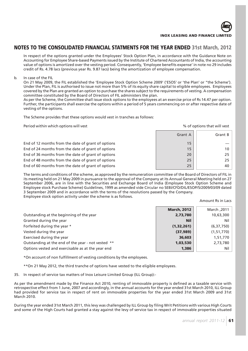In respect of the options granted under the Employees' Stock Option Plan, in accordance with the Guidance Note on Accounting for Employee Share-based Payments issued by the Institute of Chartered Accountants of India, the accounting value of options is amortized over the vesting period. Consequently, 'Employee benefits expense' in note no 29 includes credit of Rs. 4.78 lacs (previous year Rs. 9.87 lacs) being the amortization of employee compensation.

### b. In case of the FIL

On 21 May 2009, the FIL established the 'Employee Stock Option Scheme 2009' ('ESOS' or 'the Plan' or "the Scheme'). Under the Plan, FIL is authorised to issue not more than 5% of its equity share capital to eligible employees. Employees covered by the Plan are granted an option to purchase the shares subject to the requirements of vesting. A compensation committee constituted by the Board of Directors of FIL administers the plan.

As per the Scheme, the Committee shall issue stock options to the employees at an exercise price of Rs 14.47 per option. Further, the participants shall exercise the options within a period of 5 years commencing on or after respective date of vesting of the options.

The Scheme provides that these options would vest in tranches as follows:

Period within which options will vest  $\sim$  800  $\mu$  . The contract will vest of options that will vest of options that will vest

|                                                    | Grant A | Grant B |
|----------------------------------------------------|---------|---------|
| End of 12 months from the date of grant of options | 15      |         |
| End of 24 months from the date of grant of options | 15      | 10      |
| End of 36 months from the date of grant of options | 20      | 25      |
| End of 48 months from the date of grant of options | 25      | 25      |
| End of 60 months from the date of grant of options | 25      | 40      |
|                                                    |         |         |

The terms and conditions of the scheme, as approved by the remuneration committee of the Board of Directors of FIL in its meeting held on 21 May 2009 in pursuance to the approval of the Company at its Annual General Meeting held on 27 September 2006, are in line with the Securities and Exchange Board of India (Employee Stock Option Scheme and Employee stock Purchase Scheme) Guidelines, 1999 as amended vide Circular no SEBI/CFD/DIL/ESOP/5/2009/03/09 dated 3 September 2009 and in accordance with the terms of the resolutions passed by the Company. Employee stock option activity under the scheme is as follows.

Amount Rs in Lacs

|                                                    | <b>March, 2012</b> | 2011, March  |
|----------------------------------------------------|--------------------|--------------|
| Outstanding at the beginning of the year           | 2,73,780           | 10,63,300    |
| Granted during the year                            | <b>Nil</b>         | Nil          |
| Forfeited during the year *                        | (1,32,261)         | (6, 37, 750) |
| Vested during the year                             | (37, 989)          | (1, 51, 770) |
| Exercised during the year                          | 36,603             | 1,51,770     |
| Outstanding at the end of the year - not vested ** | 1,03,530           | 2,73,780     |
| Options vested and exercisable as at the year end  | 1,386              | Nil          |

\*On account of non fulfillment of vesting conditions by the employees.

\*\*On 21 May 2012, the third tranche of options have vested to the eligible employees.

35. In respect of service tax matters of Inox Leisure Limited Group (ILL Group):-

As per the amendment made by the Finance Act 2010, renting of immovable property is defined as a taxable service with retrospective effect from 1 June, 2007 and accordingly, in the annual accounts for the year ended 31st March 2010, ILL Group had provided for service tax in respect of rent on immovable properties for the year ended 31st March 2009 and 31st March 2010.

During the year ended 31st March 2011, this levy was challenged by ILL Group by filing Writ Petitions with various High Courts and some of the High Courts had granted a stay against the levy of service tax in respect of immovable properties situated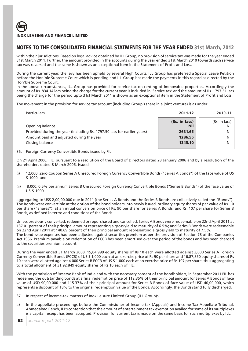within their jurisdictions. Based on legal advice obtained by ILL Group, no provision of service tax was made for the year ended 31st March 2011. Further, the amount provided in the accounts during the year ended 31st March 2010 towards such service tax was reversed and the same is shown as an exceptional item in the Statement of Profit and Loss.

During the current year, the levy has been upheld by several High Courts. ILL Group has preferred a Special Leave Petition before the Hon'ble Supreme Court which is pending and ILL Group has made the payments in this regard as directed by the Hon'ble Supreme Court.

In the above circumstances, ILL Group has provided for service tax on renting of immovable properties. Accordingly the amount of Rs. 834.14 lacs being the charge for the current year is included in 'Service tax' and the amount of Rs. 1797.51 lacs being the charge for the period upto 31st March 2011 is shown as an exceptional item in the Statement of Profit and Loss.

The movement in the provision for service tax account (including Group's share in a joint venture) is as under:

| <b>Particulars</b>                                                      | 2011-12                     | 2010-11              |
|-------------------------------------------------------------------------|-----------------------------|----------------------|
| Opening Balance                                                         | (Rs. in lacs)<br><b>Nil</b> | (Rs. in lacs)<br>Nil |
| Provided during the year (including Rs. 1797.50 lacs for earlier years) | 2631.65                     | Nil                  |
| Amount paid and adjusted during the year                                | 1286.55                     | Nil                  |
| Closing balance                                                         | 1345.10                     | Nil                  |
|                                                                         |                             |                      |

36. Foreign Currency Convertible Bonds issued by FIL

On 21 April 2006, FIL, pursuant to a resolution of the Board of Directors dated 28 January 2006 and by a resolution of the shareholders dated 8 March 2006, issued

- (i) 12,000, Zero Coupon Series A Unsecured Foreign Currency Convertible Bonds ("Series A Bonds") of the face value of US \$ 1000; and
- (ii) 8,000, 0.5% per annum Series B Unsecured Foreign Currency Convertible Bonds ("Series B Bonds") of the face value of US \$ 1000

aggregating to US\$ 2,00,00,000 due in 2011 (the Series A Bonds and the Series B Bonds are collectively called the "Bonds"). The Bonds were convertible at the option of the bond holders into newly issued, ordinary equity shares of par value of Rs. 10 per share ("Shares"), at an initial conversion price of Rs. 90 per share for Series A Bonds; and Rs. 107 per share for Series B Bonds, as defined in terms and conditions of the Bonds.

Unless previously converted, redeemed or repurchased and cancelled, Series A Bonds were redeemable on 22nd April 2011 at 137.01 percent of their principal amount representing a gross yield to maturity of 6.5%; and Series B Bonds were redeemable on 22nd April 2011 at 140.69 percent of their principal amount representing a gross yield to maturity of 7.5%. The bond issue expenses had been adjusted against securities premium as per the provision of Section 78 of the Companies Act 1956. Premium payable on redemption of FCCB has been amortised over the period of the bonds and has been charged to the securities premium account.

During the year ended 31 March 2008, 15,04,999 equity shares of Rs 10 each were allotted against 3,000 Series A Foreign Currency Convertible Bonds (FCCB) of US \$ 1,000 each at an exercise price of Rs 90 per share and 16,87,850 equity shares of Rs 10 each were allotted against 4,000 Series B FCCB of US \$ 1,000 each at an exercise price of Rs 107 per share, thus aggregating to a total allotment of 31,92,849 equity shares of Rs 10 each of FIL.

With the permission of Reserve Bank of India and with the necessary consent of the bondholders, in September 2011 FIL has redeemed the outstanding bonds at a final redemption price of 112.35% of their principal amount for Series A Bonds of face value of USD 90,00,000 and 115.37% of their principal amount for Series B Bonds of face value of USD 40,00,000, which represents a discount of 18% to the original redemption value of the Bonds. Accordingly, the Bonds stand fully discharged.

37. In respect of income-tax matters of Inox Leisure Limited Group (ILL Group):-

a) In the appellate proceedings before the Commissioner of Income-tax (Appeals) and Income Tax Appellate Tribunal, Ahmedabad Bench, ILL's contention that the amount of entertainment tax exemption availed for some of its multiplexes is a capital receipt has been accepted. Provision for current tax is made on the same basis for such multiplexes by ILL.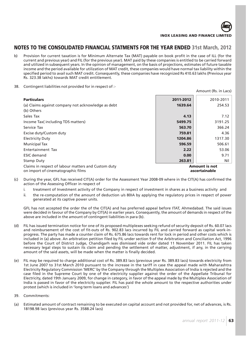

- b) Provision for current taxation is for Minimum Alternate Tax (MAT) payable on book profit in the case of ILL (for the current and previous year) and FIL (for the previous year). MAT paid by these companies is entitled to be carried forward and utilized in subsequent years. In the opinion of management, on the basis of projections, estimates of future taxable income and the period available for utilization of MAT credit, these companies would have normal tax liability within the specified period to avail such MAT credit. Consequently, these companies have recognized Rs 410.63 lakhs (Previous year Rs. 323.38 lakhs) towards MAT credit entitlement.
- 38. Contingent liabilities not provided for in respect of :-

| <b>Particulars</b><br>(a) Claims against company not acknowledge as debt<br>(b) Others    | 2011-2012<br>1639.64                  | 2010-2011<br>254.53 |
|-------------------------------------------------------------------------------------------|---------------------------------------|---------------------|
| Sales Tax                                                                                 | 4.13                                  | 7.12                |
| Income Tax(including TDS matters)                                                         | 5499.75                               | 3191.25             |
| Service Tax                                                                               | 563.70                                | 366.24              |
| Excise duty/Custom duty                                                                   | 759.81                                | 4.36                |
| <b>Electricity Duty</b>                                                                   | 1204.86                               | 1317.30             |
| <b>Municipal Tax</b>                                                                      | 596.59                                | 506.61              |
| Entertainment Tax                                                                         | 2.22                                  | 53.06               |
| <b>ESIC</b> demand                                                                        | 0.00                                  | 9.71                |
| Stamp Duty                                                                                | 263.81                                | Nil                 |
| Claims in respect of labour matters and Custom duty<br>on import of cinematographic films | <b>Amount is not</b><br>ascertainable |                     |

- (c) During the year, GFL has received CIT(A) order for the Assessment Year 2008-09 where in the CIT(A) has confirmed the action of the Assessing Officer in respect of
	- i. treatment of Investment activity of the Company in respect of investment in shares as a business activity and
	- ii. the re-computation of the amount of deduction u/s 80IA by applying the regulatory prices in respect of power generated at its captive power units.

GFL has not accepted the order the of the CIT(A) and has preferred appeal before ITAT, Ahmedabad. The said issues were decided in favour of the Company by CIT(A) in earlier years. Consequently, the amount of demands in respect of the above are included in the amount of contingent liabilities in para (b).

- (d) FIL has issued termination notice for one of its proposed multiplexes seeking refund of security deposit of Rs. 60.07 lacs and reimbursement of the cost of fit-outs of Rs. 902.83 lacs incurred by FIL and carried forward as capital work-inprogress. The party has made a counter claim of Rs. 675.86 lacs towards rent for lock in period and other costs which is included in (a) above. An arbitration petition filed by FIL under section 9 of the Arbitration and Conciliation Act, 1996 before the Court of District Judge, Chandigarh was dismissed vide order dated 11 November 2011. FIL has taken necessary legal steps to sustain its claim and pending the settlement of matter, adjustment, if any, in the carrying amount of the said assets, will be made when the matter is finally decided.
- (e) FIL may be required to charge additional cost of Rs. 389.83 lacs (previous year Rs. 389.83 lacs) towards electricity from 1st June 2007 to 31st March 2010 pursuant to the increase in the tariff in case the appeal made with Maharashtra Electricity Regulatory Commission 'MERC' by the Company through the Multiplex Association of India is rejected and the case filed in the Supreme Court by one of the electricity supplier against the order of the Appellate Tribunal for Electricity, dated 19th January 2009, for change in category, in favor of the appeal made by the Multiplex Association of India is passed in favor of the electricity supplier. FIL has paid the whole amount to the respective authorities under protest (which is included in 'long term loans and advances')
- 39. Commitments:
- (a) Estimated amount of contract remaining to be executed on capital account and not provided for, net of advances, is Rs. 18198.98 lacs (previous year Rs. 3588.24 lacs)

Amount (Rs. in Lacs)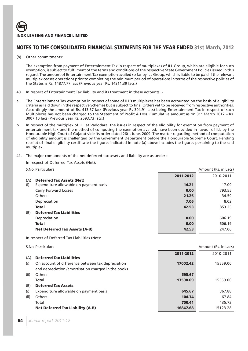

(b) Other commitments:

The exemption from payment of Entertainment Tax in respect of multiplexes of ILL Group, which are eligible for such exemption, is subject to fulfilment of the terms and conditions of the respective State Government Policies issued in this regard. The amount of Entertainment Tax exemption availed so far by ILL Group, which is liable to be paid if the relevant multiplex ceases operations prior to completing the minimum period of operations in terms of the respective policies of the States is Rs. 14877.77 lacs (Previous year Rs. 14311.39 lacs.)

- 40. In respect of Entertainment Tax liability and its treatment in these accounts: -
- a. The Entertainment Tax exemption in respect of some of ILL's multiplexes has been accounted on the basis of eligibility criteria as laid down in the respective Schemes but is subject to final Orders yet to be received from respective authorities. Accordingly the amount of Rs. 413.37 lacs (Previous year Rs 304.91 lacs) being Entertainment Tax in respect of such Multiplexes has not been charged to the Statement of Profit & Loss. Cumulative amount as on 31<sup>st</sup> March 2012 – Rs. 3007.10 lacs (Previous year Rs. 2593.73 lacs.)
- b. In respect of the multiplex of ILL at Vadodara, the issues in respect of the eligibility for exemption from payment of entertainment tax and the method of computing the exemption availed, have been decided in favour of ILL by the Honourable High Court of Gujarat vide its order dated 26th June, 2009. The matter regarding method of computation of eligibility amount is challenged by the Government Department before the Honourable Supreme Court. Pending receipt of final eligibility certificate the figures indicated in note (a) above includes the figures pertaining to the said multiplex.
- 41. The major components of the net deferred tax assets and liability are as under **:**

In respect of Deferred Tax Assets (Net):

| <b>S.No. Particulars</b> |  |
|--------------------------|--|
|--------------------------|--|

|     |                                        | 2011-2012 | 2010-2011 |
|-----|----------------------------------------|-----------|-----------|
| (A) | <b>Deferred Tax Assets (Net)</b>       |           |           |
| (i) | Expenditure allowable on payment basis | 14.21     | 17.09     |
|     | <b>Carry Forward Losses</b>            | 0.00      | 793.55    |
|     | <b>Others</b>                          | 21.26     | 34.59     |
|     | Depreciation                           | 7.06      | 8.02      |
|     | <b>Total</b>                           | 42.53     | 853.25    |
| (B) | <b>Deferred Tax Liabilities</b>        |           |           |
|     | Depreciation                           | 0.00      | 606.19    |
|     | <b>Total</b>                           | 0.00      | 606.19    |
|     | <b>Net Deferred Tax Assets (A-B)</b>   | 42.53     | 247.06    |

Amount (Rs. in Lacs)

In respect of Deferred Tax Liabilities (Net):

S.No. Particulars Amount (Rs. in Lacs) S.No. Particulars Amount (Rs. in Lacs)

|                                                          | 2011-2012 | 2010-2011 |
|----------------------------------------------------------|-----------|-----------|
| <b>Deferred Tax Liabilities</b><br>(A)                   |           |           |
| (i)<br>On account of difference between tax depreciation | 17002.42  | 15559.00  |
| and depreciation /amortisation charged in the books      |           |           |
| Others<br>(ii)                                           | 595.67    |           |
| Total                                                    | 17598.09  | 15559.00  |
| <b>Deferred Tax Assets</b><br>(B)                        |           |           |
| (i)<br>Expenditure allowable on payment basis            | 645.67    | 367.88    |
| (ii)<br>Others                                           | 104.74    | 67.84     |
| Total                                                    | 750.41    | 435.72    |
| <b>Net Deferred Tax Liability (A-B)</b>                  | 16847.68  | 15123.28  |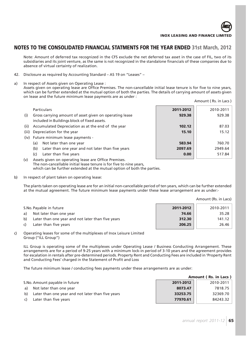

Amount ( Rs. in Lacs )

# **NOTES TO THE CONSOLIDATED FINANCIAL STATMENTS FOR THE YEAR ENDED 31st March, 2012**

Note: Amount of deferred tax recognized in the CFS exclude the net deferred tax asset in the case of FIL, two of its subsidiaries and its joint venture, as the same is not recognized in the standalone financials of these companies due to absence of virtual certainty of realization.

- 42. Disclosure as required by Accounting Standard AS 19 on "Leases" –
- a) In respect of Assets given on Operating Lease :

Assets given on operating lease are Office Premises. The non-cancellable initial lease tenure is for five to nine years, which can be further extended at the mutual option of both the parties. The details of carrying amount of assets given on lease and the future minimum lease payments are as under :

|       | <b>Particulars</b>                                                                                      | 2011-2012 | 2010-2011 |
|-------|---------------------------------------------------------------------------------------------------------|-----------|-----------|
| (i)   | Gross carrying amount of asset given on operating lease<br>included in Buildings block of fixed assets. | 929.38    | 929.38    |
| (ii)  | Accumulated Depreciation as at the end of the year                                                      | 102.12    | 87.03     |
| (iii) | Depreciation for the year                                                                               | 15.10     | 15.12     |
|       | (iv) Future minimum lease payments -                                                                    |           |           |
|       | Not later than one year<br>(a)                                                                          | 583.94    | 760.70    |
|       | Later than one year and not later than five years<br>(b)                                                | 2097.69   | 2949.64   |
|       | Later than five years<br>(c)                                                                            | 0.00      | 517.84    |
| (y)   | Assate given on operating lease are Office Premises                                                     |           |           |

- (v) Assets given on operating lease are Office Premises. The non-cancellable initial lease tenure is for five to nine years, which can be further extended at the mutual option of both the parties.
- b) In respect of plant taken on operating lease:

The plants taken on operating lease are for an initial non-cancellable period of ten years, which can be further extended at the mutual agreement. The future minimum lease payments under these lease arrangement are as under:-

|    |                                                   |           | Amount (Rs. in Lacs) |
|----|---------------------------------------------------|-----------|----------------------|
|    | S.No. Payable in future                           | 2011-2012 | 2010-2011            |
| a) | Not later than one year                           | 74.66     | 35.28                |
| b) | Later than one year and not later than five years | 312.30    | 141.12               |
| C) | Later than five years                             | 206.25    | 26.46                |

c) Operating leases for some of the multiplexes of Inox Leisure Limited Group ("ILL Group")

ILL Group is operating some of the multiplexes under Operating Lease / Business Conducting Arrangement. These arrangements are for a period of 9-25 years with a minimum lock-in period of 3-10 years and the agreement provides for escalation in rentals after pre-determined periods. Property Rent and Conducting Fees are included in 'Property Rent and Conducting Fees' charged in the Statement of Profit and Loss

The future minimum lease / conducting fees payments under these arrangements are as under:

|    |                                                   | Amount (Rs. in Lacs) |           |  |  |  |  |  |
|----|---------------------------------------------------|----------------------|-----------|--|--|--|--|--|
|    | S.No. Amount payable in future                    | 2011-2012            | 2010-2011 |  |  |  |  |  |
| a) | Not later than one year                           | 8073.47              | 7818.75   |  |  |  |  |  |
| b) | Later than one year and not later than five years | 33253.75             | 32369.70  |  |  |  |  |  |
|    | Later than five years                             | 77970.61             | 84243.32  |  |  |  |  |  |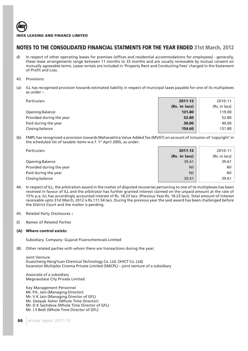

# **NOTES TO THE CONSOLIDATED FINANCIAL STATMENTS FOR THE YEAR ENDED 31st March, 2012**

- d) In respect of other operating leases for premises (offices and residential accommodations for employees) generally, these lease arrangements range between 11 months to 33 months and are usually renewable by mutual consent on mutually agreeable terms. Lease rentals are included in 'Property Rent and Conducting Fees' charged in the Statement of Profit and Loss.
- 43. Provisions:
- (a) ILL has recognised provision towards estimated liability in respect of municipal taxes payable for one of its multiplexes as under :-

| 2011-12       | 2010-11       |
|---------------|---------------|
| (Rs. in lacs) | (Rs. in lacs) |
| 131.80        | 119.00        |
| 52.80         | 52.80         |
| 30.00         | 40.00         |
| 154.60        | 131.80        |
|               |               |

(b) FMPL has recognized a provision towards Maharashtra Value Added Tax (MVAT) on account of inclusion of 'copyright' in the scheduled list of taxable items w.e.f. 1<sup>st</sup> April 2005, as under:

| Particulars              | 2011-12       | 2010-11       |
|--------------------------|---------------|---------------|
|                          | (Rs. in lacs) | (Rs. in lacs) |
| <b>Opening Balance</b>   | 39.61         | 39.61         |
| Provided during the year | <b>Nil</b>    | Nil           |
| Paid during the year     | Nil           | Nil           |
| Closing balance          | 39.61         | 39.61         |

- 44. In respect of ILL, the arbitration award in the matter of disputed recoveries pertaining to one of its multiplexes has been received in favour of ILL and the arbitrator has further granted interest claimed on the unpaid amount at the rate of 15% p.a. ILL has accordingly accounted interest of Rs. 18.23 lacs. (Previous Year Rs. 18.23 lacs). Total amount of interest receivable upto 31st March, 2012 is Rs.111.54 lacs. During the previous year the said award has been challenged before the District Court and the matter is pending.
- 45. Related Party Disclosures **:**
- (i) Names of Related Parties

### **(A) Where control exists:**

Subsidiary Company- Gujarat Fluorochemicals Limited

(B) Other related parties with whom there are transactions during the year:

Joint Venture Xuancheng HengYuan Chemical Technology Co. Ltd. (XHCT Co. Ltd) Swanston Multiplex Cinema Private Limited (SMCPL) – joint venture of a subsidiary

Associate of a subsidiary Megnasolace City Private Limited

Key Management Personnel Mr. P.K. Jain (Managing Director) Mr. V K Jain (Managing Director of GFL) Mr. Deepak Asher (Whole Time Director) Mr. D K Sachdeva (Whole Time Director of GFL) Mr. J S Bedi (Whole Time Director of GFL)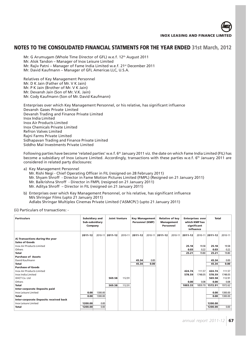

Mr. G Arumugam (Whole Time Director of GFL) w.e.f. 12<sup>th</sup> August 2011 Mr. Alok Tandon – Manager of Inox Leisure Limited Mr. Rajiv Patni – Manager of Fame India Limited w.e.f. 21st December 2011

Mr. David Kaufmann – Manager of GFL Americas LLC, U.S.A.

Relatives of Key Management Personnel Mr. D K Jain (Father of Mr. V K Jain) Mr. P K Jain (Brother of Mr. V K Jain) Mr. Devansh Jain (Son of Mr. V.K. Jain) Mr. Cody Kaufmann (Son of Mr. David Kaufmann)

Enterprises over which Key Management Personnel, or his relative, has significant influence Devansh Gases Private Limited Devansh Trading and Finance Private Limited Inox India Limited Inox Air Products Limited Inox Chemicals Private Limited Refron Valves Limited Rajni Farms Private Limited Sidhapavan Trading and Finance Private Limited Siddho Mal Investments Private Limited

Following parties have become 'related parties' w.e.f. 6<sup>th</sup> January 2011 viz. the date on which Fame India Limited (FIL) has become a subsidiary of Inox Leisure Limited. Accordingly, transactions with these parties w.e.f. 6th January 2011 are considered in related party disclosures:

a) Key Management Personnel

Mr. Rishi Negi - Chief Operating Officer in FIL (resigned on 28 February 2011) Mr. Shyam Shroff - Director in Fame Motion Pictures Limited (FMPL) (Resigned on 21 January 2011) Mr. Balkrishna Shroff - Director in FMPL (resigned on 21 January 2011) Mr. Aditya Shroff – Director in FIL (resigned on 21 January 2011)

b) Enterprises over which Key Management Personnel, or his relative, has significant influence M/s Shringar Films (upto 21 January 2011) Adlabs Shringar Multiplex Cinemas Private Limited ('ASMCPL') (upto 21 January 2011)

### (ii) Particulars of transactions: -

| <b>Particulars</b>                     | Subsidiary and<br>Sub-subsidiary<br>Company |         | <b>Joint Venture</b> |         |         | Key Management<br><b>Personnel (KMP)</b> |         | <b>Relative of key</b><br><b>Management</b><br>Personnel | <b>Enterprises over</b><br>which KMP has<br>significant<br>influence |         | <b>Total</b>    |         |
|----------------------------------------|---------------------------------------------|---------|----------------------|---------|---------|------------------------------------------|---------|----------------------------------------------------------|----------------------------------------------------------------------|---------|-----------------|---------|
|                                        | 2011-12                                     | 2010-11 | 2011-12              | 2010-11 | 2011-12 | 2010-11                                  | 2011-12 | 2010-11                                                  | 2011-12                                                              |         | 2010-11 2011-12 | 2010-11 |
| A) Transactions during the year        |                                             |         |                      |         |         |                                          |         |                                                          |                                                                      |         |                 |         |
| <b>Sales of Goods</b>                  |                                             |         |                      |         |         |                                          |         |                                                          |                                                                      |         |                 |         |
| <b>Inox Air Products Limited</b>       |                                             |         |                      |         |         |                                          |         |                                                          | 25.18                                                                | 19.58   | 25.18           | 19.58   |
| Others                                 |                                             |         |                      |         |         |                                          |         |                                                          | 0.03                                                                 | 0.22    | 0.03            | 0.22    |
| <b>Total</b>                           |                                             |         |                      |         |         |                                          |         |                                                          | 25.21                                                                | 19.80   | 25.21           | 19.80   |
| <b>Purchase of Assets</b>              |                                             |         |                      |         |         |                                          |         |                                                          |                                                                      |         |                 |         |
| David Kaufmann                         |                                             |         |                      |         | 45.34   | 0.00                                     |         |                                                          |                                                                      |         | 45.34           | 0.00    |
| Total                                  |                                             |         |                      |         | 45.34   | 0.00                                     |         |                                                          |                                                                      |         | 45.34           | 0.00    |
| <b>Purchase of Goods</b>               |                                             |         |                      |         |         |                                          |         |                                                          |                                                                      |         |                 |         |
| <b>Inox Air Products Limited</b>       |                                             |         |                      |         |         |                                          |         |                                                          | 424.74                                                               | 111.57  | 424.74          | 111.57  |
| Inox India Limited                     |                                             |         |                      |         |         |                                          |         |                                                          | 578.59                                                               | 1748.05 | 578.59          | 1748.05 |
| XHCT Co. Ltd                           |                                             |         | 569.58               | 112.91  |         |                                          |         |                                                          |                                                                      |         | 569.58          | 112.91  |
| Others                                 |                                             |         |                      |         |         |                                          |         |                                                          | 0.00                                                                 | 0.08    | 0.00            | 0.08    |
| <b>Total</b>                           |                                             |         | 569.58               | 112.91  |         |                                          |         |                                                          | 1003.33                                                              | 1859.70 | 1572.91         | 1972.62 |
| <b>Inter-corporate Deposits paid</b>   |                                             |         |                      |         |         |                                          |         |                                                          |                                                                      |         |                 |         |
| Inox Leisure Limited                   | 0.00                                        | 1300.00 |                      |         |         |                                          |         |                                                          |                                                                      |         | 0.00            | 1300.00 |
| <b>Total</b>                           | 0.00                                        | 1300.00 |                      |         |         |                                          |         |                                                          |                                                                      |         | 0.00            | 1300.00 |
| Inter-corporate Deposits received back |                                             |         |                      |         |         |                                          |         |                                                          |                                                                      |         |                 |         |
| Inox Leisure Limited                   | 1200.00                                     | 0.00    |                      |         |         |                                          |         |                                                          |                                                                      |         | 1200.00         |         |
| Total                                  | 1200.00                                     | 0.00    |                      |         |         |                                          |         |                                                          |                                                                      |         | 1200.00         | 0.00    |
|                                        |                                             |         |                      |         |         |                                          |         |                                                          |                                                                      |         |                 |         |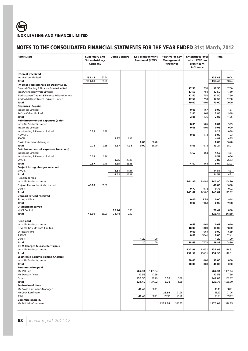| <b>Particulars</b>                            | <b>Subsidiary and</b><br>Sub-subsidiary<br>Company |       | <b>Joint Venture</b> |              | <b>Personnel (KMP)</b> | <b>Key Management</b> |         | <b>Relative of key</b><br><b>Management</b><br>Personnel | Enterprises over<br>which KMP has<br>significant<br>influence |        | Total           |                  |
|-----------------------------------------------|----------------------------------------------------|-------|----------------------|--------------|------------------------|-----------------------|---------|----------------------------------------------------------|---------------------------------------------------------------|--------|-----------------|------------------|
| <b>Interest received</b>                      |                                                    |       |                      |              |                        |                       |         |                                                          |                                                               |        |                 |                  |
| Inox Leisure Limited                          | 139.48                                             | 60.24 |                      |              |                        |                       |         |                                                          |                                                               |        | 139.48          | 60.24            |
| Total                                         | 139.48                                             | 60.24 |                      |              |                        |                       |         |                                                          |                                                               |        | 139.48          | 60.24            |
| <b>Interest Paid/Interest on Debentures.</b>  |                                                    |       |                      |              |                        |                       |         |                                                          |                                                               |        |                 |                  |
| Devansh Trading & Finance Private Limited     |                                                    |       |                      |              |                        |                       |         |                                                          | 17.50                                                         | 17.50  | 17.50           | 17.50            |
| Inox Chemicals Private Limited                |                                                    |       |                      |              |                        |                       |         |                                                          | 17.50                                                         | 17.50  | 17.50           | 17.50            |
| Siddhapavan Trading & Finance Private Limited |                                                    |       |                      |              |                        |                       |         |                                                          | 17.50                                                         | 17.50  | 17.50           | 17.50            |
| Siddho Mal Investments Private Limited        |                                                    |       |                      |              |                        |                       |         |                                                          | 17.50                                                         | 17.50  | 17.50           | 17.50            |
| Total                                         |                                                    |       |                      |              |                        |                       |         |                                                          | 70.00                                                         | 70.00  | 70.00           | 70.00            |
| <b>Expenses (Repairs)</b>                     |                                                    |       |                      |              |                        |                       |         |                                                          |                                                               |        |                 |                  |
| Inox India Limited                            |                                                    |       |                      |              |                        |                       |         |                                                          | 0.00                                                          | 1.67   | 0.00            | 1.67             |
| <b>Refron Valves Limited</b>                  |                                                    |       |                      |              |                        |                       |         |                                                          | 2.85                                                          | 9.68   | 2.85            | 9.68             |
| Total                                         |                                                    |       |                      |              |                        |                       |         |                                                          | 2.85                                                          | 11.35  | 2.85            | 11.35            |
| <b>Reimbursement of expenses (paid)</b>       |                                                    |       |                      |              |                        |                       |         |                                                          |                                                               |        |                 |                  |
| Inox Air Products Limited                     |                                                    |       |                      |              |                        |                       |         |                                                          | 8.01                                                          | 5.05   | 8.01            | 5.05             |
| Inox India Limited                            |                                                    |       |                      |              |                        |                       |         |                                                          | 0.08                                                          | 0.00   | 0.08            | 0.00             |
| Inox Leasing & Finance Limited                | 0.28                                               | 0.38  |                      |              |                        |                       |         |                                                          |                                                               |        | 0.28            | 0.38             |
| ASMCPL                                        |                                                    |       |                      |              |                        |                       |         |                                                          | 0.00                                                          | 1.73   | 0.00            | 1.73             |
| SMCPL                                         |                                                    |       | 4.87                 | 4.35         | 0.00                   |                       |         |                                                          |                                                               |        | 4.87            | 4.35             |
| David Kaufmann-Manager<br>Total               | 0.28                                               | 0.38  | 4.87                 | 4.35         | 0.00                   | 56.70<br>56.70        |         |                                                          | 8.09                                                          | 6.78   | 0.00<br>13.24   | 56.70<br>68.21   |
| <b>Reimbursement of expenses (received)</b>   |                                                    |       |                      |              |                        |                       |         |                                                          |                                                               |        |                 |                  |
| Inox India Limited                            |                                                    |       |                      |              |                        |                       |         |                                                          | 4.62                                                          | 4.64   | 4.62            | 4.64             |
| Inox Leasing & Finance Limited                | 0.57                                               | 0.76  |                      |              |                        |                       |         |                                                          |                                                               |        | 0.57            | 0.76             |
| <b>SMCPL</b>                                  |                                                    |       | 3.85                 | 26.83        |                        |                       |         |                                                          |                                                               |        | 3.85            | 26.83            |
| Total                                         | 0.57                                               | 0.76  | 3.85                 | 26.83        |                        |                       |         |                                                          | 4.62                                                          | 4.64   | 9.04            | 32.23            |
| Project hiring charges received               |                                                    |       |                      |              |                        |                       |         |                                                          |                                                               |        |                 |                  |
| SMCPL                                         |                                                    |       | 14.51                | 14.31        |                        |                       |         |                                                          |                                                               |        | 14.51           | 14.31            |
| Total                                         |                                                    |       | 14.51                | 14.31        |                        |                       |         |                                                          |                                                               |        | 14.51           | 14.31            |
| <b>Rent Received</b>                          |                                                    |       |                      |              |                        |                       |         |                                                          |                                                               |        |                 |                  |
| Inox Air Products Limited                     |                                                    |       |                      |              |                        |                       |         |                                                          | 144.90                                                        | 144.90 | 144.90          | 144.90           |
| Gujarat Fluorochemicals Limited               | 48.00                                              | 36.00 |                      |              |                        |                       |         |                                                          |                                                               |        | 48.00           | 36.00            |
| Others                                        |                                                    |       |                      |              |                        |                       |         |                                                          | 0.72                                                          | 0.72   | 0.72            | 0.72             |
| Total                                         |                                                    |       |                      |              |                        |                       |         |                                                          | 145.62                                                        | 145.62 | 145.62          | 145.62           |
| <b>Deposit refund received</b>                |                                                    |       |                      |              |                        |                       |         |                                                          |                                                               |        |                 |                  |
| <b>Shringar Films</b>                         |                                                    |       |                      |              |                        |                       |         |                                                          | 0.00                                                          | 19.68  | 0.00            | 19.68            |
| <b>Total</b>                                  |                                                    |       |                      |              |                        |                       |         |                                                          | 0.00                                                          | 19.68  | 0.00            | 19.68            |
| <b>Dividend Received</b>                      |                                                    |       |                      |              |                        |                       |         |                                                          |                                                               |        |                 |                  |
| XHCT Co. Ltd                                  |                                                    |       | 78.44                | 0.00<br>0.00 |                        |                       |         |                                                          |                                                               |        | 78.44           | 0.00             |
| <b>Total</b>                                  | 48.00                                              | 36.00 | 78.44                |              |                        |                       |         |                                                          |                                                               |        | 126.44          | 36.00            |
| <b>Rent paid</b>                              |                                                    |       |                      |              |                        |                       |         |                                                          |                                                               |        |                 |                  |
| Inox Air Products Limited                     |                                                    |       |                      |              |                        |                       |         |                                                          | 0.63                                                          | 0.60   | 0.63            | 0.60             |
| Devansh Gases Private Limited                 |                                                    |       |                      |              |                        |                       |         |                                                          | 18.00                                                         | 18.00  | 18.00           | 18.00            |
| <b>Shringar Films</b>                         |                                                    |       |                      |              |                        |                       |         |                                                          | 0.00                                                          | 6.69   | 0.00            | 6.69             |
| <b>ASMCPL</b>                                 |                                                    |       |                      |              |                        |                       |         |                                                          | 0.00                                                          | 52.41  | 0.00            | 52.41            |
| Others                                        |                                                    |       |                      |              | 1.20                   | 1.20                  |         |                                                          |                                                               |        | 1.20            | 1.20             |
| <b>Total</b>                                  |                                                    |       |                      |              | 1.20                   | 1.20                  |         |                                                          | 18.63                                                         | 77.70  | 19.83           | 78.90            |
| <b>O&amp;M Charges &amp; Lease Rents paid</b> |                                                    |       |                      |              |                        |                       |         |                                                          |                                                               |        |                 |                  |
| Inox Air Products Limited                     |                                                    |       |                      |              |                        |                       |         |                                                          | 137.96                                                        | 116.31 | 137.96          | 116.31           |
| Total                                         |                                                    |       |                      |              |                        |                       |         |                                                          | 137.96                                                        | 116.31 | 137.96          | 116.31           |
| <b>Erection &amp; Commissioning Charges</b>   |                                                    |       |                      |              |                        |                       |         |                                                          |                                                               |        |                 |                  |
| Inox Air Products Limited                     |                                                    |       |                      |              |                        |                       |         |                                                          | 30.00                                                         | 0.00   | 30.00           | 0.00             |
| Total                                         |                                                    |       |                      |              |                        |                       |         |                                                          | 30.00                                                         | 0.00   | 30.00           | 0.00             |
| <b>Remuneration paid</b>                      |                                                    |       |                      |              |                        |                       |         |                                                          |                                                               |        |                 |                  |
| Mr. V K Jain<br>Mr. Deepak Asher              |                                                    |       |                      |              | 567.31<br>17.59        | 1369.04<br>17.59      |         |                                                          |                                                               |        | 567.31<br>17.59 | 1369.04<br>17.59 |
| Others                                        |                                                    |       |                      |              | 236.50                 | 158.29                | 5.38    | 5.38                                                     |                                                               |        | 241.88          | 163.67           |
| Total                                         |                                                    |       |                      |              | 821.40                 | 1544.92               | 5.38    | 5.38                                                     |                                                               |        | 826.77          | 1550.30          |
| <b>Professional fees</b>                      |                                                    |       |                      |              |                        |                       |         |                                                          |                                                               |        |                 |                  |
| Mr.David Kaufmann-Manager                     |                                                    |       |                      |              | 46.40                  | 38.41                 |         |                                                          |                                                               |        | 46.40           | 38.41            |
| Mr.Cody Kaufmann                              |                                                    |       |                      |              |                        |                       | 28.92   | 21.26                                                    |                                                               |        | 28.92           | 21.26            |
| Total                                         |                                                    |       |                      |              | 46.40                  | 38.41                 | 28.92   | 21.26                                                    |                                                               |        | 75.33           | 59.67            |
| <b>Commission paid.</b>                       |                                                    |       |                      |              |                        |                       |         |                                                          |                                                               |        |                 |                  |
| Mr. D K Jain-Chairman                         |                                                    |       |                      |              |                        |                       | 1275.04 | 326.85                                                   |                                                               |        | 1275.04         | 326.85           |
|                                               |                                                    |       |                      |              |                        |                       |         |                                                          |                                                               |        |                 |                  |
|                                               |                                                    |       |                      |              |                        |                       |         |                                                          |                                                               |        |                 |                  |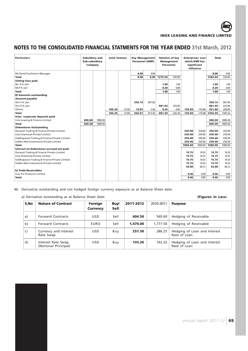

| <b>Particulars</b>                            | Subsidiary and<br>Sub-subsidiary<br>Company |         | <b>Joint Venture</b> |       | <b>Key Management</b><br><b>Personnel (KMP)</b> |        | Personnel | <b>Relative of key</b><br><b>Management</b> | <b>Enterprises over</b><br>which KMP has<br>significant<br>influence |         | <b>Total</b> |         |
|-----------------------------------------------|---------------------------------------------|---------|----------------------|-------|-------------------------------------------------|--------|-----------|---------------------------------------------|----------------------------------------------------------------------|---------|--------------|---------|
| Mr.David Kaufmann-Manager                     |                                             |         |                      |       | 8.00                                            | 0.00   |           |                                             |                                                                      |         | 8.00         | 0.00    |
| <b>Total</b>                                  |                                             |         |                      |       | 8.00                                            | 0.00   | 1275.04   | 326.85                                      |                                                                      |         | 1283.04      | 326.85  |
| <b>Sitting Fees paid</b>                      |                                             |         |                      |       |                                                 |        |           |                                             |                                                                      |         |              |         |
| Mr. D K Jain                                  |                                             |         |                      |       |                                                 |        | 1.60      | 1.00                                        |                                                                      |         | 1.60         | 1.00    |
| Mr.P K Jain                                   |                                             |         |                      |       |                                                 |        | 0.20      | 0.00                                        |                                                                      |         | 0.20         | 0.00    |
| Total                                         |                                             |         |                      |       |                                                 |        | 1.80      | 1.00                                        |                                                                      |         | 1.80         | 1.00    |
| <b>B) Amounts outstanding</b>                 |                                             |         |                      |       |                                                 |        |           |                                             |                                                                      |         |              |         |
| <b>Amount payable</b>                         |                                             |         |                      |       |                                                 |        |           |                                             |                                                                      |         |              |         |
| Shri V K Jain                                 |                                             |         |                      |       | 350.14                                          | 907.82 |           |                                             |                                                                      |         | 350.14       | 907.82  |
| Shri D K Jain                                 |                                             |         |                      |       |                                                 |        | 881.05    | 225.85                                      |                                                                      |         | 881.05       | 225.85  |
| Others                                        |                                             |         | 106.39               | 27.69 | 15.87                                           | 5.63   | 0.45      | 0.45                                        | 139.09                                                               | 176.08  | 261.80       | 209.85  |
| <b>Total</b>                                  |                                             |         | 106.39               | 27.69 | 366.01                                          | 913.45 | 881.50    | 226.30                                      | 139.09                                                               | 176.08  | 1492.99      | 1343.52 |
| Inter -corporate deposits paid                |                                             |         |                      |       |                                                 |        |           |                                             |                                                                      |         |              |         |
| Inox Leasing & Finance Limited                | 600.00                                      | 1800.00 |                      |       |                                                 |        |           |                                             |                                                                      |         | 600.00       | 1800.00 |
| <b>Total</b>                                  | 600.00                                      | 1800.00 |                      |       |                                                 |        |           |                                             |                                                                      |         | 600.00       | 1800.00 |
| <b>Debentures Outstanding</b>                 |                                             |         |                      |       |                                                 |        |           |                                             |                                                                      |         |              |         |
| Devansh Trading & Finance Private Limited     |                                             |         |                      |       |                                                 |        |           |                                             | 250.00                                                               | 250.00  | 250.00       | 250.00  |
| <b>Inox Chemicals Private Limited</b>         |                                             |         |                      |       |                                                 |        |           |                                             | 250.00                                                               | 250.00  | 250.00       | 250.00  |
| Siddhapavan Trading & Finance Private Limited |                                             |         |                      |       |                                                 |        |           |                                             | 250.00                                                               | 250.00  | 250.00       | 250.00  |
| Siddho Mal Investments Private Limited        |                                             |         |                      |       |                                                 |        |           |                                             | 250.00                                                               | 250.00  | 250.00       | 250.00  |
| <b>Total</b>                                  |                                             |         |                      |       |                                                 |        |           |                                             | 1000.00                                                              | 1000.00 | 1000.00      | 1000.00 |
| Interest on Debentures accrued not paid.      |                                             |         |                      |       |                                                 |        |           |                                             |                                                                      |         |              |         |
| Devansh Trading & Finance Private Limited     |                                             |         |                      |       |                                                 |        |           |                                             | 15.75                                                                | 16.53   | 15.75        | 16.53   |
| <b>Inox Chemicals Private Limited</b>         |                                             |         |                      |       |                                                 |        |           |                                             | 15.75                                                                | 16.53   | 15.75        | 16.53   |
| Siddhapavan Trading & Finance Private Limited |                                             |         |                      |       |                                                 |        |           |                                             | 15.75                                                                | 16.53   | 15.75        | 16.53   |
| Siddho Mal Investments Private Limited        |                                             |         |                      |       |                                                 |        |           |                                             | 15.75                                                                | 16.53   | 15.75        | 16.53   |
|                                               |                                             |         |                      |       |                                                 |        |           |                                             | 63.00                                                                | 66.12   | 63.00        | 66.12   |
| <b>b) Trade Receivables</b>                   |                                             |         |                      |       |                                                 |        |           |                                             |                                                                      |         |              |         |
| <b>Inox Air Products Limited</b>              |                                             |         |                      |       |                                                 |        |           |                                             | 0.46                                                                 | 0.00    | 0.46         | 0.00    |
| <b>Total</b>                                  |                                             |         |                      |       |                                                 |        |           |                                             | 0.46                                                                 | 0.00    | 0.46         | 0.00    |

### 46. Derivative outstanding and not hedged foreign currency exposure as at Balance Sheet date:

a) Derivative outstanding as at Balance Sheet date: **(Figures in Lacs**)

| S.No | <b>Nature of Contract</b>                  | <b>Foreign</b><br><b>Currency</b> | <b>Buy/</b><br><b>Sell</b> | 2011-2012 | 2010-2011 | <b>Purpose</b>                               |
|------|--------------------------------------------|-----------------------------------|----------------------------|-----------|-----------|----------------------------------------------|
| a)   | <b>Forward Contracts</b>                   | <b>USD</b>                        | Sell                       | 604.50    | 540.60    | Hedging of Receivable                        |
| b)   | <b>Forward Contracts</b>                   | <b>EURO</b>                       | Sell                       | 1,470.00  | 1,777.50  | Hedging of Receivable                        |
| c)   | Currency and Interest<br>Rate Swap         | <b>USD</b>                        | Buy                        | 257.50    | 286.25    | Hedging of Loan and Interest<br>Rate of Loan |
| d)   | Interest Rate Swap<br>(Notional Principal) | <b>USD</b>                        | Buy                        | 135.26    | 162.32    | Hedging of Loan and Interest<br>Rate of Loan |

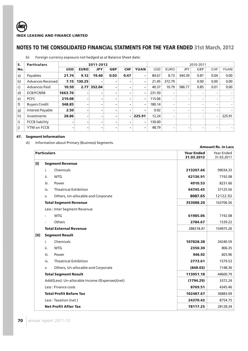# b) Foreign currency exposure not hedged as at Balance Sheet date:

| S.  | <b>Particulars</b>       |            | 2011-2012   |            |            |            |             |            | 2010-2011   |                          |                          |                          |             |  |
|-----|--------------------------|------------|-------------|------------|------------|------------|-------------|------------|-------------|--------------------------|--------------------------|--------------------------|-------------|--|
| No. |                          | <b>USD</b> | <b>EURO</b> | <b>JPY</b> | <b>GBP</b> | <b>CHF</b> | <b>YUAN</b> | <b>USD</b> | <b>EURO</b> | JPY                      | GBP                      | <b>CHF</b>               | <b>YUAN</b> |  |
| a)  | Payables                 | 21.74      | 9.12        | 19.40      | 0.03       | 0.47       | ۰           | 84.67      | 8.73        | 344.39                   | 0.87                     | 0.04                     | 0.00        |  |
| b)  | <b>Advances Received</b> | 7.15       | 130.25      | ۰          | ۰          | ۰          | ۰           | 21.45      | 372.79      | ۰                        | 0.00                     | 0.00                     | 0.00        |  |
| c)  | <b>Advances Paid</b>     | 10.50      | 2.77        | 352.04     |            | ۰          | ۰           | 40.37      | 10.79       | 586.77                   | 0.85                     | 0.01                     | 0.00        |  |
| d)  | <b>ECB/FCNRB</b>         | 1663.70    | ۰           | ۰          | ۰          | ۰          |             | 231.50     | ۰           | $\overline{\phantom{0}}$ | $\overline{\phantom{0}}$ | $\overline{\phantom{a}}$ |             |  |
| e)  | <b>PCFC</b>              | 219.08     | ۰           | ۰          |            | ۰          | ۰           | 115.06     | -           | $\overline{\phantom{0}}$ | $\overline{\phantom{0}}$ | $\overline{\phantom{a}}$ |             |  |
| f)  | <b>Buyers Credit</b>     | 348.85     | ۰           | ۰          | ۰          | ۰          | ۰           | 180.14     | -           | $\overline{\phantom{0}}$ | $\overline{\phantom{0}}$ | $\overline{\phantom{a}}$ |             |  |
| g)  | Interest Payable         | 2.50       | ۰           | ۰          | ۰          | ۰          | ۰           | 0.92       | ۰           | $\overline{\phantom{0}}$ | $\overline{\phantom{0}}$ | $\overline{\phantom{a}}$ |             |  |
| h)  | Investments              | 28.86      | ۰           | ۰          |            | - 1        | 225.91      | 12.24      | ۰           | $\overline{\phantom{0}}$ | -                        | $\overline{\phantom{a}}$ | 225.91      |  |
| i)  | <b>FCCB</b> liability    |            | ۰           | ۰          | ۰          | ۰          | ۰           | 130.00     |             |                          |                          |                          |             |  |
| j)  | YTM on FCCB              | ۰          | ۰           | ۰          | ٠          | ۰          | ۰           | 48.79      | -           | $\overline{\phantom{0}}$ | -                        | $\overline{\phantom{0}}$ |             |  |

### **47. Segment Information**

A) Information about Primary (Business) Segments.

|        |                    |                                                  |                                 | <b>Amount Rs. in Lacs</b> |
|--------|--------------------|--------------------------------------------------|---------------------------------|---------------------------|
|        | <b>Particulars</b> |                                                  | <b>Year Ended</b><br>31.03.2012 | Year Ended<br>31.03.2011  |
| $[1]$  |                    | <b>Segment Revenue</b>                           |                                 |                           |
|        | i.                 | Chemicals                                        | 213207.66                       | 99034.33                  |
|        | ii.                | <b>WTG</b>                                       | 62136.91                        | 7192.08                   |
|        | iii.               | Power                                            | 4910.53                         | 8231.66                   |
|        | iv.                | <b>Theatrical Exhibition</b>                     | 64745.45                        | 37125.56                  |
|        | V.                 | Others, Un-allocable and Corporate               | 8087.65                         | 12122.92                  |
|        |                    | <b>Total Segment Revenue</b>                     | 353088.20                       | 163706.56                 |
|        |                    | Less: Inter Segment Revenue                      |                                 |                           |
|        |                    | <b>WTG</b>                                       | 61985.06                        | 7192.08                   |
|        |                    | Others                                           | 2784.67                         | 1539.22                   |
|        |                    | <b>Total External Revenue</b>                    | 288318.47                       | 154975.26                 |
| $[11]$ |                    | <b>Segment Result</b>                            |                                 |                           |
|        | i.                 | Chemicals                                        | 107828.38                       | 34240.59                  |
|        | ii.                | <b>WTG</b>                                       | 2350.30                         | 806.35                    |
|        | iii.               | Power                                            | 946.92                          | 825.96                    |
|        | iv.                | <b>Theatrical Exhibition</b>                     | 2773.61                         | 1579.53                   |
|        | v.                 | Others, Un-allocable and Corporate               | (848.03)                        | 7148.36                   |
|        |                    | <b>Total Segment Result</b>                      | 113051.18                       | 44600.79                  |
|        |                    | Add/(Less): Un-allocable Income /(Expenses)(net) | (1794.29)                       | 3372.24                   |
|        |                    | Less: Finance costs                              | 8769.51                         | 4345.46                   |
|        |                    | <b>Total Profit Before Tax</b>                   | 102487.67                       | 36883.09                  |
|        |                    | Less: Taxation (net)                             | 24370.42                        | 8754.75                   |
|        |                    | <b>Net Profit After Tax</b>                      | 78117.25                        | 28128.34                  |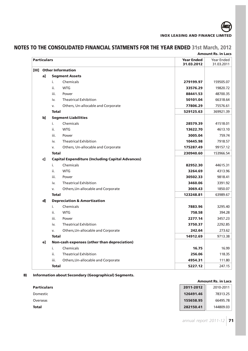

# **Amount Rs. in Lacs Particulars Year Ended** Year Ended **31.03.2012** 31.03.2011 **[III] Other Information a] Segment Assets** i. Chemicals **279199.97** 159505.07 ii. WTG **33576.29** 19820.72 iii. Power **88441.53** 48700.35 iv. Theatrical Exhibition **50101.04** 66318.64 v. Others, Un-allocable and Corporate **77806.29** 75576.61 **Total 529125.63** 369921.39 **b] Segment Liabilities** i. Chemicals **28579.39** 41518.01 ii. WTG **13622.70** 4613.10 iii. Power **3005.04** 759.74 iv. Theatrical Exhibition **10445.98** 7918.57 v. Others, Un-allocable and Corporate **175287.49** 99157.12 **Total 230940.60** 153966.54 **c] Capital Expenditure (Including Capital Advances)** i. Chemicals **82952.30** 44615.31 ii. WTG **3264.69** 4313.96 iii. Power **30502.33** 9818.41 iv. Theatrical Exhibition **3460.06** 3391.92 v. Others,Un-allocable and Corporate **3069.43** 1850.07 **Total 123248.81** 63989.67 **d] Depreciation & Amortization** i. Chemicals **7883.96** 3295.40 ii. WTG **758.58** 394.28 iii. Power **2277.14** 3457.23 iv. Theatrical Exhibition **3750.37** 2292.85 v. Others,Un-allocable and Corporate **242.64** 273.62 **Total 14912.69** 9713.38 **e] Non-cash expenses (other than depreciation)** i. Chemicals **16.75** 16.99 ii. Theatrical Exhibition **256.06** 118.35 iii. Others,Un-allocable and Corporate **4954.31** 111.80 **Total 5227.12** 247.15

# **NOTES TO THE CONSOLIDATED FINANCIAL STATMENTS FOR THE YEAR ENDED 31st March, 2012**

# **B) Information about Secondary (Geographical) Segments.**

|                    | <b>Amount Rs. in Lacs</b> |           |  |
|--------------------|---------------------------|-----------|--|
| <b>Particulars</b> | 2011-2012                 | 2010-2011 |  |
| Domestic           | 126491.46                 | 78313.25  |  |
| Overseas           | 155658.95                 | 66495.78  |  |
| <b>Total</b>       | 282150.41                 | 144809.03 |  |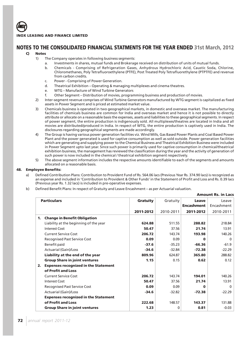

## **NOTES TO THE CONSOLIDATED FINANCIAL STATMENTS FOR THE YEAR ENDED 31st March, 2012**

## **C) Notes**

- 1) The Company operates in following business segments:
	- a. Investments in shares, mutual funds and Brokerage received on distribution of units of mutual funds.
	- b. Chemicals Comprising of Refrigeration Gases, Anhydrous Hydrochloric Acid, Caustic Soda, Chlorine, Chloromethanes, Poly Tetrafluoroethylene (PTFE), Post Treated Poly Tetrafluorethylene (PTPTFE) and revenue from carbon credits.
	- c. Power Comprising of Power Generation.
	- d. Theatrical Exhibition Operating & managing multiplexes and cinema theatres.
	- e. WTG Manufacture of Wind Turbine Generators
	- f. Other Segment Distribution of movies, programming business and production of movies.
- 2) Inter-segment revenue comprises of Wind Turbine Generators manufactured by WTG segment is capitalized as fixed assets in Power Segment and is priced at estimated market value.
- 3) Chemicals business is operated in two geographical markets, in domestic and overseas market. The manufacturing facilities of chemicals business are common for India and overseas market and hence it is not possible to directly attribute or allocate on a reasonable basis the expenses, assets and liabilities to these geographical segments. In respect of power segment, the entire production is indigenously sold. All multiplexes/theatres are located in India and all movies are distributed/produced in India. In respect of WTG, the entire production is captively used in India. The disclosures regarding geographical segments are made accordingly.
- 4) The Group is having various power generation facilities viz. Wind Mills, Gas Based Power Plants and Coal Based Power Plant and the power generated is used for captive consumption as well as sold outside. Power generation facilities which are generating and supplying power to the Chemical Business and Theatrical Exhibition Business were included in Power Segment upto last year. Since such power is primarily used for captive consumption in chemical/theatrical exhibition business, the management has reviewed the classification during the year and the activity of generation of such power is now included in the chemical / theatrical exhibition segment respectively.
- 5) The above segment information includes the respective amounts identifiable to each of the segments and amounts allocated on a reasonable basis.

#### **48. Employee Benefits:**

- Defined Contribution Plans: Contribution to Provident Fund of Rs. 564.06 lacs (Previous Year Rs. 374.90 lacs) is recognized as an expense and included in 'Contribution to Provident & Other Funds' in the Statement of Profit and Loss and Rs. 0.39 lacs (Previous year Rs. 1.32 lacs) is included in pre-operative expenses.
- b) Defined Benefit Plans: In respect of Gratuity and Leave Encashment as per Actuarial valuation.

|                    |                                             |                 |           |                   | <b>Amount Rs. in Lacs</b> |
|--------------------|---------------------------------------------|-----------------|-----------|-------------------|---------------------------|
| <b>Particulars</b> |                                             | <b>Gratuity</b> | Gratuity  | <b>Leave</b>      | Leave                     |
|                    |                                             |                 |           | <b>Encashment</b> | Encashment                |
|                    |                                             | 2011-2012       | 2010-2011 | 2011-2012         | 2010-2011                 |
| 1.                 | <b>Change in Benefit Obligation</b>         |                 |           |                   |                           |
|                    | Liability at the beginning of the year      | 624.88          | 511.55    | 288.82            | 218.84                    |
|                    | <b>Interest Cost</b>                        | 50.47           | 37.56     | 21.74             | 13.91                     |
|                    | <b>Current Service Cost</b>                 | 206.72          | 143.74    | 193.98            | 140.26                    |
|                    | <b>Recognised Past Service Cost</b>         | 0.09            | 0.09      | ŋ                 | O                         |
|                    | Benefit paid                                | $-37.6$         | $-35.23$  | $-66.36$          | $-61.9$                   |
|                    | <b>Actuarial (Gain)/Loss</b>                | $-34.6$         | $-32.84$  | $-72.38$          | $-22.29$                  |
|                    | Liability at the end of the year            | 809.96          | 624.87    | 365.80            | 288.82                    |
|                    | <b>Group Share in joint ventures</b>        | 1.15            | 0.15      | 0.62              | 0.12                      |
| 2.                 | <b>Expenses recognized in the Statement</b> |                 |           |                   |                           |
|                    | of Profit and Loss                          |                 |           |                   |                           |
|                    | <b>Current Service Cost</b>                 | 206.72          | 143.74    | 194.01            | 140.26                    |
|                    | <b>Interest Cost</b>                        | 50.47           | 37.56     | 21.74             | 13.91                     |
|                    | <b>Recognised Past Service Cost</b>         | 0.09            | 0.09      | O                 | <sup>0</sup>              |
|                    | <b>Actuarial (Gain)/Loss</b>                | $-34.6$         | $-32.82$  | $-72.38$          | $-22.29$                  |
|                    | <b>Expenses recognized in the Statement</b> |                 |           |                   |                           |
|                    | of Profit and Loss                          | 222.68          | 148.57    | 143.37            | 131.88                    |
|                    | <b>Group Share in joint ventures</b>        | 1.23            | 0         | 0.81              | $-0.03$                   |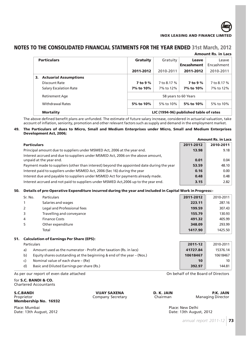

## **NOTES TO THE CONSOLIDATED FINANCIAL STATMENTS FOR THE YEAR ENDED 31st March, 2012**

|                    | <b>Amount Rs. in Lacs</b>     |            |                                        |                            |                     |  |  |  |
|--------------------|-------------------------------|------------|----------------------------------------|----------------------------|---------------------|--|--|--|
| <b>Particulars</b> |                               | Gratuity   | Gratuity                               | Leave<br><b>Encashment</b> | Leave<br>Encashment |  |  |  |
|                    |                               | 2011-2012  | 2010-2011                              | 2011-2012                  | 2010-2011           |  |  |  |
| 3.                 | <b>Actuarial Assumptions</b>  |            |                                        |                            |                     |  |  |  |
|                    | Discount Rate                 | $7$ to 9 % | 7 to 8.17 %                            | $7$ to 9 %                 | 7 to 8.17 %         |  |  |  |
|                    | <b>Salary Escalation Rate</b> | 7% to 10%  | 7% to 12%                              | 7% to 10%                  | 7% to 12%           |  |  |  |
|                    | <b>Retirement Age</b>         |            | 58 years to 60 Years                   |                            |                     |  |  |  |
|                    | <b>Withdrawal Rates</b>       | 5% to 10%  | 5% to 10%                              | 5% to 10%                  | 5% to 10%           |  |  |  |
|                    | <b>Mortality</b>              |            | LIC (1994-96) published table of rates |                            |                     |  |  |  |

The above defined benefit plans are unfunded. The estimate of future salary increase, considered in actuarial valuation, take account of inflation, seniority, promotion and other relevant factors such as supply and demand in the employment market.

#### **49. The Particulars of dues to Micro, Small and Medium Enterprises under Micro, Small and Medium Enterprises Development Act, 2006;**

|                                                                                                             |           | <b>Amount Rs. in Lacs</b> |
|-------------------------------------------------------------------------------------------------------------|-----------|---------------------------|
| <b>Particulars</b>                                                                                          | 2011-2012 | 2010-2011                 |
| Principal amount due to suppliers under MSMED Act, 2006 at the year end.                                    | 13.98     | 9.18                      |
| Interest accrued and due to suppliers under MSMED Act, 2006 on the above amount,<br>unpaid at the year end. | 0.01      | 0.04                      |
| Payment made to suppliers (other than interest) beyond the appointed date during the year                   | 53.59     | 48.10                     |
| Interest paid to suppliers under MSMED Act, 2006 (Sec 16) during the year                                   | 0.16      | 0.00                      |
| Interest due and payable to suppliers under MSMED Act for payments already made.                            | 0.48      | 0.48                      |
| Interest accrued and not paid to suppliers under MSMED Act, 2006 up to the year end.                        | 3.15      | 2.82                      |

### **50. Details of pre-Operative Expenditure incurred during the year and included in Capital Work in Progress:-**

|     | Sr. No.     | <b>Particulars</b>                                                 | 2011-2012 | 2010-2011 |
|-----|-------------|--------------------------------------------------------------------|-----------|-----------|
|     |             | Salaries and wages                                                 | 223.11    | 287.16    |
|     | 2           | Legal and Professional fees                                        | 199.59    | 307.43    |
|     | 3           | Travelling and conveyance                                          | 155.79    | 130.93    |
|     | 4           | <b>Finance Costs</b>                                               | 491.32    | 405.99    |
|     | 5           | Other expenditure                                                  | 348.09    | 293.99    |
|     |             | Total                                                              | 1417.90   | 1425.50   |
| 51. |             | <b>Calculation of Earnings Per Share (EPS):</b>                    |           |           |
|     | Particulars |                                                                    | 2011-12   | 2010-2011 |
|     | a)          | Amount used as the numerator - Profit after taxation (Rs. in lacs) | 41727.84  | 15376.14  |
|     |             |                                                                    |           |           |

- b) Equity shares outstanding at the beginning & end of the year (Nos.) **10618467** 10618467
- c) Nominal value of each share (Re) **10** 10 **10** 10
- d) Basic and Diluted Earnings per share (Rs.) **392.97** 144.81

As per our report of even date attached On behalf of the Board of Directors

#### for **S.C. BANDI & CO.** Chartered Accountants

**S.C.BANDI P.K. JAIN P.K. JAIN P.R. JAIN P.R. JAIN P.R. JAIN Proprietor Company Secretary Chairman Managing Director** Proprietor Company Secretary Chairman Chairman Chairman Chairman Director Chairman **Membership No. 16932**

Place: Mumbai Phare: Mumbai Place: New Delhi<br>
Place: New Delhi<br>
Place: 13th August, 2012

Date: 13th August, 2012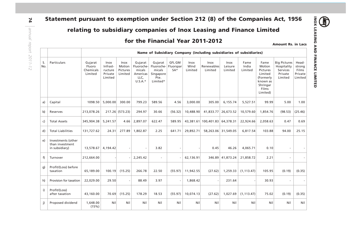# **relating to subsidiary companies of Inox Leasing and Finance Limited**

# **for the Financial Year 2011-2012**

**INOX LEASING AND FINANCE LIMITED**

**INOX LEASING AND FINANCE LIMITED** 

**Compt** 

|           |                                                         |                                                                     |                                                   |                                       | for the Financial Year 2011-2012                                 |                                                                  |                                     |                                |                                      |                                   |                          |                                                                                                 |                                                                      | <b>Amount Rs. in Lacs</b>                      |
|-----------|---------------------------------------------------------|---------------------------------------------------------------------|---------------------------------------------------|---------------------------------------|------------------------------------------------------------------|------------------------------------------------------------------|-------------------------------------|--------------------------------|--------------------------------------|-----------------------------------|--------------------------|-------------------------------------------------------------------------------------------------|----------------------------------------------------------------------|------------------------------------------------|
|           |                                                         | Name of Subsidiary Company (including subsidiaries of subsidiaries) |                                                   |                                       |                                                                  |                                                                  |                                     |                                |                                      |                                   |                          |                                                                                                 |                                                                      |                                                |
| S.<br>No. | Particulars                                             | Gujarat<br>Fluoro<br>Chemicals<br>Limited                           | Inox<br>Infrast-<br>ructure<br>Private<br>Limited | Inox<br>Motion<br>Pictures<br>Limited | Gujarat<br>Fluoroche-<br>micals<br>Americas<br>LLC,<br>$U.S.A.*$ | Gujarat<br>Fluoroche-<br>micals<br>Singapore<br>Pte.<br>Limited* | <b>GFL GM</b><br>Fluorspar<br>$SA*$ | <b>Inox</b><br>Wind<br>Limited | <b>Inox</b><br>Renewables<br>Limited | <b>Inox</b><br>Leisure<br>Limited | Fame<br>India<br>Limited | Fame<br>Motion<br>Pictures<br>Limited<br>(Formerly<br>known as<br>Shringar<br>Films<br>Limited) | <b>Big Pictures</b><br>Hospitality<br>Services<br>Private<br>Limited | Head-<br>strong<br>Films<br>Private<br>Limited |
| a)        | Capital                                                 | 1098.50                                                             | 5,000.00                                          | 300.00                                | 799.23                                                           | 589.56                                                           | 4.56                                | 3,000.00                       | 305.00                               | 6,155.74                          | 5,527.51                 | 99.99                                                                                           | 5.00                                                                 | 1.00                                           |
| b)        | Reserves                                                | 213,078.26                                                          |                                                   | 217.26 (573.23)                       | 294.97                                                           | 30.66                                                            | (56.32)                             | 10,488.90                      | 41,833.77                            | 26,673.52                         | 10,579.60                | 1,854.76                                                                                        | (98.53)                                                              | (25.46)                                        |
| c)        | <b>Total Assets</b>                                     | 345,904.38                                                          | 5,241.57                                          | 4.66                                  | 2,897.07                                                         | 622.47                                                           | 589.95                              |                                | 43,381.61 100,401.83 64,378.31       |                                   | 22,924.66                | 2,058.63                                                                                        | 0.47                                                                 | 0.69                                           |
| d)        | <b>Total Liabilities</b>                                | 131,727.62                                                          | 24.31                                             | 277.89                                | 1,802.87                                                         | 2.25                                                             | 641.71                              | 29,892.71                      | 58,263.06 31,549.05                  |                                   | 6,817.54                 | 103.88                                                                                          | 94.00                                                                | 25.15                                          |
| e)        | Investments (other<br>than investment<br>in subsidiary) | 13,578.67 4,194.42                                                  |                                                   |                                       | $\overline{\phantom{a}}$                                         | 3.82                                                             |                                     |                                | 0.45                                 | 46.26                             | 4,065.71                 | 0.10                                                                                            | $\overline{\phantom{a}}$                                             |                                                |
| f)        | Turnover                                                | 212,664.00                                                          |                                                   |                                       | 2,245.42                                                         |                                                                  |                                     | 62,136.91                      |                                      | 346.89 41,873.24                  | 21,858.72                | 2.21                                                                                            | $\overline{\phantom{a}}$                                             |                                                |
| g)        | Profit/(Loss) before<br>taxation                        | 65,189.00                                                           |                                                   | 100.19 (15.25)                        | 266.78                                                           | 22.50                                                            | (55.97)                             | 11,942.55                      | (27.62)                              | 1,259.33                          | (1, 113.47)              | 105.95                                                                                          | (0.19)                                                               | (0.35)                                         |
| h)        | Provision for taxation                                  | 22,029.00                                                           | 29.50                                             |                                       | 88.49                                                            | 3.97                                                             |                                     | 1,868.42                       |                                      | 231.64                            |                          | 30.93                                                                                           |                                                                      |                                                |
| i)        | Profit/(Loss)<br>after taxation                         | 43,160.00                                                           | 70.69                                             | (15.25)                               | 178.29                                                           | 18.53                                                            | (55.97)                             | 10,074.13                      | (27.62)                              | 1,027.69                          | (1, 113.47)              | 75.02                                                                                           | (0.19)                                                               | (0.35)                                         |
| j)        | Proposed dividend                                       | 1,648.00<br>(15%)                                                   | Nil                                               | Nil                                   | Nil                                                              | Nil                                                              | Nil                                 | Nil                            | Nil                                  | Nil                               | Nil                      | Nil                                                                                             | Nil                                                                  | Nil                                            |